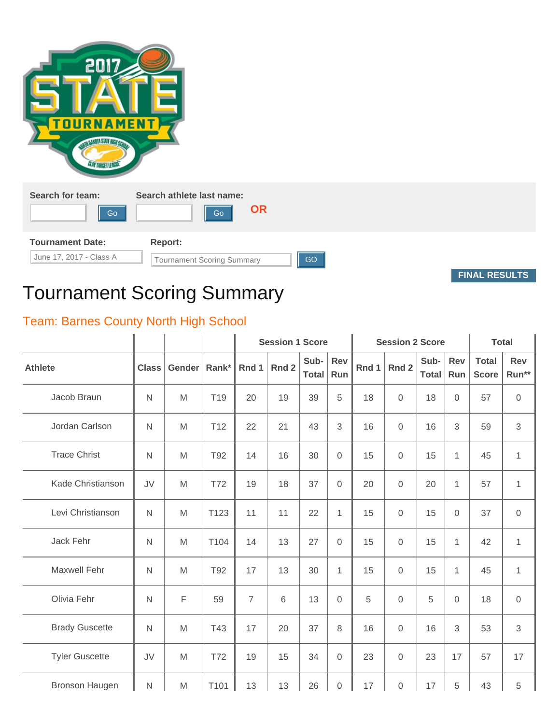| 2017<br><b>TOUR</b><br><b>TANDIA SIME HIGH OF</b><br><b>CLAY TANGET LEAGUN</b> | <b>MENT</b>                                        |
|--------------------------------------------------------------------------------|----------------------------------------------------|
| Search for team:<br>Go                                                         | Search athlete last name:<br><b>OR</b><br>Go       |
| <b>Tournament Date:</b><br>June 17, 2017 - Class A                             | Report:<br>GO<br><b>Tournament Scoring Summary</b> |

**FINAL RESULTS**

## Tournament Scoring Summary

## Team: Barnes County North High School

|                       |              |             |                 |                | <b>Session 1 Score</b> |                      |                     | <b>Session 2 Score</b> | <b>Total</b>     |                      |                   |                              |                     |
|-----------------------|--------------|-------------|-----------------|----------------|------------------------|----------------------|---------------------|------------------------|------------------|----------------------|-------------------|------------------------------|---------------------|
| <b>Athlete</b>        | <b>Class</b> | Gender      | Rank*           | Rnd 1          | Rnd 2                  | Sub-<br><b>Total</b> | <b>Rev</b><br>Run   | Rnd 1                  | Rnd <sub>2</sub> | Sub-<br><b>Total</b> | <b>Rev</b><br>Run | <b>Total</b><br><b>Score</b> | <b>Rev</b><br>Run** |
| Jacob Braun           | $\mathsf{N}$ | M           | T <sub>19</sub> | 20             | 19                     | 39                   | 5                   | 18                     | $\Omega$         | 18                   | $\overline{0}$    | 57                           | $\mathsf{O}\xspace$ |
| Jordan Carlson        | $\mathsf{N}$ | M           | T12             | 22             | 21                     | 43                   | $\mathfrak{S}$      | 16                     | $\overline{0}$   | 16                   | 3                 | 59                           | $\mathfrak{S}$      |
| <b>Trace Christ</b>   | $\mathsf{N}$ | M           | T92             | 14             | 16                     | 30                   | $\mathbf 0$         | 15                     | $\overline{0}$   | 15                   | $\mathbf{1}$      | 45                           | $\mathbf{1}$        |
| Kade Christianson     | JV           | M           | <b>T72</b>      | 19             | 18                     | 37                   | $\mathbf 0$         | 20                     | $\Omega$         | 20                   | $\mathbf{1}$      | 57                           | $\mathbf{1}$        |
| Levi Christianson     | $\mathsf{N}$ | M           | T123            | 11             | 11                     | 22                   | $\mathbf{1}$        | 15                     | $\Omega$         | 15                   | $\mathbf{0}$      | 37                           | $\mathsf{O}\xspace$ |
| Jack Fehr             | $\mathsf{N}$ | M           | T104            | 14             | 13                     | 27                   | $\mathbf 0$         | 15                     | $\overline{0}$   | 15                   | $\mathbf{1}$      | 42                           | $\mathbf{1}$        |
| <b>Maxwell Fehr</b>   | $\mathsf{N}$ | M           | T92             | 17             | 13                     | 30                   | $\mathbf{1}$        | 15                     | $\overline{0}$   | 15                   | $\mathbf{1}$      | 45                           | $\mathbf{1}$        |
| Olivia Fehr           | $\mathsf{N}$ | $\mathsf F$ | 59              | $\overline{7}$ | 6                      | 13                   | $\mathbf 0$         | 5                      | $\Omega$         | 5                    | $\mathbf{0}$      | 18                           | $\mathsf{O}\xspace$ |
| <b>Brady Guscette</b> | $\mathsf{N}$ | M           | T43             | 17             | 20                     | 37                   | 8                   | 16                     | $\Omega$         | 16                   | 3                 | 53                           | 3                   |
| <b>Tyler Guscette</b> | JV           | M           | <b>T72</b>      | 19             | 15                     | 34                   | $\mathbf 0$         | 23                     | $\overline{0}$   | 23                   | 17                | 57                           | 17                  |
| Bronson Haugen        | $\mathsf{N}$ | M           | T101            | 13             | 13                     | 26                   | $\mathsf{O}\xspace$ | 17                     | $\mathbf 0$      | 17                   | 5                 | 43                           | $\sqrt{5}$          |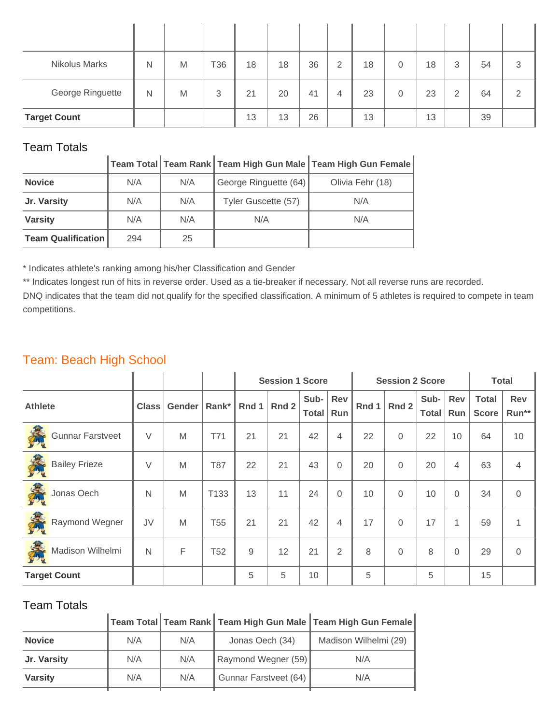| <b>Nikolus Marks</b> | Ν | M | T36 | 18 | 18 | 36 | $\overline{2}$ | 18 | $\overline{0}$ | 18 | 3 | 54 | 3 |
|----------------------|---|---|-----|----|----|----|----------------|----|----------------|----|---|----|---|
| George Ringuette     | Ν | M | 3   | 21 | 20 | 41 | 4              | 23 | $\overline{0}$ | 23 | 2 | 64 | っ |
| <b>Target Count</b>  |   |   |     | 13 | 13 | 26 |                | 13 |                | 13 |   | 39 |   |

|                           |     |     |                       | Team Total Team Rank Team High Gun Male Team High Gun Female |
|---------------------------|-----|-----|-----------------------|--------------------------------------------------------------|
| <b>Novice</b>             | N/A | N/A | George Ringuette (64) | Olivia Fehr (18)                                             |
| Jr. Varsity               | N/A | N/A | Tyler Guscette (57)   | N/A                                                          |
| <b>Varsity</b>            | N/A | N/A | N/A                   | N/A                                                          |
| <b>Team Qualification</b> | 294 | 25  |                       |                                                              |

\* Indicates athlete's ranking among his/her Classification and Gender

\*\* Indicates longest run of hits in reverse order. Used as a tie-breaker if necessary. Not all reverse runs are recorded.

DNQ indicates that the team did not qualify for the specified classification. A minimum of 5 athletes is required to compete in team competitions.

## Team: Beach High School

|                              |              |        |                 | <b>Session 1 Score</b> |       |                      |                |       | <b>Session 2 Score</b> |                      | <b>Total</b>      |                              |                |
|------------------------------|--------------|--------|-----------------|------------------------|-------|----------------------|----------------|-------|------------------------|----------------------|-------------------|------------------------------|----------------|
| <b>Athlete</b>               | <b>Class</b> | Gender | Rank*           | Rnd 1                  | Rnd 2 | Sub-<br><b>Total</b> | Rev<br>Run     | Rnd 1 | Rnd 2                  | Sub-<br><b>Total</b> | <b>Rev</b><br>Run | <b>Total</b><br><b>Score</b> | Rev<br>Run**   |
| 桑<br><b>Gunnar Farstveet</b> | V            | M      | T71             | 21                     | 21    | 42                   | 4              | 22    | $\Omega$               | 22                   | 10                | 64                           | 10             |
| 義<br><b>Bailey Frieze</b>    | V            | M      | T87             | 22                     | 21    | 43                   | $\mathbf 0$    | 20    | $\Omega$               | 20                   | $\overline{4}$    | 63                           | $\overline{4}$ |
| 泰<br>Jonas Oech              | N            | M      | T133            | 13                     | 11    | 24                   | $\mathbf 0$    | 10    | $\Omega$               | 10                   | $\Omega$          | 34                           | $\Omega$       |
| 義<br>Raymond Wegner          | JV           | M      | T <sub>55</sub> | 21                     | 21    | 42                   | 4              | 17    | $\Omega$               | 17                   | $\mathbf{1}$      | 59                           | $\mathbf{1}$   |
| 義<br>Madison Wilhelmi        | N            | F      | T <sub>52</sub> | 9                      | 12    | 21                   | $\overline{2}$ | 8     | $\overline{0}$         | 8                    | $\Omega$          | 29                           | $\mathbf 0$    |
| <b>Target Count</b>          |              |        |                 | 5                      | 5     | 10                   |                | 5     |                        | 5                    |                   | 15                           |                |

#### Team Totals

| <u>. 691 - 1914</u> |     |     |                       |                                                                                                      |
|---------------------|-----|-----|-----------------------|------------------------------------------------------------------------------------------------------|
|                     |     |     |                       | $\vert$ Team Total $\vert$ Team Rank $\vert$ Team High Gun Male $\vert$ Team High Gun Female $\vert$ |
| <b>Novice</b>       | N/A | N/A | Jonas Oech (34)       | Madison Wilhelmi (29)                                                                                |
| Jr. Varsity         | N/A | N/A | Raymond Wegner (59)   | N/A                                                                                                  |
| <b>Varsity</b>      | N/A | N/A | Gunnar Farstveet (64) | N/A                                                                                                  |
|                     |     |     |                       |                                                                                                      |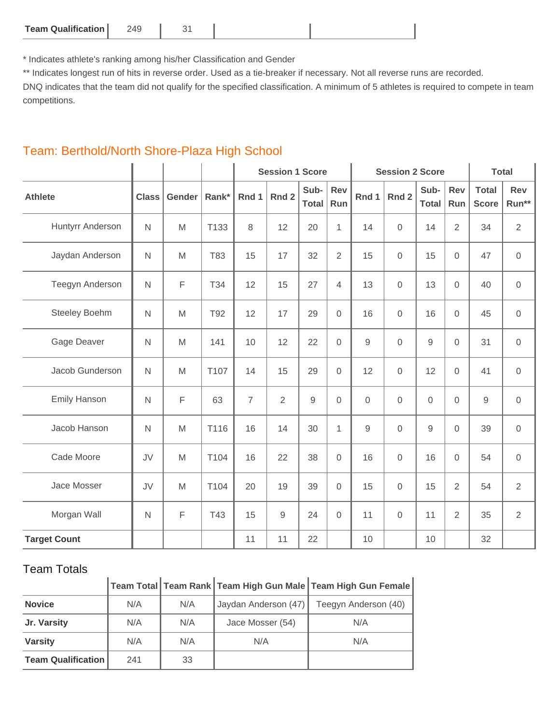| <b>Team Qualification</b><br>749 |  |  |  |
|----------------------------------|--|--|--|
|----------------------------------|--|--|--|

\* Indicates athlete's ranking among his/her Classification and Gender

\*\* Indicates longest run of hits in reverse order. Used as a tie-breaker if necessary. Not all reverse runs are recorded.

DNQ indicates that the team did not qualify for the specified classification. A minimum of 5 athletes is required to compete in team competitions.

|                      |              |        |       |                | <b>Session 1 Score</b> |               |                     |                | <b>Session 2 Score</b> | <b>Total</b>         |                |                              |                |
|----------------------|--------------|--------|-------|----------------|------------------------|---------------|---------------------|----------------|------------------------|----------------------|----------------|------------------------------|----------------|
| <b>Athlete</b>       | <b>Class</b> | Gender | Rank* | Rnd 1          | Rnd <sub>2</sub>       | Sub-<br>Total | <b>Rev</b><br>Run   | Rnd 1          | Rnd <sub>2</sub>       | Sub-<br><b>Total</b> | Rev<br>Run     | <b>Total</b><br><b>Score</b> | Rev<br>Run**   |
| Huntyrr Anderson     | $\mathsf{N}$ | M      | T133  | 8              | 12                     | 20            | $\mathbf{1}$        | 14             | $\overline{0}$         | 14                   | $\overline{2}$ | 34                           | $\overline{2}$ |
| Jaydan Anderson      | $\mathsf{N}$ | M      | T83   | 15             | 17                     | 32            | $\overline{2}$      | 15             | $\overline{0}$         | 15                   | $\overline{0}$ | 47                           | $\mathbf 0$    |
| Teegyn Anderson      | $\mathsf{N}$ | F      | T34   | 12             | 15                     | 27            | $\overline{4}$      | 13             | $\mathbf 0$            | 13                   | $\overline{0}$ | 40                           | $\,0\,$        |
| <b>Steeley Boehm</b> | $\mathsf{N}$ | M      | T92   | 12             | 17                     | 29            | $\mathbf 0$         | 16             | $\overline{0}$         | 16                   | $\overline{0}$ | 45                           | $\overline{0}$ |
| Gage Deaver          | $\mathsf{N}$ | M      | 141   | 10             | 12                     | 22            | $\mathbf 0$         | $\overline{9}$ | $\overline{0}$         | $\overline{9}$       | $\mathbf{0}$   | 31                           | $\overline{0}$ |
| Jacob Gunderson      | $\mathsf{N}$ | M      | T107  | 14             | 15                     | 29            | $\mathsf{O}\xspace$ | 12             | $\mathbf 0$            | 12                   | $\mathbf 0$    | 41                           | $\mathbf 0$    |
| <b>Emily Hanson</b>  | $\mathsf{N}$ | F      | 63    | $\overline{7}$ | $\overline{2}$         | $\mathsf g$   | 0                   | $\mathbf 0$    | $\mathbf 0$            | $\overline{0}$       | $\overline{0}$ | $\overline{9}$               | $\overline{0}$ |
| Jacob Hanson         | $\mathsf{N}$ | M      | T116  | 16             | 14                     | 30            | $\mathbf{1}$        | $\mathsf g$    | $\overline{0}$         | $\mathsf g$          | $\overline{0}$ | 39                           | $\mathbf 0$    |
| Cade Moore           | JV           | M      | T104  | 16             | 22                     | 38            | $\mathsf{O}\xspace$ | 16             | $\mathbf 0$            | 16                   | $\mathbf 0$    | 54                           | $\mathbf 0$    |
| Jace Mosser          | JV           | M      | T104  | 20             | 19                     | 39            | $\mathbf 0$         | 15             | $\overline{0}$         | 15                   | $\overline{2}$ | 54                           | $\overline{2}$ |
| Morgan Wall          | $\mathsf{N}$ | F      | T43   | 15             | $\mathsf g$            | 24            | $\mathbf 0$         | 11             | $\overline{0}$         | 11                   | $\overline{2}$ | 35                           | $\overline{2}$ |
| <b>Target Count</b>  |              |        |       | 11             | 11                     | 22            |                     | 10             |                        | 10                   |                | 32                           |                |

#### Team: Berthold/North Shore-Plaza High School

#### Team Totals

| TEATH TULAIS              |     |     |                      |                                                                |
|---------------------------|-----|-----|----------------------|----------------------------------------------------------------|
|                           |     |     |                      | │Team Total│Team Rank│Team High Gun Male│Team High Gun Female│ |
| <b>Novice</b>             | N/A | N/A | Jaydan Anderson (47) | Teegyn Anderson (40)                                           |
| Jr. Varsity               | N/A | N/A | Jace Mosser (54)     | N/A                                                            |
| <b>Varsity</b>            | N/A | N/A | N/A                  | N/A                                                            |
| <b>Team Qualification</b> | 241 | 33  |                      |                                                                |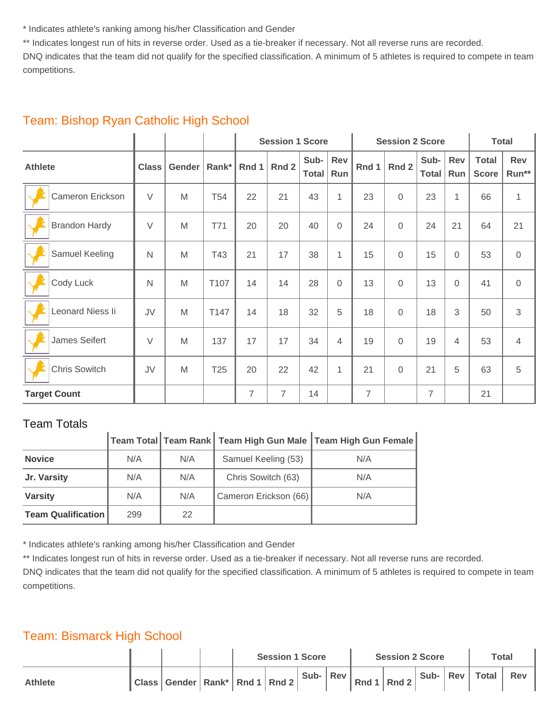\* Indicates athlete's ranking among his/her Classification and Gender

\*\* Indicates longest run of hits in reverse order. Used as a tie-breaker if necessary. Not all reverse runs are recorded.

DNQ indicates that the team did not qualify for the specified classification. A minimum of 5 athletes is required to compete in team competitions.

|                      |              |        |                 |                | <b>Session 1 Score</b> |               |              |                | <b>Session 2 Score</b> |                | <b>Total</b>      |                              |                |
|----------------------|--------------|--------|-----------------|----------------|------------------------|---------------|--------------|----------------|------------------------|----------------|-------------------|------------------------------|----------------|
| <b>Athlete</b>       | <b>Class</b> | Gender | Rank $*$        | Rnd 1          | Rnd 2                  | Sub-<br>Total | Rev<br>Run   | Rnd 1          | Rnd 2                  | Sub-<br>Total  | <b>Rev</b><br>Run | <b>Total</b><br><b>Score</b> | Rev<br>Run**   |
| Cameron Erickson     | $\vee$       | M      | T <sub>54</sub> | 22             | 21                     | 43            | $\mathbf{1}$ | 23             | 0                      | 23             | 1                 | 66                           | 1              |
| <b>Brandon Hardy</b> | $\vee$       | M      | T71             | 20             | 20                     | 40            | $\mathbf 0$  | 24             | $\Omega$               | 24             | 21                | 64                           | 21             |
| Samuel Keeling       | $\mathsf{N}$ | M      | T43             | 21             | 17                     | 38            | $\mathbf{1}$ | 15             | $\Omega$               | 15             | $\Omega$          | 53                           | $\mathbf 0$    |
| Cody Luck            | $\mathsf{N}$ | M      | T107            | 14             | 14                     | 28            | 0            | 13             | $\Omega$               | 13             | $\Omega$          | 41                           | $\mathbf 0$    |
| Leonard Niess li     | JV           | M      | T147            | 14             | 18                     | 32            | 5            | 18             | $\Omega$               | 18             | 3                 | 50                           | 3              |
| James Seifert        | $\vee$       | M      | 137             | 17             | 17                     | 34            | 4            | 19             | $\mathbf 0$            | 19             | 4                 | 53                           | $\overline{4}$ |
| <b>Chris Sowitch</b> | JV           | M      | T <sub>25</sub> | 20             | 22                     | 42            | $\mathbf{1}$ | 21             | $\Omega$               | 21             | 5                 | 63                           | 5              |
| <b>Target Count</b>  |              |        |                 | $\overline{7}$ | $\overline{7}$         | 14            |              | $\overline{7}$ |                        | $\overline{7}$ |                   | 21                           |                |

#### Team: Bishop Ryan Catholic High School

#### Team Totals

|                           |     |     |                       | Team Total   Team Rank   Team High Gun Male   Team High Gun Female |
|---------------------------|-----|-----|-----------------------|--------------------------------------------------------------------|
| <b>Novice</b>             | N/A | N/A | Samuel Keeling (53)   | N/A                                                                |
| Jr. Varsity               | N/A | N/A | Chris Sowitch (63)    | N/A                                                                |
| <b>Varsity</b>            | N/A | N/A | Cameron Erickson (66) | N/A                                                                |
| <b>Team Qualification</b> | 299 | 22  |                       |                                                                    |

\* Indicates athlete's ranking among his/her Classification and Gender

\*\* Indicates longest run of hits in reverse order. Used as a tie-breaker if necessary. Not all reverse runs are recorded.

DNQ indicates that the team did not qualify for the specified classification. A minimum of 5 athletes is required to compete in team competitions.

#### Team: Bismarck High School

|                |                                         | <b>Session 1 Score</b> |  |      |       | <b>Session 2 Score</b> | <b>Total</b> |  |                    |     |
|----------------|-----------------------------------------|------------------------|--|------|-------|------------------------|--------------|--|--------------------|-----|
| <b>Athlete</b> | "Class   Gender   Rank*   Rnd 1   Rnd 2 |                        |  | Sub- | Rev I | Rnd 1   Rnd 2          |              |  | Sub-   Rev   Total | Rev |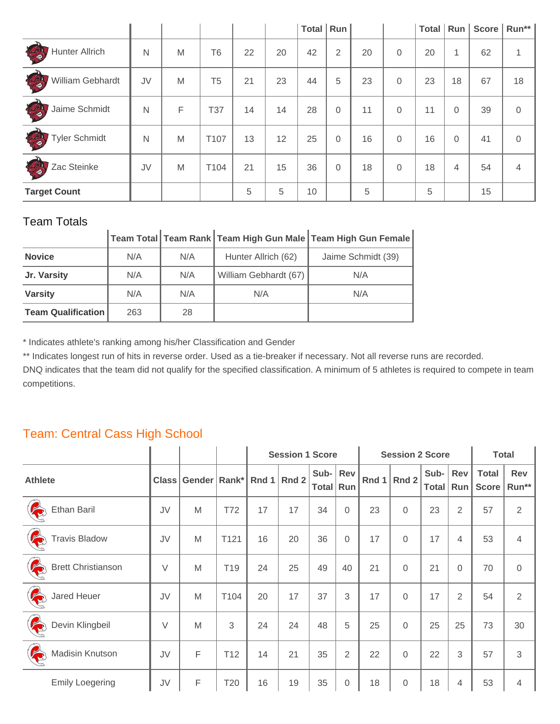|                                             |    |   |                |    |    | <b>Total</b> | Run |    |          | Total |                | Run   Score | Run**          |
|---------------------------------------------|----|---|----------------|----|----|--------------|-----|----|----------|-------|----------------|-------------|----------------|
| <b>CERTIFICATE</b><br><b>Hunter Allrich</b> | N  | M | <b>T6</b>      | 22 | 20 | 42           | 2   | 20 | $\Omega$ | 20    | 1              | 62          | 1              |
| CO<br>William Gebhardt                      | JV | M | T <sub>5</sub> | 21 | 23 | 44           | 5   | 23 | $\Omega$ | 23    | 18             | 67          | 18             |
| CON<br>Jaime Schmidt                        | N  | F | T37            | 14 | 14 | 28           | 0   | 11 | $\Omega$ | 11    | $\overline{0}$ | 39          | $\overline{0}$ |
| CAI<br><b>Tyler Schmidt</b>                 | N  | M | T107           | 13 | 12 | 25           | 0   | 16 | $\Omega$ | 16    | $\Omega$       | 41          | $\overline{0}$ |
| E<br>Zac Steinke                            | JV | M | T104           | 21 | 15 | 36           | 0   | 18 | $\Omega$ | 18    | 4              | 54          | 4              |
| <b>Target Count</b>                         |    |   |                | 5  | 5  | 10           |     | 5  |          | 5     |                | 15          |                |

## **Team Total Team Rank Team High Gun Male Team High Gun Female**

| <b>Novice</b>             | N/A | N/A | Hunter Allrich (62)   | Jaime Schmidt (39) |
|---------------------------|-----|-----|-----------------------|--------------------|
| Jr. Varsity               | N/A | N/A | William Gebhardt (67) | N/A                |
| <b>Varsity</b>            | N/A | N/A | N/A                   | N/A                |
| <b>Team Qualification</b> | 263 | 28  |                       |                    |

\* Indicates athlete's ranking among his/her Classification and Gender

\*\* Indicates longest run of hits in reverse order. Used as a tie-breaker if necessary. Not all reverse runs are recorded.

DNQ indicates that the team did not qualify for the specified classification. A minimum of 5 athletes is required to compete in team competitions.

## Team: Central Cass High School

|                                |              |                        |                 |    | <b>Session 1 Score</b> |                         |                  |       | <b>Session 2 Score</b> |                      | <b>Total</b>      |                              |                     |
|--------------------------------|--------------|------------------------|-----------------|----|------------------------|-------------------------|------------------|-------|------------------------|----------------------|-------------------|------------------------------|---------------------|
| <b>Athlete</b>                 | <b>Class</b> | Gender   Rank*   Rnd 1 |                 |    | Rnd 2                  | Sub- Rev<br>Total   Run |                  | Rnd 1 | Rnd 2                  | Sub-<br><b>Total</b> | <b>Rev</b><br>Run | <b>Total</b><br><b>Score</b> | <b>Rev</b><br>Run** |
| R<br>Ethan Baril               | JV           | M                      | T72             | 17 | 17                     | 34                      | $\Omega$         | 23    | $\Omega$               | 23                   | $\overline{2}$    | 57                           | $\overline{2}$      |
| R<br><b>Travis Bladow</b>      | JV           | M                      | T121            | 16 | 20                     | 36                      | 0                | 17    | $\Omega$               | 17                   | 4                 | 53                           | 4                   |
| R<br><b>Brett Christianson</b> | V            | M                      | T <sub>19</sub> | 24 | 25                     | 49                      | 40               | 21    | $\Omega$               | 21                   | $\Omega$          | 70                           | $\overline{0}$      |
| 12<br>Jared Heuer              | JV           | M                      | T104            | 20 | 17                     | 37                      | 3                | 17    | $\mathbf 0$            | 17                   | $\overline{2}$    | 54                           | $\overline{2}$      |
| E<br>Devin Klingbeil           | $\vee$       | M                      | 3               | 24 | 24                     | 48                      | 5                | 25    | $\Omega$               | 25                   | 25                | 73                           | 30                  |
| R<br>Madisin Knutson           | JV           | F                      | T12             | 14 | 21                     | 35                      | $\overline{2}$   | 22    | $\overline{0}$         | 22                   | 3                 | 57                           | 3                   |
| <b>Emily Loegering</b>         | JV           | F                      | T20             | 16 | 19                     | 35                      | $\boldsymbol{0}$ | 18    | $\mathbf 0$            | 18                   | 4                 | 53                           | 4                   |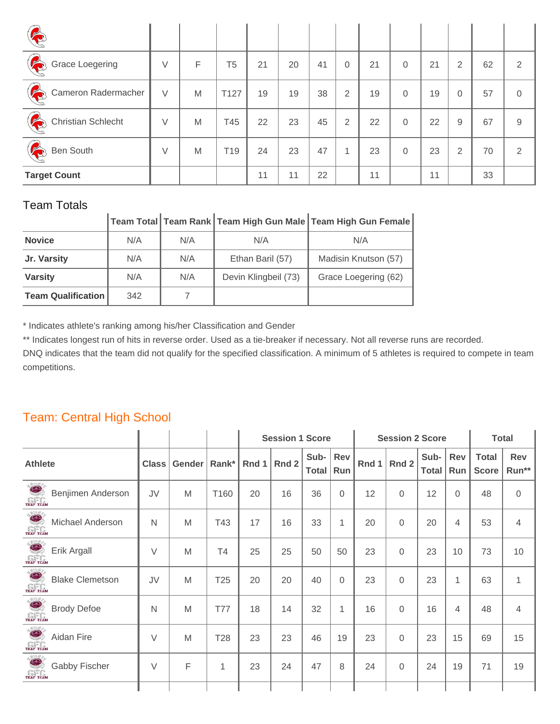| E                        |        |   |                 |    |    |    |          |    |             |    |                |    |                |
|--------------------------|--------|---|-----------------|----|----|----|----------|----|-------------|----|----------------|----|----------------|
| R<br>Grace Loegering     | $\vee$ | F | T5              | 21 | 20 | 41 | $\Omega$ | 21 | 0           | 21 | $\overline{2}$ | 62 | 2              |
| E<br>Cameron Radermacher | $\vee$ | M | T127            | 19 | 19 | 38 | 2        | 19 | 0           | 19 | $\overline{0}$ | 57 | $\overline{0}$ |
| R<br>Christian Schlecht  | V      | M | T45             | 22 | 23 | 45 | 2        | 22 | $\Omega$    | 22 | 9              | 67 | 9              |
| I<br>Ben South           | V      | M | T <sub>19</sub> | 24 | 23 | 47 | 1        | 23 | $\mathbf 0$ | 23 | 2              | 70 | 2              |
| <b>Target Count</b>      |        |   |                 | 11 | 11 | 22 |          | 11 |             | 11 |                | 33 |                |

|                           |     |     |                      | ∣Team Total ॑ Team Rank │ Team High Gun Male │ Team High Gun Female │ |
|---------------------------|-----|-----|----------------------|-----------------------------------------------------------------------|
| <b>Novice</b>             | N/A | N/A | N/A                  | N/A                                                                   |
| Jr. Varsity               | N/A | N/A | Ethan Baril (57)     | Madisin Knutson (57)                                                  |
| <b>Varsity</b>            | N/A | N/A | Devin Klingbeil (73) | Grace Loegering (62)                                                  |
| <b>Team Qualification</b> | 342 |     |                      |                                                                       |

\* Indicates athlete's ranking among his/her Classification and Gender

\*\* Indicates longest run of hits in reverse order. Used as a tie-breaker if necessary. Not all reverse runs are recorded.

DNQ indicates that the team did not qualify for the specified classification. A minimum of 5 athletes is required to compete in team competitions.

#### Team: Central High School

|                                                             |              |        |                 | <b>Session 1 Score</b> |       |                      |                   |       | <b>Session 2 Score</b> |                      | <b>Total</b>      |                              |                     |
|-------------------------------------------------------------|--------------|--------|-----------------|------------------------|-------|----------------------|-------------------|-------|------------------------|----------------------|-------------------|------------------------------|---------------------|
| <b>Athlete</b>                                              | <b>Class</b> | Gender |                 | Rank* Rnd 1            | Rnd 2 | Sub-<br><b>Total</b> | <b>Rev</b><br>Run | Rnd 1 | Rnd 2                  | Sub-<br><b>Total</b> | <b>Rev</b><br>Run | <b>Total</b><br><b>Score</b> | <b>Rev</b><br>Run** |
| $\bullet$<br>Benjimen Anderson<br>TRAP TEAM                 | JV           | M      | T160            | 20                     | 16    | 36                   | $\overline{0}$    | 12    | $\Omega$               | 12                   | $\Omega$          | 48                           | $\mathbf 0$         |
| TRAP TEAM<br>Michael Anderson                               | $\mathsf{N}$ | M      | T43             | 17                     | 16    | 33                   | 1                 | 20    | 0                      | 20                   | 4                 | 53                           | $\overline{4}$      |
| $\bullet$<br>Erik Argall<br>TRAP TEAM                       | V            | M      | T <sub>4</sub>  | 25                     | 25    | 50                   | 50                | 23    | $\overline{0}$         | 23                   | 10                | 73                           | 10                  |
| $\#16H$<br>$\bullet$<br><b>Blake Clemetson</b><br>TRAP TEAM | JV           | M      | T <sub>25</sub> | 20                     | 20    | 40                   | $\overline{0}$    | 23    | 0                      | 23                   | 1                 | 63                           | 1                   |
| <b>Brody Defoe</b><br>TRAP TEAM                             | N            | M      | <b>T77</b>      | 18                     | 14    | 32                   | 1                 | 16    | 0                      | 16                   | 4                 | 48                           | $\overline{4}$      |
| $\bullet$<br>Aidan Fire<br>TRAP TEAM                        | $\vee$       | M      | <b>T28</b>      | 23                     | 23    | 46                   | 19                | 23    | 0                      | 23                   | 15                | 69                           | 15                  |
| $\#16H$<br>$\bullet$<br>Gabby Fischer<br>TRAP TEAM          | $\vee$       | F      | $\mathbf{1}$    | 23                     | 24    | 47                   | 8                 | 24    | 0                      | 24                   | 19                | 71                           | 19                  |
|                                                             |              |        |                 |                        |       |                      |                   |       |                        |                      |                   |                              |                     |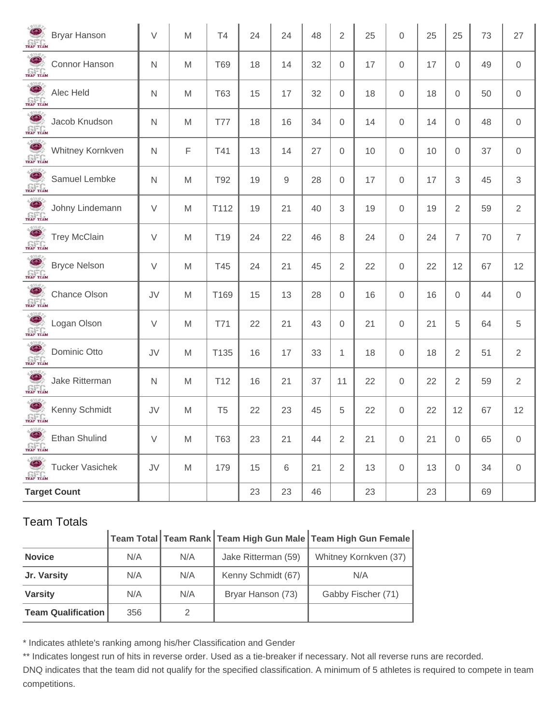| <b>Bryar Hanson</b><br>TRAP TEAM               | $\vee$       | M | T4              | 24 | 24          | 48 | $\overline{2}$ | 25 | $\mathbf 0$ | 25 | 25             | 73 | 27                  |
|------------------------------------------------|--------------|---|-----------------|----|-------------|----|----------------|----|-------------|----|----------------|----|---------------------|
| Connor Hanson<br><b>ELECTRIC</b>               | $\mathsf{N}$ | M | <b>T69</b>      | 18 | 14          | 32 | $\mathbf 0$    | 17 | $\mathbf 0$ | 17 | $\overline{0}$ | 49 | $\mathbf 0$         |
| TRAP TEAM<br>Alec Held                         | $\mathsf{N}$ | M | <b>T63</b>      | 15 | 17          | 32 | $\mathbf 0$    | 18 | $\mathbf 0$ | 18 | $\overline{0}$ | 50 | $\mathbf 0$         |
| TRAP TEAM<br>Jacob Knudson                     | $\mathsf{N}$ | M | <b>T77</b>      | 18 | 16          | 34 | $\mathbf 0$    | 14 | $\mathbf 0$ | 14 | $\overline{0}$ | 48 | $\mathsf{O}\xspace$ |
| TRAP TEAM<br>Whitney Kornkven                  | N            | F | T41             | 13 | 14          | 27 | $\mathbf 0$    | 10 | $\mathbf 0$ | 10 | $\overline{0}$ | 37 | $\mathsf{O}\xspace$ |
| TRAP TEAM<br>Samuel Lembke                     | $\mathsf{N}$ | M | T92             | 19 | $\mathbf 9$ | 28 | $\mathbf 0$    | 17 | $\mathbf 0$ | 17 | 3              | 45 | $\sqrt{3}$          |
| TRAP TEAM<br>Johny Lindemann                   | V            | M | T112            | 19 | 21          | 40 | 3              | 19 | $\mathbf 0$ | 19 | $\overline{2}$ | 59 | $\overline{2}$      |
| TRAP TEAM<br><b>Trey McClain</b>               | V            | M | T <sub>19</sub> | 24 | 22          | 46 | 8              | 24 | 0           | 24 | $\overline{7}$ | 70 | $\overline{7}$      |
| TRAP TEAM<br><b>Bryce Nelson</b>               | $\vee$       | M | T45             | 24 | 21          | 45 | $\overline{2}$ | 22 | 0           | 22 | 12             | 67 | 12                  |
| TRAP TEAM<br><b>Chance Olson</b>               | JV           | M | T169            | 15 | 13          | 28 | $\mathbf 0$    | 16 | $\mathbf 0$ | 16 | $\Omega$       | 44 | $\mathbf 0$         |
| TRAP TEAM<br>Logan Olson                       | V            | M | T71             | 22 | 21          | 43 | $\mathbf 0$    | 21 | $\mathbf 0$ | 21 | 5              | 64 | $\sqrt{5}$          |
| TRAP TEAM<br>Dominic Otto                      | JV           | M | T135            | 16 | 17          | 33 | $\mathbf{1}$   | 18 | 0           | 18 | $\overline{2}$ | 51 | $\overline{2}$      |
| TRAP TEAM<br>Jake Ritterman                    | N            | M | T <sub>12</sub> | 16 | 21          | 37 | 11             | 22 | 0           | 22 | $\overline{2}$ | 59 | $\overline{2}$      |
| TRAP TEAM<br>Kenny Schmidt                     | JV           | M | T <sub>5</sub>  | 22 | 23          | 45 | 5              | 22 | 0           | 22 | 12             | 67 | 12                  |
| $\bullet$<br><b>Ethan Shulind</b><br>TRAP TEAM | $\vee$       | M | <b>T63</b>      | 23 | 21          | 44 | $\overline{2}$ | 21 | 0           | 21 | $\overline{0}$ | 65 | $\mathbf 0$         |
| TRAP TEAM<br><b>Tucker Vasichek</b>            | JV           | M | 179             | 15 | $\,6$       | 21 | $\overline{2}$ | 13 | 0           | 13 | $\overline{0}$ | 34 | $\mathbf 0$         |
| <b>Target Count</b>                            |              |   |                 | 23 | 23          | 46 |                | 23 |             | 23 |                | 69 |                     |

## **Team Total Team Rank Team High Gun Male Team High Gun Female**

| <b>Novice</b>             | N/A | N/A | Jake Ritterman (59) | Whitney Kornkven (37) |
|---------------------------|-----|-----|---------------------|-----------------------|
| Jr. Varsity               | N/A | N/A | Kenny Schmidt (67)  | N/A                   |
| <b>Varsity</b>            | N/A | N/A | Bryar Hanson (73)   | Gabby Fischer (71)    |
| <b>Team Qualification</b> | 356 |     |                     |                       |

\* Indicates athlete's ranking among his/her Classification and Gender

\*\* Indicates longest run of hits in reverse order. Used as a tie-breaker if necessary. Not all reverse runs are recorded.

DNQ indicates that the team did not qualify for the specified classification. A minimum of 5 athletes is required to compete in team competitions.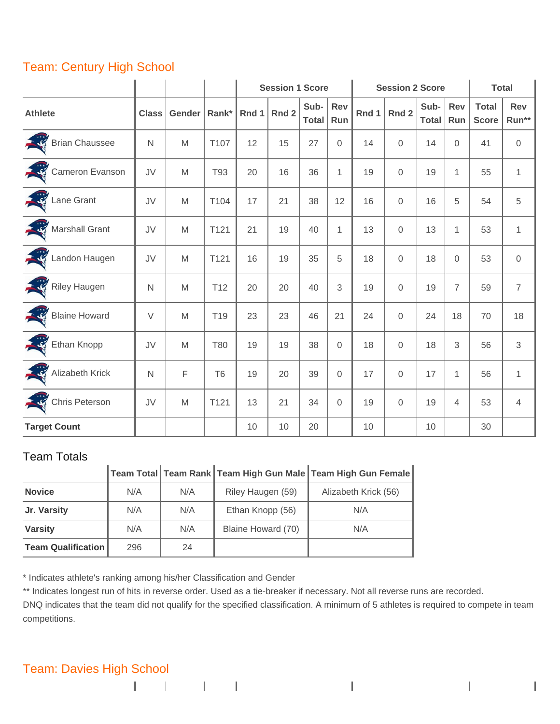## Team: Century High School

|                     |              |                                                                                                            |                 |       | <b>Session 1 Score</b> |                      | <b>Session 2 Score</b> |       | <b>Total</b>   |                      |                |                              |                     |
|---------------------|--------------|------------------------------------------------------------------------------------------------------------|-----------------|-------|------------------------|----------------------|------------------------|-------|----------------|----------------------|----------------|------------------------------|---------------------|
| <b>Athlete</b>      | <b>Class</b> | Gender                                                                                                     | Rank*           | Rnd 1 | Rnd <sub>2</sub>       | Sub-<br><b>Total</b> | Rev<br>Run             | Rnd 1 | Rnd 2          | Sub-<br><b>Total</b> | Rev<br>Run     | <b>Total</b><br><b>Score</b> | <b>Rev</b><br>Run** |
| Brian Chaussee      | $\mathsf{N}$ | M                                                                                                          | T107            | 12    | 15                     | 27                   | $\mathsf{O}\xspace$    | 14    | $\Omega$       | 14                   | $\Omega$       | 41                           | $\overline{0}$      |
| Cameron Evanson     | JV           | M                                                                                                          | T93             | 20    | 16                     | 36                   | $\mathbf{1}$           | 19    | 0              | 19                   | $\mathbf{1}$   | 55                           | $\mathbf{1}$        |
| Lane Grant          | JV           | $\mathsf{M}% _{T}=\mathsf{M}_{T}\!\left( a,b\right) ,\ \mathsf{M}_{T}=\mathsf{M}_{T}\!\left( a,b\right) ,$ | T104            | 17    | 21                     | 38                   | 12                     | 16    | $\mathbf 0$    | 16                   | 5              | 54                           | 5                   |
| Marshall Grant      | JV           | M                                                                                                          | T121            | 21    | 19                     | 40                   | $\mathbf{1}$           | 13    | 0              | 13                   | 1              | 53                           | $\mathbf{1}$        |
| Landon Haugen       | JV           | $\mathsf{M}% _{T}=\mathsf{M}_{T}\!\left( a,b\right) ,\ \mathsf{M}_{T}=\mathsf{M}_{T}\!\left( a,b\right) ,$ | T121            | 16    | 19                     | 35                   | 5                      | 18    | $\mathbf 0$    | 18                   | 0              | 53                           | $\mathsf{O}\xspace$ |
| Riley Haugen        | $\mathsf{N}$ | M                                                                                                          | T <sub>12</sub> | 20    | 20                     | 40                   | 3                      | 19    | $\overline{0}$ | 19                   | $\overline{7}$ | 59                           | $\overline{7}$      |
| Blaine Howard       | $\vee$       | $\mathsf{M}% _{T}=\mathsf{M}_{T}\!\left( a,b\right) ,\ \mathsf{M}_{T}=\mathsf{M}_{T}\!\left( a,b\right) ,$ | T <sub>19</sub> | 23    | 23                     | 46                   | 21                     | 24    | $\mathbf 0$    | 24                   | 18             | 70                           | 18                  |
| Ethan Knopp         | JV           | M                                                                                                          | <b>T80</b>      | 19    | 19                     | 38                   | $\mathsf{O}\xspace$    | 18    | $\overline{0}$ | 18                   | 3              | 56                           | $\sqrt{3}$          |
| Alizabeth Krick     | $\mathsf{N}$ | $\mathsf F$                                                                                                | <b>T6</b>       | 19    | 20                     | 39                   | $\mathsf{O}\xspace$    | 17    | $\mathbf 0$    | 17                   | 1              | 56                           | $\mathbf{1}$        |
| Chris Peterson      | JV           | M                                                                                                          | T121            | 13    | 21                     | 34                   | $\mathsf{O}\xspace$    | 19    | $\overline{0}$ | 19                   | 4              | 53                           | $\overline{4}$      |
| <b>Target Count</b> |              |                                                                                                            |                 | 10    | 10                     | 20                   |                        | 10    |                | 10                   |                | 30                           |                     |

#### Team Totals

|                           |     |     |                    | Team Total Team Rank Team High Gun Male Team High Gun Female |
|---------------------------|-----|-----|--------------------|--------------------------------------------------------------|
| <b>Novice</b>             | N/A | N/A | Riley Haugen (59)  | Alizabeth Krick (56)                                         |
| Jr. Varsity               | N/A | N/A | Ethan Knopp (56)   | N/A                                                          |
| <b>Varsity</b>            | N/A | N/A | Blaine Howard (70) | N/A                                                          |
| <b>Team Qualification</b> | 296 | 24  |                    |                                                              |

\* Indicates athlete's ranking among his/her Classification and Gender

\*\* Indicates longest run of hits in reverse order. Used as a tie-breaker if necessary. Not all reverse runs are recorded.

DNQ indicates that the team did not qualify for the specified classification. A minimum of 5 athletes is required to compete in team competitions.

#### Team: Davies High School

 $\Gamma = \Gamma = -\Gamma = 1$ 

 $\overline{1}$ 

 $\mathbf{I}$ 

 $\overline{\phantom{a}}$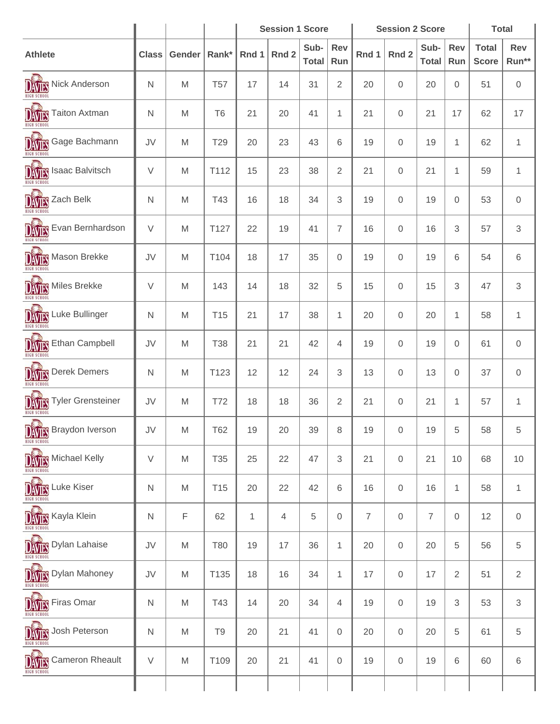|                                                                                                                          |              |                                                                                                            |                 | <b>Session 1 Score</b> |       |                      |                     |                | <b>Session 2 Score</b> |                      | <b>Total</b>     |                              |                     |
|--------------------------------------------------------------------------------------------------------------------------|--------------|------------------------------------------------------------------------------------------------------------|-----------------|------------------------|-------|----------------------|---------------------|----------------|------------------------|----------------------|------------------|------------------------------|---------------------|
| <b>Athlete</b>                                                                                                           | <b>Class</b> | Gender                                                                                                     | Rank*           | Rnd 1                  | Rnd 2 | Sub-<br><b>Total</b> | Rev<br>Run          | Rnd 1          | Rnd 2                  | Sub-<br><b>Total</b> | Rev<br>Run       | <b>Total</b><br><b>Score</b> | <b>Rev</b><br>Run** |
| DAVIES<br>Nick Anderson                                                                                                  | N            | M                                                                                                          | <b>T57</b>      | 17                     | 14    | 31                   | $\overline{2}$      | 20             | $\mathbf 0$            | 20                   | $\overline{0}$   | 51                           | $\mathsf{O}\xspace$ |
| DAVIES<br><b>Taiton Axtman</b>                                                                                           | N            | M                                                                                                          | T <sub>6</sub>  | 21                     | 20    | 41                   | $\mathbf{1}$        | 21             | 0                      | 21                   | 17               | 62                           | 17                  |
| <b>DATES</b> Gage Bachmann                                                                                               | JV           | M                                                                                                          | T29             | 20                     | 23    | 43                   | 6                   | 19             | 0                      | 19                   | 1                | 62                           | 1                   |
| DAVIES<br>Isaac Balvitsch                                                                                                | $\vee$       | M                                                                                                          | T112            | 15                     | 23    | 38                   | $\mathbf{2}$        | 21             | $\mathbf 0$            | 21                   | 1                | 59                           | 1                   |
| DAVIES<br>Zach Belk                                                                                                      | N            | M                                                                                                          | T43             | 16                     | 18    | 34                   | 3                   | 19             | $\boldsymbol{0}$       | 19                   | $\mathbf 0$      | 53                           | $\mathsf{O}\xspace$ |
| DAVIES<br>Evan Bernhardson                                                                                               | $\vee$       | M                                                                                                          | T127            | 22                     | 19    | 41                   | $\overline{7}$      | 16             | $\mathbf{0}$           | 16                   | 3                | 57                           | 3                   |
| DAVIES<br>Mason Brekke                                                                                                   | JV           | M                                                                                                          | T104            | 18                     | 17    | 35                   | $\mathsf{O}\xspace$ | 19             | $\mathbf{0}$           | 19                   | 6                | 54                           | 6                   |
| <b>DATIS</b> Miles Brekke                                                                                                | $\vee$       | M                                                                                                          | 143             | 14                     | 18    | 32                   | 5                   | 15             | $\boldsymbol{0}$       | 15                   | 3                | 47                           | 3                   |
| <b>DAVIES</b> Luke Bullinger                                                                                             | N            | M                                                                                                          | T <sub>15</sub> | 21                     | 17    | 38                   | 1                   | 20             | $\mathbf 0$            | 20                   | $\mathbf 1$      | 58                           | $\mathbf{1}$        |
| DAVIES<br><b>Ethan Campbell</b>                                                                                          | JV           | M                                                                                                          | <b>T38</b>      | 21                     | 21    | 42                   | 4                   | 19             | $\mathbf 0$            | 19                   | $\mathbf 0$      | 61                           | 0                   |
| <b>DATES</b> Derek Demers                                                                                                | N            | M                                                                                                          | T123            | 12                     | 12    | 24                   | 3                   | 13             | 0                      | 13                   | 0                | 37                           | 0                   |
| DAVIES<br><b>Tyler Grensteiner</b>                                                                                       | JV           | M                                                                                                          | T72             | 18                     | 18    | 36                   | $\overline{2}$      | 21             | $\boldsymbol{0}$       | 21                   | $\mathbf{1}$     | 57                           | 1                   |
| $\sum_{i=1}^{n}$<br>$\frac{1}{\left \bigwedge_{\mathfrak{m}\text{ in }\mathfrak{S}}\mathfrak{m}\right }$ Braydon Iverson | JV           | M                                                                                                          | <b>T62</b>      | 19                     | 20    | 39                   | 8                   | 19             | $\mathbf 0$            | 19                   | 5                | 58                           | 5                   |
| <b>DAVILS</b> Michael Kelly                                                                                              | $\vee$       | ${\sf M}$                                                                                                  | <b>T35</b>      | 25                     | 22    | 47                   | 3                   | 21             | $\mathbf 0$            | 21                   | 10               | 68                           | 10                  |
| <b>DAVITS</b> Luke Kiser                                                                                                 | $\mathsf{N}$ | M                                                                                                          | T <sub>15</sub> | 20                     | 22    | 42                   | 6                   | 16             | $\mathsf{O}\xspace$    | 16                   | $\mathbf{1}$     | 58                           | 1                   |
| <b>DAVIES</b> Kayla Klein                                                                                                | ${\sf N}$    | $\mathsf F$                                                                                                | 62              | $\mathbf{1}$           | 4     | 5                    | $\mathsf{O}\xspace$ | $\overline{7}$ | $\mathbf 0$            | $\overline{7}$       | $\boldsymbol{0}$ | 12                           | $\mathbf 0$         |
| <b>DAVILS</b> Dylan Lahaise                                                                                              | JV           | $\mathsf{M}% _{T}=\mathsf{M}_{T}\!\left( a,b\right) ,\ \mathsf{M}_{T}=\mathsf{M}_{T}\!\left( a,b\right) ,$ | <b>T80</b>      | 19                     | 17    | 36                   | $\mathbf{1}$        | 20             | $\mathsf{O}\xspace$    | 20                   | 5                | 56                           | 5                   |
| <b>DAVITS</b> Dylan Mahoney                                                                                              | JV           | M                                                                                                          | T135            | 18                     | 16    | 34                   | $\mathbf{1}$        | 17             | $\mathsf{O}\xspace$    | 17                   | $\sqrt{2}$       | 51                           | $\overline{2}$      |
| <b>DAVILS</b> Firas Omar                                                                                                 | $\mathsf{N}$ | M                                                                                                          | T43             | 14                     | 20    | 34                   | $\overline{4}$      | 19             | $\mathbf 0$            | 19                   | 3                | 53                           | 3                   |
| DAVIES<br>Josh Peterson                                                                                                  | ${\sf N}$    | $\mathsf{M}% _{T}=\mathsf{M}_{T}\!\left( a,b\right) ,\ \mathsf{M}_{T}=\mathsf{M}_{T}\!\left( a,b\right) ,$ | T <sub>9</sub>  | 20                     | 21    | 41                   | $\mathsf{O}\xspace$ | 20             | $\mathsf{O}\xspace$    | 20                   | 5                | 61                           | 5                   |
| $\frac{1}{\left \bigwedge_{\mathfrak{n}\text{ is a set of }\mathfrak{g}\right }}$ Cameron Rheault                        | $\vee$       | ${\sf M}$                                                                                                  | T109            | 20                     | 21    | 41                   | $\boldsymbol{0}$    | 19             | $\mathsf{O}\xspace$    | 19                   | 6                | 60                           | 6                   |
|                                                                                                                          |              |                                                                                                            |                 |                        |       |                      |                     |                |                        |                      |                  |                              |                     |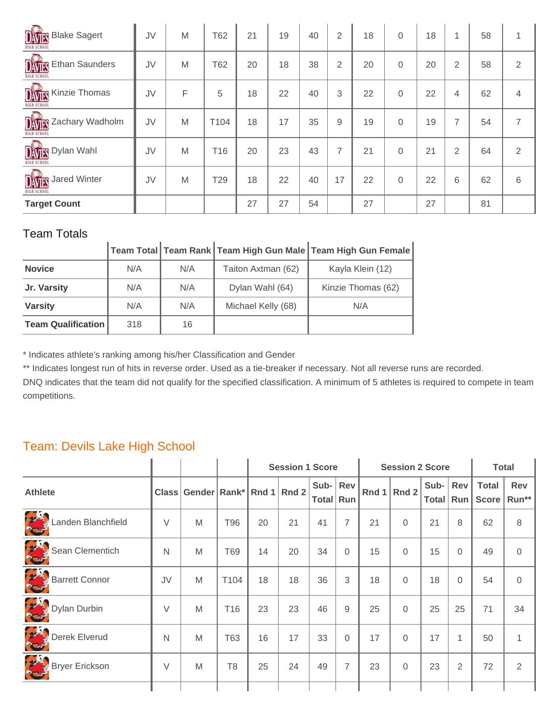| <b>DATES</b> Blake Sagert                                                                  | JV | M | T62  | 21 | 19 | 40 | 2  | 18 | $\Omega$ | 18 | 1              | 58 |                |
|--------------------------------------------------------------------------------------------|----|---|------|----|----|----|----|----|----------|----|----------------|----|----------------|
| DAVIES<br><b>Ethan Saunders</b><br>HIGH SCHOO                                              | JV | M | T62  | 20 | 18 | 38 | 2  | 20 | $\Omega$ | 20 | $\overline{2}$ | 58 | 2              |
| <b>DATES</b> Kinzie Thomas                                                                 | JV | F | 5    | 18 | 22 | 40 | 3  | 22 | $\Omega$ | 22 | 4              | 62 | $\overline{4}$ |
| DAVIES<br>Zachary Wadholm<br><b>HIGH SCHOOL</b>                                            | JV | M | T104 | 18 | 17 | 35 | 9  | 19 | $\Omega$ | 19 | 7              | 54 | $\overline{7}$ |
| $\frac{1}{\left \frac{1}{\left \frac{1}{\left(1+\delta\right)\right }\right }}$ Dylan Wahl | JV | M | T16  | 20 | 23 | 43 | 7  | 21 | $\Omega$ | 21 | 2              | 64 | 2              |
| <b>DATES</b> Jared Winter                                                                  | JV | M | T29  | 18 | 22 | 40 | 17 | 22 | 0        | 22 | 6              | 62 | 6              |
| <b>Target Count</b>                                                                        |    |   |      | 27 | 27 | 54 |    | 27 |          | 27 |                | 81 |                |

|                           |     |     |                    | │Team Total │Team Rank │Team High Gun Male │Team High Gun Female │ |
|---------------------------|-----|-----|--------------------|--------------------------------------------------------------------|
| <b>Novice</b>             | N/A | N/A | Taiton Axtman (62) | Kayla Klein (12)                                                   |
| Jr. Varsity               | N/A | N/A | Dylan Wahl (64)    | Kinzie Thomas (62)                                                 |
| <b>Varsity</b>            | N/A | N/A | Michael Kelly (68) | N/A                                                                |
| <b>Team Qualification</b> | 318 | 16  |                    |                                                                    |

\* Indicates athlete's ranking among his/her Classification and Gender

\*\* Indicates longest run of hits in reverse order. Used as a tie-breaker if necessary. Not all reverse runs are recorded.

DNQ indicates that the team did not qualify for the specified classification. A minimum of 5 athletes is required to compete in team competitions.

#### Team: Devils Lake High School

|                    |        |                                |                |    | <b>Session 1 Score</b> |                         |                |    | <b>Session 2 Score</b> |                     |                | <b>Total</b>                 |              |
|--------------------|--------|--------------------------------|----------------|----|------------------------|-------------------------|----------------|----|------------------------|---------------------|----------------|------------------------------|--------------|
| <b>Athlete</b>     |        | Class Gender Rank* Rnd 1 Rnd 2 |                |    |                        | Sub- Rev<br>Total   Run |                |    | Rnd $1$ Rnd 2          | Sub-<br>Total   Run | Rev            | <b>Total</b><br><b>Score</b> | Rev<br>Run** |
| Landen Blanchfield | $\vee$ | M                              | T96            | 20 | 21                     | 41                      | $\overline{7}$ | 21 | $\Omega$               | 21                  | 8              | 62                           | 8            |
| Sean Clementich    | N      | M                              | T69            | 14 | 20                     | 34                      | $\Omega$       | 15 | $\Omega$               | 15                  | 0              | 49                           | $\Omega$     |
| Barrett Connor     | JV     | M                              | T104           | 18 | 18                     | 36                      | 3              | 18 | $\Omega$               | 18                  | 0              | 54                           | $\Omega$     |
| Dylan Durbin       | $\vee$ | M                              | T16            | 23 | 23                     | 46                      | 9              | 25 | $\Omega$               | 25                  | 25             | 71                           | 34           |
| Derek Elverud      | N      | M                              | T63            | 16 | 17                     | 33                      | $\Omega$       | 17 | $\Omega$               | 17                  | 1              | 50                           | $\mathbf{1}$ |
| Bryer Erickson     | $\vee$ | M                              | T <sub>8</sub> | 25 | 24                     | 49                      | $\overline{7}$ | 23 | $\mathbf 0$            | 23                  | $\overline{2}$ | 72                           | 2            |
|                    |        |                                |                |    |                        |                         |                |    |                        |                     |                |                              |              |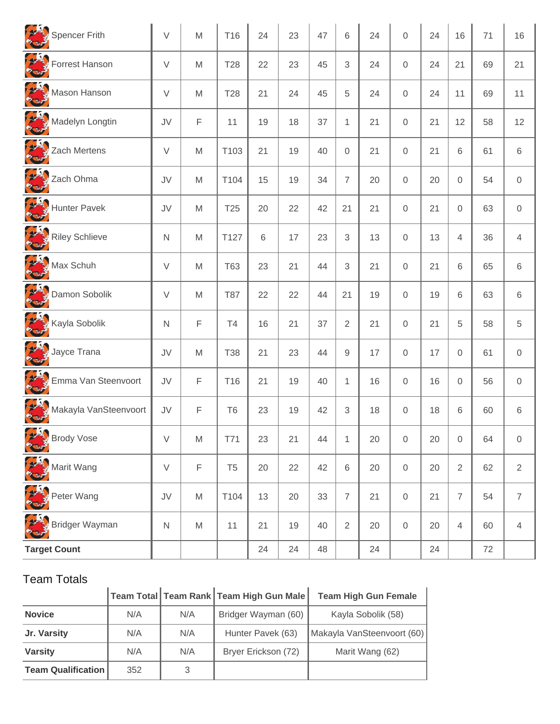| Spencer Frith                    | $\vee$       | M                                                                                                          | T <sub>16</sub> | 24 | 23 | 47 | 6              | 24 | $\Omega$            | 24 | 16             | 71 | 16             |
|----------------------------------|--------------|------------------------------------------------------------------------------------------------------------|-----------------|----|----|----|----------------|----|---------------------|----|----------------|----|----------------|
| Forrest Hanson                   | V            | M                                                                                                          | <b>T28</b>      | 22 | 23 | 45 | 3              | 24 | 0                   | 24 | 21             | 69 | 21             |
| Mason Hanson                     | $\vee$       | M                                                                                                          | <b>T28</b>      | 21 | 24 | 45 | 5              | 24 | 0                   | 24 | 11             | 69 | 11             |
| Madelyn Longtin                  | JV           | F                                                                                                          | 11              | 19 | 18 | 37 | $\mathbf{1}$   | 21 | 0                   | 21 | 12             | 58 | 12             |
| Zach Mertens                     | V            | M                                                                                                          | T103            | 21 | 19 | 40 | $\Omega$       | 21 | 0                   | 21 | 6              | 61 | 6              |
| N W W<br>Zach Ohma               | JV           | M                                                                                                          | T104            | 15 | 19 | 34 | $\overline{7}$ | 20 | 0                   | 20 | $\mathbf{0}$   | 54 | $\mathbf 0$    |
| Hunter Pavek                     | JV           | M                                                                                                          | T <sub>25</sub> | 20 | 22 | 42 | 21             | 21 | 0                   | 21 | $\Omega$       | 63 | $\overline{0}$ |
| Riley Schlieve                   | $\mathsf{N}$ | M                                                                                                          | T127            | 6  | 17 | 23 | 3              | 13 | 0                   | 13 | $\overline{4}$ | 36 | $\overline{4}$ |
| Max Schuh                        | V            | M                                                                                                          | <b>T63</b>      | 23 | 21 | 44 | 3              | 21 | 0                   | 21 | 6              | 65 | 6              |
| Damon Sobolik                    | V            | M                                                                                                          | <b>T87</b>      | 22 | 22 | 44 | 21             | 19 | 0                   | 19 | 6              | 63 | 6              |
| Kayla Sobolik                    | $\mathsf{N}$ | F                                                                                                          | T <sub>4</sub>  | 16 | 21 | 37 | $\overline{2}$ | 21 | 0                   | 21 | 5              | 58 | 5              |
| Jayce Trana                      | JV           | M                                                                                                          | <b>T38</b>      | 21 | 23 | 44 | 9              | 17 | 0                   | 17 | $\mathbf 0$    | 61 | $\mathbf 0$    |
| Emma Van Steenvoort              | JV           | F                                                                                                          | T <sub>16</sub> | 21 | 19 | 40 | $\mathbf{1}$   | 16 | 0                   | 16 | $\mathbf 0$    | 56 | $\mathbf 0$    |
| Makayla VanSteenvoort            | JV           | F                                                                                                          | T <sub>6</sub>  | 23 | 19 | 42 | 3              | 18 | 0                   | 18 | 6              | 60 | 6              |
| <b>REAL</b><br><b>Brody Vose</b> | V            | $\mathsf{M}% _{T}=\mathsf{M}_{T}\!\left( a,b\right) ,\ \mathsf{M}_{T}=\mathsf{M}_{T}\!\left( a,b\right) ,$ | T71             | 23 | 21 | 44 | 1              | 20 | $\boldsymbol{0}$    | 20 | 0              | 64 | 0              |
| Marit Wang                       | $\vee$       | F                                                                                                          | T <sub>5</sub>  | 20 | 22 | 42 | 6              | 20 | $\mathsf{O}\xspace$ | 20 | $\overline{2}$ | 62 | $\overline{2}$ |
| Peter Wang                       | JV           | M                                                                                                          | T104            | 13 | 20 | 33 | $\overline{7}$ | 21 | $\mathsf{O}\xspace$ | 21 | $\overline{7}$ | 54 | $\overline{7}$ |
| Bridger Wayman                   | $\mathsf{N}$ | M                                                                                                          | 11              | 21 | 19 | 40 | $\overline{2}$ | 20 | $\mathsf{O}\xspace$ | 20 | $\overline{4}$ | 60 | $\overline{4}$ |
| <b>Target Count</b>              |              |                                                                                                            |                 | 24 | 24 | 48 |                | 24 |                     | 24 |                | 72 |                |

|                           |     |     | Team Total Team Rank Team High Gun Male | <b>Team High Gun Female</b> |
|---------------------------|-----|-----|-----------------------------------------|-----------------------------|
| <b>Novice</b>             | N/A | N/A | Bridger Wayman (60)                     | Kayla Sobolik (58)          |
| Jr. Varsity               | N/A | N/A | Hunter Pavek (63)                       | Makayla VanSteenvoort (60)  |
| <b>Varsity</b>            | N/A | N/A | Bryer Erickson (72)                     | Marit Wang (62)             |
| <b>Team Qualification</b> | 352 | 3   |                                         |                             |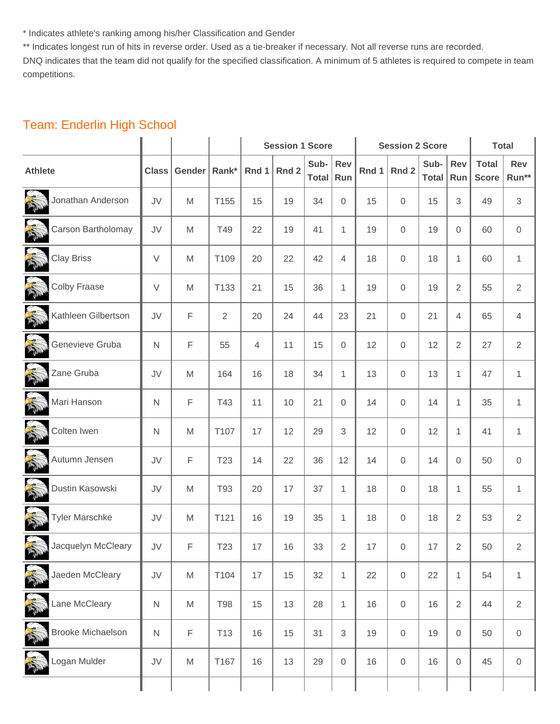\* Indicates athlete's ranking among his/her Classification and Gender

\*\* Indicates longest run of hits in reverse order. Used as a tie-breaker if necessary. Not all reverse runs are recorded.

DNQ indicates that the team did not qualify for the specified classification. A minimum of 5 athletes is required to compete in team competitions.

## Team: Enderlin High School

|                                  |                  |                                                                                                            |                 |        | <b>Session 1 Score</b> |               |                  |       | <b>Session 2 Score</b> |                      |                | <b>Total</b>                 |                |
|----------------------------------|------------------|------------------------------------------------------------------------------------------------------------|-----------------|--------|------------------------|---------------|------------------|-------|------------------------|----------------------|----------------|------------------------------|----------------|
| <b>Athlete</b>                   | <b>Class</b>     | Gender                                                                                                     | Rank*           | Rnd 1  | Rnd 2                  | Sub-<br>Total | Rev<br>Run       | Rnd 1 | Rnd 2                  | Sub-<br><b>Total</b> | Rev<br>Run     | <b>Total</b><br><b>Score</b> | Rev<br>Run**   |
| PRODUCTS<br>Jonathan Anderson    | JV               | M                                                                                                          | T155            | 15     | 19                     | 34            | 0                | 15    | $\mathbf 0$            | 15                   | 3              | 49                           | $\sqrt{3}$     |
| Carson Bartholomay               | JV               | M                                                                                                          | T49             | 22     | 19                     | 41            | 1                | 19    | $\mathbf 0$            | 19                   | $\overline{0}$ | 60                           | $\,0\,$        |
| 高<br><b>Clay Briss</b>           | $\vee$           | M                                                                                                          | T109            | 20     | 22                     | 42            | $\overline{4}$   | 18    | $\mathbf 0$            | 18                   | $\mathbf{1}$   | 60                           | $\mathbf{1}$   |
| N<br><b>Colby Fraase</b>         | $\vee$           | M                                                                                                          | T133            | 21     | 15                     | 36            | 1                | 19    | $\mathbf 0$            | 19                   | 2              | 55                           | $\overline{2}$ |
| N<br>Kathleen Gilbertson         | JV               | F                                                                                                          | $\overline{2}$  | 20     | 24                     | 44            | 23               | 21    | $\mathbf 0$            | 21                   | $\overline{4}$ | 65                           | $\overline{4}$ |
| Genevieve Gruba                  | $\mathsf{N}$     | F                                                                                                          | 55              | 4      | 11                     | 15            | $\boldsymbol{0}$ | 12    | $\mathbf 0$            | 12                   | 2              | 27                           | $\mathbf{2}$   |
| 豪<br>Zane Gruba                  | JV               | M                                                                                                          | 164             | 16     | 18                     | 34            | $\mathbf{1}$     | 13    | $\mathbf 0$            | 13                   | $\mathbf{1}$   | 47                           | $\mathbf{1}$   |
| T<br>Mari Hanson                 | $\mathsf{N}$     | F                                                                                                          | T43             | 11     | 10                     | 21            | 0                | 14    | $\mathbf 0$            | 14                   | 1              | 35                           | $\mathbf{1}$   |
| 扇<br>Colten Iwen                 | $\mathsf{N}$     | $\mathsf{M}% _{T}=\mathsf{M}_{T}\!\left( a,b\right) ,\ \mathsf{M}_{T}=\mathsf{M}_{T}\!\left( a,b\right) ,$ | T107            | 17     | 12                     | 29            | 3                | 12    | $\mathbf 0$            | 12                   | 1              | 41                           | $\mathbf{1}$   |
| 高<br>Autumn Jensen               | JV               | F                                                                                                          | T <sub>23</sub> | 14     | 22                     | 36            | 12               | 14    | $\mathbf 0$            | 14                   | $\overline{0}$ | 50                           | $\,0\,$        |
| 大地<br>Dustin Kasowski            | JV               | M                                                                                                          | T93             | 20     | 17                     | 37            | $\mathbf{1}$     | 18    | $\mathbf 0$            | 18                   | $\mathbf{1}$   | 55                           | $\mathbf{1}$   |
| N<br><b>Tyler Marschke</b>       | JV               | M                                                                                                          | T121            | 16     | 19                     | 35            | 1                | 18    | $\mathbf 0$            | 18                   | 2              | 53                           | $\overline{2}$ |
| Jacquelyn McCleary               | JV               | F                                                                                                          | T23             | $17\,$ | 16                     | 33            | $\overline{c}$   | 17    | $\mathbf 0$            | 17                   | 2              | 50                           | $\overline{2}$ |
| Jaeden McCleary                  | ${\sf J}{\sf V}$ | M                                                                                                          | T104            | 17     | 15                     | 32            | $\mathbf 1$      | 22    | $\mathbf 0$            | 22                   | $\mathbf{1}$   | 54                           | $\mathbf{1}$   |
| <b>Children</b><br>Lane McCleary | $\mathsf{N}$     | $\mathsf{M}% _{T}=\mathsf{M}_{T}\!\left( a,b\right) ,\ \mathsf{M}_{T}=\mathsf{M}_{T}\!\left( a,b\right) ,$ | <b>T98</b>      | 15     | 13                     | 28            | $\mathbf{1}$     | 16    | $\mathsf{O}\xspace$    | 16                   | $\overline{2}$ | 44                           | $\overline{2}$ |
| RE<br><b>Brooke Michaelson</b>   | $\mathsf{N}$     | F                                                                                                          | T <sub>13</sub> | 16     | 15                     | 31            | 3                | 19    | $\mathsf{O}\xspace$    | 19                   | 0              | 50                           | $\,0\,$        |
| ogan Mulder                      | JV               | M                                                                                                          | T167            | 16     | 13                     | 29            | $\mathbf 0$      | 16    | $\mathbf 0$            | 16                   | 0              | 45                           | $\,0\,$        |
|                                  |                  |                                                                                                            |                 |        |                        |               |                  |       |                        |                      |                |                              |                |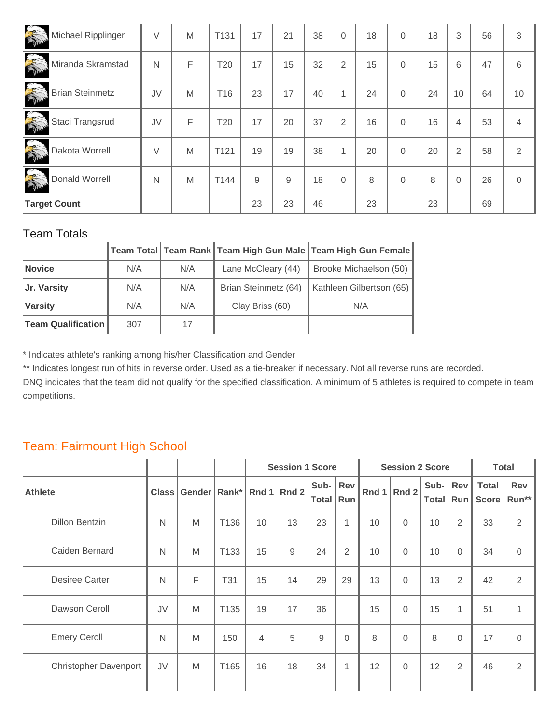| R<br>Michael Ripplinger       | $\vee$ | M | T <sub>131</sub> | 17 | 21 | 38 | $\overline{0}$ | 18 | $\Omega$ | 18 | 3              | 56 | 3              |
|-------------------------------|--------|---|------------------|----|----|----|----------------|----|----------|----|----------------|----|----------------|
| Miranda Skramstad             | N      | F | T <sub>20</sub>  | 17 | 15 | 32 | 2              | 15 | $\Omega$ | 15 | 6              | 47 | 6              |
| 美<br><b>Brian Steinmetz</b>   | JV     | M | T <sub>16</sub>  | 23 | 17 | 40 | $\overline{A}$ | 24 | $\Omega$ | 24 | 10             | 64 | 10             |
| <b>REA</b><br>Staci Trangsrud | JV     | F | T20              | 17 | 20 | 37 | 2              | 16 | $\Omega$ | 16 | 4              | 53 | 4              |
| 高<br>Dakota Worrell           | $\vee$ | M | T <sub>121</sub> | 19 | 19 | 38 | 1              | 20 | $\Omega$ | 20 | $\overline{2}$ | 58 | $\overline{2}$ |
| Donald Worrell                | N      | M | T144             | 9  | 9  | 18 | $\mathbf 0$    | 8  | $\Omega$ | 8  | $\Omega$       | 26 | $\Omega$       |
| <b>Target Count</b>           |        |   |                  | 23 | 23 | 46 |                | 23 |          | 23 |                | 69 |                |

|                           |     |     |                      | Team Total Team Rank Team High Gun Male Team High Gun Female |
|---------------------------|-----|-----|----------------------|--------------------------------------------------------------|
| <b>Novice</b>             | N/A | N/A | Lane McCleary (44)   | Brooke Michaelson (50)                                       |
| Jr. Varsity               | N/A | N/A | Brian Steinmetz (64) | Kathleen Gilbertson (65)                                     |
| <b>Varsity</b>            | N/A | N/A | Clay Briss (60)      | N/A                                                          |
| <b>Team Qualification</b> | 307 | 17  |                      |                                                              |

\* Indicates athlete's ranking among his/her Classification and Gender

\*\* Indicates longest run of hits in reverse order. Used as a tie-breaker if necessary. Not all reverse runs are recorded.

DNQ indicates that the team did not qualify for the specified classification. A minimum of 5 athletes is required to compete in team competitions.

# Team: Fairmount High School

| $\checkmark$                 |              |                |                  |                |                        |                         |              |         |                        |                             |                |                       |                     |
|------------------------------|--------------|----------------|------------------|----------------|------------------------|-------------------------|--------------|---------|------------------------|-----------------------------|----------------|-----------------------|---------------------|
|                              |              |                |                  |                | <b>Session 1 Score</b> |                         |              |         | <b>Session 2 Score</b> |                             |                | <b>Total</b>          |                     |
| <b>Athlete</b>               | <b>Class</b> | Gender   Rank* |                  | Rnd 1          | Rnd 2                  | Sub- Rev<br>Total   Run |              | Rnd $1$ | Rnd 2                  | Sub- $\vert$<br>Total   Run | Rev            | <b>Total</b><br>Score | <b>Rev</b><br>Run** |
| <b>Dillon Bentzin</b>        | N            | M              | T136             | 10             | 13                     | 23                      | 1            | 10      | $\mathbf 0$            | 10                          | $\overline{2}$ | 33                    | $\overline{2}$      |
| Caiden Bernard               | $\mathsf{N}$ | M              | T <sub>133</sub> | 15             | 9                      | 24                      | 2            | 10      | $\mathbf 0$            | 10                          | $\Omega$       | 34                    | 0                   |
| <b>Desiree Carter</b>        | $\mathsf{N}$ | F              | T31              | 15             | 14                     | 29                      | 29           | 13      | $\overline{0}$         | 13                          | 2              | 42                    | 2                   |
| Dawson Ceroll                | JV           | M              | T <sub>135</sub> | 19             | 17                     | 36                      |              | 15      | $\mathbf 0$            | 15                          | 1              | 51                    | 1                   |
| <b>Emery Ceroll</b>          | N            | M              | 150              | $\overline{4}$ | 5                      | 9                       | $\Omega$     | 8       | $\Omega$               | 8                           | $\Omega$       | 17                    | $\overline{0}$      |
| <b>Christopher Davenport</b> | JV           | M              | T165             | 16             | 18                     | 34                      | $\mathbf{1}$ | 12      | $\overline{0}$         | 12                          | 2              | 46                    | $\overline{2}$      |
|                              |              |                |                  |                |                        |                         |              |         |                        |                             |                |                       |                     |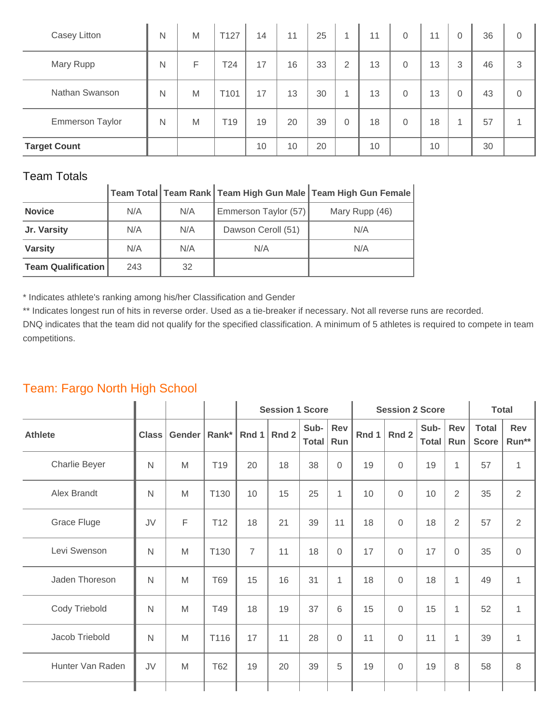| Casey Litton           | N | M | T127 | 14 | 11 | 25 | и        | 11 | $\Omega$       | 11 | $\Omega$       | 36 | 0 |
|------------------------|---|---|------|----|----|----|----------|----|----------------|----|----------------|----|---|
| Mary Rupp              | N | F | T24  | 17 | 16 | 33 | 2        | 13 | $\overline{0}$ | 13 | 3              | 46 | 3 |
| Nathan Swanson         | N | M | T101 | 17 | 13 | 30 |          | 13 | $\mathbf{0}$   | 13 | $\overline{0}$ | 43 | 0 |
| <b>Emmerson Taylor</b> | N | M | T19  | 19 | 20 | 39 | $\Omega$ | 18 | $\Omega$       | 18 |                | 57 |   |
| <b>Target Count</b>    |   |   |      | 10 | 10 | 20 |          | 10 |                | 10 |                | 30 |   |

|                           |     |     |                      | │<br>│Team Total│Team Rank│Team High Gun Male│Team High Gun Female |
|---------------------------|-----|-----|----------------------|--------------------------------------------------------------------|
| <b>Novice</b>             | N/A | N/A | Emmerson Taylor (57) | Mary Rupp (46)                                                     |
| Jr. Varsity               | N/A | N/A | Dawson Ceroll (51)   | N/A                                                                |
| <b>Varsity</b>            | N/A | N/A | N/A                  | N/A                                                                |
| <b>Team Qualification</b> | 243 | 32  |                      |                                                                    |

\* Indicates athlete's ranking among his/her Classification and Gender

\*\* Indicates longest run of hits in reverse order. Used as a tie-breaker if necessary. Not all reverse runs are recorded.

DNQ indicates that the team did not qualify for the specified classification. A minimum of 5 athletes is required to compete in team competitions.

## Team: Fargo North High School

|                  |              |        |                 |                | <b>Session 1 Score</b> |               |                  |       | <b>Session 2 Score</b> |                      |                   |                              | <b>Total</b>        |
|------------------|--------------|--------|-----------------|----------------|------------------------|---------------|------------------|-------|------------------------|----------------------|-------------------|------------------------------|---------------------|
| <b>Athlete</b>   | <b>Class</b> | Gender | Rank*           | Rnd 1          | Rnd 2                  | Sub-<br>Total | Rev<br>Run       | Rnd 1 | Rnd 2                  | Sub-<br><b>Total</b> | <b>Rev</b><br>Run | <b>Total</b><br><b>Score</b> | <b>Rev</b><br>Run** |
| Charlie Beyer    | $\mathsf{N}$ | M      | T <sub>19</sub> | 20             | 18                     | 38            | $\overline{0}$   | 19    | $\overline{0}$         | 19                   | 1                 | 57                           | 1                   |
| Alex Brandt      | $\mathsf{N}$ | M      | T130            | 10             | 15                     | 25            | $\mathbf 1$      | 10    | 0                      | 10                   | $\overline{2}$    | 35                           | $\overline{2}$      |
| Grace Fluge      | JV           | F      | T <sub>12</sub> | 18             | 21                     | 39            | 11               | 18    | $\overline{0}$         | 18                   | $\overline{2}$    | 57                           | $\overline{2}$      |
| Levi Swenson     | $\mathsf{N}$ | M      | T130            | $\overline{7}$ | 11                     | 18            | $\mathbf 0$      | 17    | $\overline{0}$         | 17                   | $\Omega$          | 35                           | $\mathbf 0$         |
| Jaden Thoreson   | $\mathsf{N}$ | M      | <b>T69</b>      | 15             | 16                     | 31            | 1                | 18    | 0                      | 18                   | 1                 | 49                           | 1                   |
| Cody Triebold    | $\mathsf{N}$ | M      | T49             | 18             | 19                     | 37            | 6                | 15    | 0                      | 15                   | 1                 | 52                           | 1                   |
| Jacob Triebold   | $\mathsf{N}$ | M      | T116            | 17             | 11                     | 28            | $\boldsymbol{0}$ | 11    | $\Omega$               | 11                   | 1                 | 39                           | 1                   |
| Hunter Van Raden | JV           | M      | <b>T62</b>      | 19             | 20                     | 39            | 5                | 19    | 0                      | 19                   | 8                 | 58                           | $\,8\,$             |
|                  |              |        |                 |                |                        |               |                  |       |                        |                      |                   |                              |                     |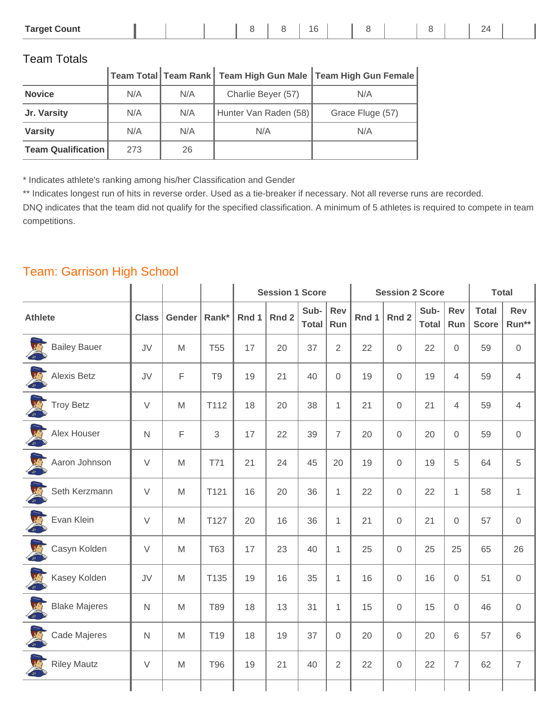| <u>_</u> | <b>Target Count</b> |  |  |  |  |  | 16 |  |  |  |  |  |  |  |
|----------|---------------------|--|--|--|--|--|----|--|--|--|--|--|--|--|
|----------|---------------------|--|--|--|--|--|----|--|--|--|--|--|--|--|

|                           |     |     |                       | $\vert$ Team Total $\vert$ Team Rank $\vert$ Team High Gun Male $\vert$ Team High Gun Female $\vert$ |
|---------------------------|-----|-----|-----------------------|------------------------------------------------------------------------------------------------------|
| <b>Novice</b>             | N/A | N/A | Charlie Beyer (57)    | N/A                                                                                                  |
| Jr. Varsity               | N/A | N/A | Hunter Van Raden (58) | Grace Fluge (57)                                                                                     |
| <b>Varsity</b>            | N/A | N/A | N/A                   | N/A                                                                                                  |
| <b>Team Qualification</b> | 273 | 26  |                       |                                                                                                      |

\* Indicates athlete's ranking among his/her Classification and Gender

\*\* Indicates longest run of hits in reverse order. Used as a tie-breaker if necessary. Not all reverse runs are recorded.

DNQ indicates that the team did not qualify for the specified classification. A minimum of 5 athletes is required to compete in team competitions.

#### Team: Garrison High School

|                                  |              |        |                | <b>Session 1 Score</b><br><b>Session 2 Score</b> |       |                      |                     | <b>Total</b> |                |                      |                   |                              |                     |
|----------------------------------|--------------|--------|----------------|--------------------------------------------------|-------|----------------------|---------------------|--------------|----------------|----------------------|-------------------|------------------------------|---------------------|
| <b>Athlete</b>                   | <b>Class</b> | Gender | Rank*          | Rnd 1                                            | Rnd 2 | Sub-<br><b>Total</b> | <b>Rev</b><br>Run   | Rnd 1        | Rnd 2          | Sub-<br><b>Total</b> | <b>Rev</b><br>Run | <b>Total</b><br><b>Score</b> | Rev<br>Run**        |
| 四<br><b>Bailey Bauer</b>         | JV           | M      | <b>T55</b>     | 17                                               | 20    | 37                   | $\overline{2}$      | 22           | $\overline{0}$ | 22                   | $\mathbf 0$       | 59                           | $\mathsf{O}\xspace$ |
| <b>ALC</b><br><b>Alexis Betz</b> | JV           | F      | T <sub>9</sub> | 19                                               | 21    | 40                   | $\mathsf{O}\xspace$ | 19           | $\mathbf 0$    | 19                   | 4                 | 59                           | $\overline{4}$      |
| I<br><b>Troy Betz</b>            | $\vee$       | M      | T112           | 18                                               | 20    | 38                   | $\mathbf{1}$        | 21           | $\mathbf 0$    | 21                   | 4                 | 59                           | $\overline{4}$      |
| Alex Houser                      | $\mathsf{N}$ | F      | 3              | 17                                               | 22    | 39                   | $\overline{7}$      | 20           | $\mathbf 0$    | 20                   | 0                 | 59                           | $\mathsf{O}\xspace$ |
| Aaron Johnson                    | $\vee$       | M      | T71            | 21                                               | 24    | 45                   | 20                  | 19           | $\mathbf 0$    | 19                   | 5                 | 64                           | $\sqrt{5}$          |
| Seth Kerzmann                    | $\vee$       | M      | T121           | 16                                               | 20    | 36                   | $\mathbf{1}$        | 22           | $\mathbf 0$    | 22                   | $\mathbf{1}$      | 58                           | $\mathbf{1}$        |
| Evan Klein                       | $\vee$       | M      | T127           | 20                                               | 16    | 36                   | $\mathbf{1}$        | 21           | $\mathbf{0}$   | 21                   | $\mathbf{0}$      | 57                           | $\mathbf 0$         |
| Casyn Kolden                     | $\vee$       | M      | <b>T63</b>     | 17                                               | 23    | 40                   | $\mathbf{1}$        | 25           | $\mathbf 0$    | 25                   | 25                | 65                           | 26                  |
| Kasey Kolden                     | JV           | M      | T135           | 19                                               | 16    | 35                   | $\mathbf{1}$        | 16           | $\mathbf 0$    | 16                   | $\mathbf 0$       | 51                           | $\mathsf{O}\xspace$ |
| 四<br><b>Blake Majeres</b>        | $\mathsf{N}$ | M      | T89            | 18                                               | 13    | 31                   | $\mathbf{1}$        | 15           | $\mathbf 0$    | 15                   | $\overline{0}$    | 46                           | $\mathbf 0$         |
| Cade Majeres                     | N            | M      | T19            | 18                                               | 19    | 37                   | $\boldsymbol{0}$    | 20           | $\mathbf 0$    | 20                   | 6                 | 57                           | 6                   |
| <b>Riley Mautz</b>               | $\vee$       | M      | <b>T96</b>     | 19                                               | 21    | 40                   | $\overline{2}$      | 22           | $\mathbf 0$    | 22                   | $\overline{7}$    | 62                           | $\overline{7}$      |
|                                  |              |        |                |                                                  |       |                      |                     |              |                |                      |                   |                              |                     |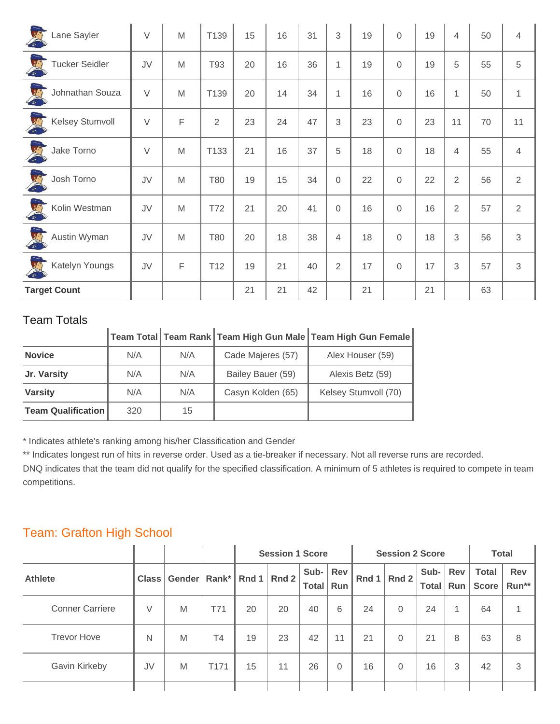| Lane Sayler                      | V      | M | T139            | 15 | 16 | 31 | 3              | 19 | $\mathbf 0$    | 19 | 4              | 50 | $\overline{4}$ |
|----------------------------------|--------|---|-----------------|----|----|----|----------------|----|----------------|----|----------------|----|----------------|
| REA<br><b>Tucker Seidler</b>     | JV     | M | T93             | 20 | 16 | 36 | $\mathbf{1}$   | 19 | $\overline{0}$ | 19 | 5              | 55 | 5              |
| REA<br>Johnathan Souza           | $\vee$ | M | T139            | 20 | 14 | 34 | $\mathbf{1}$   | 16 | $\overline{0}$ | 16 | $\mathbf{1}$   | 50 | $\mathbf{1}$   |
| <b>TRIPS</b><br>Kelsey Stumvoll  | $\vee$ | F | $\overline{2}$  | 23 | 24 | 47 | 3              | 23 | $\overline{0}$ | 23 | 11             | 70 | 11             |
| <b>TRACK</b><br>Jake Torno       | $\vee$ | M | T133            | 21 | 16 | 37 | 5              | 18 | $\overline{0}$ | 18 | 4              | 55 | $\overline{4}$ |
| <b>TRACK</b><br>Josh Torno       | JV     | M | T80             | 19 | 15 | 34 | $\mathbf 0$    | 22 | $\mathbf 0$    | 22 | $\overline{2}$ | 56 | 2              |
| Kolin Westman                    | JV     | M | T72             | 21 | 20 | 41 | $\mathbf 0$    | 16 | $\mathbf{0}$   | 16 | $\overline{2}$ | 57 | $\overline{2}$ |
| <b>CONTROL</b><br>Austin Wyman   | JV     | M | T80             | 20 | 18 | 38 | 4              | 18 | $\overline{0}$ | 18 | 3              | 56 | $\sqrt{3}$     |
| <b>Company</b><br>Katelyn Youngs | JV     | F | T <sub>12</sub> | 19 | 21 | 40 | $\overline{2}$ | 17 | $\mathbf 0$    | 17 | 3              | 57 | $\mathfrak{Z}$ |
| <b>Target Count</b>              |        |   |                 | 21 | 21 | 42 |                | 21 |                | 21 |                | 63 |                |

|                           |     |     |                   | Team Total   Team Rank   Team High Gun Male   Team High Gun Female |
|---------------------------|-----|-----|-------------------|--------------------------------------------------------------------|
| <b>Novice</b>             | N/A | N/A | Cade Majeres (57) | Alex Houser (59)                                                   |
| Jr. Varsity               | N/A | N/A | Bailey Bauer (59) | Alexis Betz (59)                                                   |
| <b>Varsity</b>            | N/A | N/A | Casyn Kolden (65) | Kelsey Stumvoll (70)                                               |
| <b>Team Qualification</b> | 320 | 15  |                   |                                                                    |

\* Indicates athlete's ranking among his/her Classification and Gender

\*\* Indicates longest run of hits in reverse order. Used as a tie-breaker if necessary. Not all reverse runs are recorded.

DNQ indicates that the team did not qualify for the specified classification. A minimum of 5 athletes is required to compete in team competitions.

#### Team: Grafton High School

|                        |              |        |                       | <b>Session 1 Score</b> |               |               |                | <b>Session 2 Score</b> | <b>Total</b> |      |     |                                     |              |
|------------------------|--------------|--------|-----------------------|------------------------|---------------|---------------|----------------|------------------------|--------------|------|-----|-------------------------------------|--------------|
| <b>Athlete</b>         | <b>Class</b> | Gender | $\vert$ Rank* $\vert$ |                        | Rnd 1   Rnd 2 | Sub-<br>Total | Rev<br>Run     |                        | Rnd 1 Rnd 2  | Sub- | Rev | <b>Total</b><br>Total   Run   Score | Rev<br>Run** |
| <b>Conner Carriere</b> | V            | M      | T71                   | 20                     | 20            | 40            | 6              | 24                     | $\Omega$     | 24   |     | 64                                  |              |
| <b>Trevor Hove</b>     | N            | M      | T4                    | 19                     | 23            | 42            | 11             | 21                     | $\Omega$     | 21   | 8   | 63                                  | 8            |
| Gavin Kirkeby          | JV           | M      | T <sub>171</sub>      | 15                     | 11            | 26            | $\overline{0}$ | 16                     | $\Omega$     | 16   | 3   | 42                                  | 3            |
|                        |              |        |                       |                        |               |               |                |                        |              |      |     |                                     |              |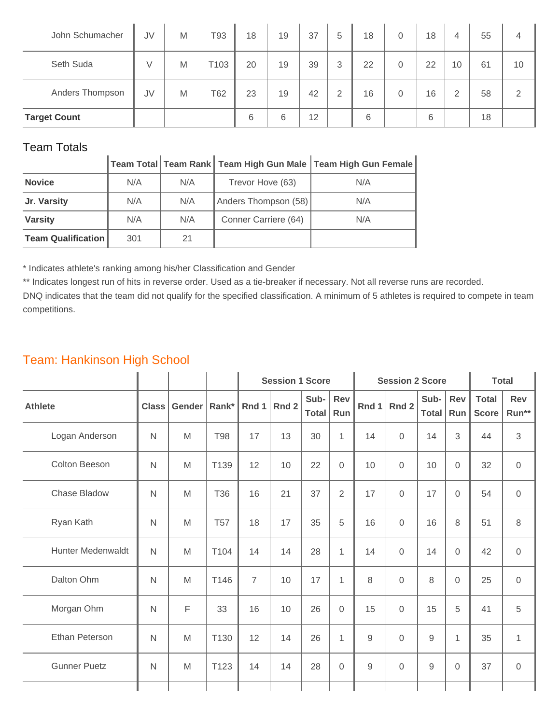| John Schumacher     | JV | M | T93  | 18 | 19 | 37 | 5              | 18 | $\Omega$       | 18 | 4  | 55 | 4  |
|---------------------|----|---|------|----|----|----|----------------|----|----------------|----|----|----|----|
| Seth Suda           | V  | M | T103 | 20 | 19 | 39 | 3              | 22 | $\overline{0}$ | 22 | 10 | 61 | 10 |
| Anders Thompson     | JV | M | T62  | 23 | 19 | 42 | $\overline{2}$ | 16 | $\Omega$       | 16 | 2  | 58 | っ  |
| <b>Target Count</b> |    |   |      | 6  | 6  | 12 |                | 6  |                | 6  |    | 18 |    |

|                           |     |     |                      | Team Total Team Rank   Team High Gun Male   Team High Gun Female |
|---------------------------|-----|-----|----------------------|------------------------------------------------------------------|
| <b>Novice</b>             | N/A | N/A | Trevor Hove (63)     | N/A                                                              |
| Jr. Varsity               | N/A | N/A | Anders Thompson (58) | N/A                                                              |
| <b>Varsity</b>            | N/A | N/A | Conner Carriere (64) | N/A                                                              |
| <b>Team Qualification</b> | 301 | 21  |                      |                                                                  |

\* Indicates athlete's ranking among his/her Classification and Gender

\*\* Indicates longest run of hits in reverse order. Used as a tie-breaker if necessary. Not all reverse runs are recorded.

DNQ indicates that the team did not qualify for the specified classification. A minimum of 5 athletes is required to compete in team competitions.

## Team: Hankinson High School

|                          |              |        |            | <b>Session 1 Score</b> |       |                      |                   | <b>Session 2 Score</b> | <b>Total</b>   |                      |                |                              |                     |
|--------------------------|--------------|--------|------------|------------------------|-------|----------------------|-------------------|------------------------|----------------|----------------------|----------------|------------------------------|---------------------|
| <b>Athlete</b>           | <b>Class</b> | Gender | Rank*      | Rnd 1                  | Rnd 2 | Sub-<br><b>Total</b> | <b>Rev</b><br>Run | Rnd 1                  | Rnd 2          | Sub-<br><b>Total</b> | Rev<br>Run     | <b>Total</b><br><b>Score</b> | <b>Rev</b><br>Run** |
| Logan Anderson           | $\mathsf{N}$ | M      | <b>T98</b> | 17                     | 13    | 30                   | $\mathbf{1}$      | 14                     | $\mathbf 0$    | 14                   | 3              | 44                           | $\sqrt{3}$          |
| <b>Colton Beeson</b>     | $\mathsf{N}$ | M      | T139       | 12                     | 10    | 22                   | $\mathbf 0$       | 10                     | $\mathbf 0$    | 10                   | 0              | 32                           | $\mathbf 0$         |
| Chase Bladow             | $\mathsf{N}$ | M      | T36        | 16                     | 21    | 37                   | $\overline{2}$    | 17                     | $\mathbf 0$    | 17                   | 0              | 54                           | $\mathbf 0$         |
| Ryan Kath                | N            | M      | <b>T57</b> | 18                     | 17    | 35                   | 5                 | 16                     | $\mathbf 0$    | 16                   | 8              | 51                           | $\,8\,$             |
| <b>Hunter Medenwaldt</b> | $\mathsf{N}$ | M      | T104       | 14                     | 14    | 28                   | $\mathbf 1$       | 14                     | $\mathbf 0$    | 14                   | 0              | 42                           | $\mathbf 0$         |
| Dalton Ohm               | $\mathsf{N}$ | M      | T146       | $\overline{7}$         | 10    | 17                   | 1                 | 8                      | $\overline{0}$ | 8                    | $\Omega$       | 25                           | $\mathbf 0$         |
| Morgan Ohm               | $\mathsf{N}$ | F      | 33         | 16                     | 10    | 26                   | $\mathbf 0$       | 15                     | $\mathbf 0$    | 15                   | 5              | 41                           | $\sqrt{5}$          |
| Ethan Peterson           | $\mathsf{N}$ | M      | T130       | 12                     | 14    | 26                   | 1                 | 9                      | $\overline{0}$ | 9                    | 1              | 35                           | 1                   |
| <b>Gunner Puetz</b>      | $\mathsf{N}$ | M      | T123       | 14                     | 14    | 28                   | $\mathbf 0$       | $\hbox{9}$             | $\mathbf 0$    | $9\,$                | $\overline{0}$ | 37                           | $\mathbf 0$         |
|                          |              |        |            |                        |       |                      |                   |                        |                |                      |                |                              |                     |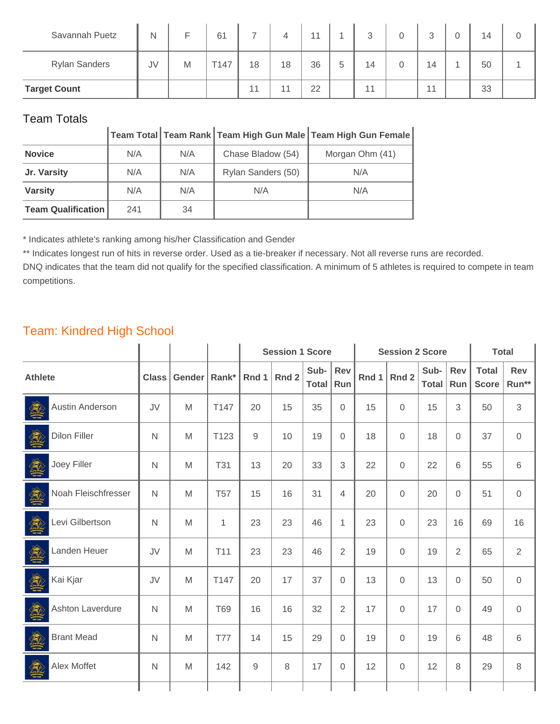| Savannah Puetz       | N  |   | 61   |       | 4  | $-11$ |   | ↷<br>ت | 0 | $\mathbf{r}$<br>J | 0 | 14 |  |
|----------------------|----|---|------|-------|----|-------|---|--------|---|-------------------|---|----|--|
| <b>Rylan Sanders</b> | JV | M | T147 | 18    | 18 | 36    | 5 | 14     |   | 14                |   | 50 |  |
| <b>Target Count</b>  |    |   |      | $-11$ | 11 | 22    |   | 44     |   | 11                |   | 33 |  |

|                           |     |     |                    | Team Total   Team Rank   Team High Gun Male   Team High Gun Female |
|---------------------------|-----|-----|--------------------|--------------------------------------------------------------------|
| <b>Novice</b>             | N/A | N/A | Chase Bladow (54)  | Morgan Ohm (41)                                                    |
| Jr. Varsity               | N/A | N/A | Rylan Sanders (50) | N/A                                                                |
| <b>Varsity</b>            | N/A | N/A | N/A                | N/A                                                                |
| <b>Team Qualification</b> | 241 | 34  |                    |                                                                    |

\* Indicates athlete's ranking among his/her Classification and Gender

\*\* Indicates longest run of hits in reverse order. Used as a tie-breaker if necessary. Not all reverse runs are recorded.

DNQ indicates that the team did not qualify for the specified classification. A minimum of 5 athletes is required to compete in team competitions.

#### Team: Kindred High School

|                      |                         |              |        |                 | <b>Session 1 Score</b> |       |               |                | <b>Session 2 Score</b> |              | <b>Total</b>         |                   |                              |                     |
|----------------------|-------------------------|--------------|--------|-----------------|------------------------|-------|---------------|----------------|------------------------|--------------|----------------------|-------------------|------------------------------|---------------------|
| <b>Athlete</b>       |                         | <b>Class</b> | Gender | Rank*           | Rnd 1                  | Rnd 2 | Sub-<br>Total | Rev<br>Run     | Rnd 1                  | Rnd 2        | Sub-<br><b>Total</b> | <b>Rev</b><br>Run | <b>Total</b><br><b>Score</b> | <b>Rev</b><br>Run** |
| <b>All Contracts</b> | Austin Anderson         | JV           | M      | T147            | 20                     | 15    | 35            | $\mathbf 0$    | 15                     | $\Omega$     | 15                   | 3                 | 50                           | 3                   |
|                      | <b>Dilon Filler</b>     | N            | M      | T123            | 9                      | 10    | 19            | $\mathbf 0$    | 18                     | $\mathbf{0}$ | 18                   | 0                 | 37                           | $\overline{0}$      |
|                      | Joey Filler             | $\mathsf{N}$ | M      | <b>T31</b>      | 13                     | 20    | 33            | 3              | 22                     | $\mathbf{0}$ | 22                   | 6                 | 55                           | $6\,$               |
|                      | Noah Fleischfresser     | N            | M      | <b>T57</b>      | 15                     | 16    | 31            | 4              | 20                     | $\Omega$     | 20                   | 0                 | 51                           | $\mathbf 0$         |
|                      | Levi Gilbertson         | N            | M      | 1               | 23                     | 23    | 46            | 1              | 23                     | $\Omega$     | 23                   | 16                | 69                           | 16                  |
|                      | Landen Heuer            | JV           | M      | T <sub>11</sub> | 23                     | 23    | 46            | $\overline{2}$ | 19                     | $\Omega$     | 19                   | 2                 | 65                           | 2                   |
|                      | Kai Kjar                | JV           | M      | T147            | 20                     | 17    | 37            | $\mathbf 0$    | 13                     | $\Omega$     | 13                   | 0                 | 50                           | $\mathbf 0$         |
|                      | <b>Ashton Laverdure</b> | N            | M      | <b>T69</b>      | 16                     | 16    | 32            | $\overline{2}$ | 17                     | $\Omega$     | 17                   | 0                 | 49                           | $\overline{0}$      |
|                      | <b>Brant Mead</b>       | N            | M      | <b>T77</b>      | 14                     | 15    | 29            | $\mathbf 0$    | 19                     | $\Omega$     | 19                   | 6                 | 48                           | 6                   |
| <b>AND</b>           | Alex Moffet             | $\mathsf{N}$ | M      | 142             | 9                      | 8     | 17            | $\mathbf 0$    | 12                     | $\mathbf 0$  | 12                   | 8                 | 29                           | 8                   |
|                      |                         |              |        |                 |                        |       |               |                |                        |              |                      |                   |                              |                     |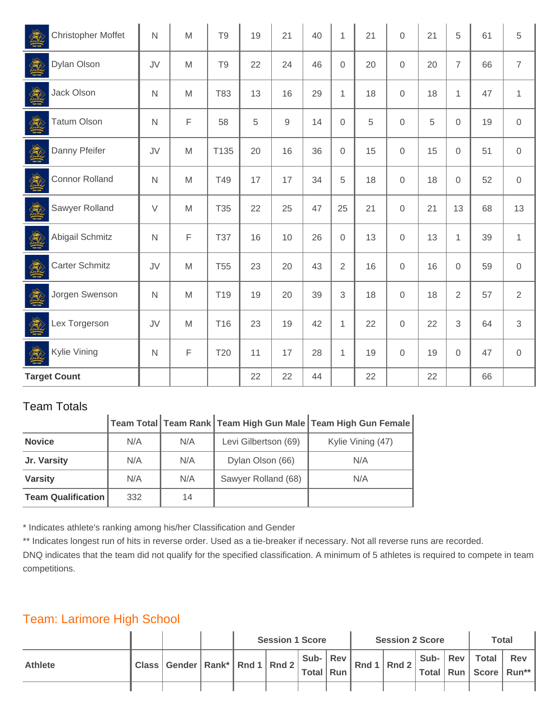| Christopher Moffet    | $\mathsf{N}$ | M | T <sub>9</sub>  | 19 | 21         | 40 | $\mathbf{1}$   | 21 | $\overline{0}$ | 21 | 5              | 61 | 5              |
|-----------------------|--------------|---|-----------------|----|------------|----|----------------|----|----------------|----|----------------|----|----------------|
| Dylan Olson           | JV           | M | T <sub>9</sub>  | 22 | 24         | 46 | $\mathbf 0$    | 20 | $\mathbf{0}$   | 20 | $\overline{7}$ | 66 | $\overline{7}$ |
| Jack Olson            | $\mathsf{N}$ | M | T83             | 13 | 16         | 29 | $\mathbf 1$    | 18 | $\mathbf 0$    | 18 | 1              | 47 | $\mathbf{1}$   |
| <b>Tatum Olson</b>    | $\mathsf{N}$ | F | 58              | 5  | $\hbox{9}$ | 14 | $\mathbf 0$    | 5  | $\mathbf 0$    | 5  | 0              | 19 | $\mathbf 0$    |
| Danny Pfeifer         | JV           | M | T135            | 20 | 16         | 36 | $\mathbf 0$    | 15 | $\mathbf 0$    | 15 | $\mathbf 0$    | 51 | $\mathbf 0$    |
| <b>Connor Rolland</b> | $\mathsf{N}$ | M | T49             | 17 | 17         | 34 | 5              | 18 | $\mathbf 0$    | 18 | 0              | 52 | $\mathbf 0$    |
| Sawyer Rolland        | $\vee$       | M | T <sub>35</sub> | 22 | 25         | 47 | 25             | 21 | $\mathbf 0$    | 21 | 13             | 68 | 13             |
| Abigail Schmitz       | $\mathsf{N}$ | F | <b>T37</b>      | 16 | 10         | 26 | $\mathbf 0$    | 13 | $\mathbf 0$    | 13 | 1              | 39 | $\mathbf{1}$   |
| <b>Carter Schmitz</b> | JV           | M | <b>T55</b>      | 23 | 20         | 43 | $\overline{2}$ | 16 | $\mathbf{0}$   | 16 | 0              | 59 | $\mathbf 0$    |
| Jorgen Swenson        | $\mathsf{N}$ | M | T <sub>19</sub> | 19 | 20         | 39 | $\sqrt{3}$     | 18 | $\mathbf 0$    | 18 | $\overline{2}$ | 57 | $\overline{2}$ |
| Lex Torgerson         | JV           | M | T16             | 23 | 19         | 42 | $\mathbf{1}$   | 22 | $\mathbf 0$    | 22 | 3              | 64 | 3              |
| Kylie Vining          | $\mathsf{N}$ | F | T20             | 11 | 17         | 28 | 1              | 19 | $\mathbf 0$    | 19 | 0              | 47 | $\mathbf 0$    |
| <b>Target Count</b>   |              |   |                 | 22 | 22         | 44 |                | 22 |                | 22 |                | 66 |                |

| TUQITI TULGIO             |     |     |                      |                                                                                                      |
|---------------------------|-----|-----|----------------------|------------------------------------------------------------------------------------------------------|
|                           |     |     |                      | $\vert$ Team Total $\vert$ Team Rank $\vert$ Team High Gun Male $\vert$ Team High Gun Female $\vert$ |
| <b>Novice</b>             | N/A | N/A | Levi Gilbertson (69) | Kylie Vining (47)                                                                                    |
| Jr. Varsity               | N/A | N/A | Dylan Olson (66)     | N/A                                                                                                  |
| <b>Varsity</b>            | N/A | N/A | Sawyer Rolland (68)  | N/A                                                                                                  |
| <b>Team Qualification</b> | 332 | 14  |                      |                                                                                                      |

\* Indicates athlete's ranking among his/her Classification and Gender

\*\* Indicates longest run of hits in reverse order. Used as a tie-breaker if necessary. Not all reverse runs are recorded.

DNQ indicates that the team did not qualify for the specified classification. A minimum of 5 athletes is required to compete in team competitions.

#### Team: Larimore High School

 $\mathbb{Z}^2$ 

|                |                                                  |  | <b>Session 1 Score</b> |  | <b>Session 2 Score</b>                                                                                                                | <b>Total</b> |  |                                                      |     |
|----------------|--------------------------------------------------|--|------------------------|--|---------------------------------------------------------------------------------------------------------------------------------------|--------------|--|------------------------------------------------------|-----|
| <b>Athlete</b> | I Class Gender Rank* Rnd 1 Rnd 2 Total Run Rnd 1 |  |                        |  | $\begin{array}{c c c c} \n\end{array}$ Sub- $\begin{array}{c c} \n\end{array}$ Rev $\begin{array}{c c} \n\end{array}$ Rnd 2   _______ |              |  | Sub-   Rev   Total  <br>'Total   Run   Score   Run** | Rev |
|                |                                                  |  |                        |  |                                                                                                                                       |              |  |                                                      |     |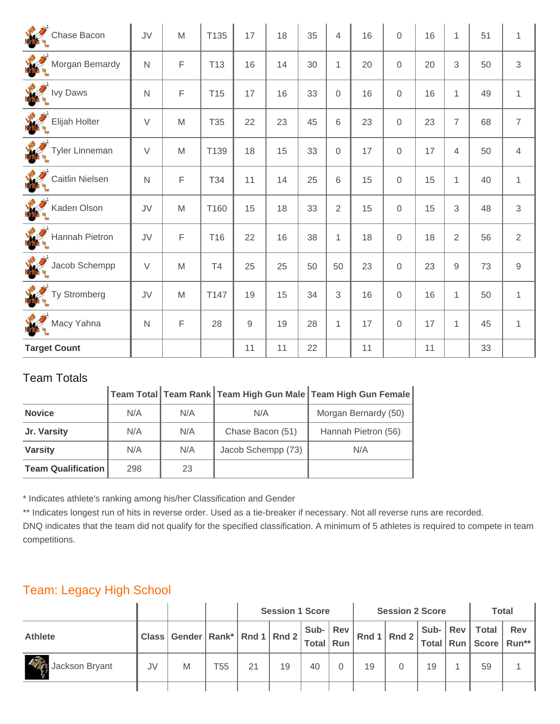| Chase Bacon          | JV             | M | T135            | 17         | 18 | 35 | 4              | 16 | $\overline{0}$ | 16 | $\mathbf{1}$   | 51 | $\mathbf{1}$   |
|----------------------|----------------|---|-----------------|------------|----|----|----------------|----|----------------|----|----------------|----|----------------|
| Morgan Bernardy      | $\overline{N}$ | F | T <sub>13</sub> | 16         | 14 | 30 | 1              | 20 | $\mathbf 0$    | 20 | 3              | 50 | 3              |
| <b>WARE IVY Daws</b> | $\mathsf{N}$   | F | T <sub>15</sub> | 17         | 16 | 33 | $\mathbf 0$    | 16 | $\overline{0}$ | 16 | $\mathbf{1}$   | 49 | $\mathbf{1}$   |
| Elijah Holter        | $\vee$         | M | T35             | 22         | 23 | 45 | 6              | 23 | $\overline{0}$ | 23 | $\overline{7}$ | 68 | $\overline{7}$ |
| Tyler Linneman       | $\vee$         | M | T139            | 18         | 15 | 33 | $\mathbf 0$    | 17 | $\mathbf{0}$   | 17 | 4              | 50 | $\overline{4}$ |
| Caitlin Nielsen      | $\overline{N}$ | F | T34             | 11         | 14 | 25 | 6              | 15 | $\mathbf{0}$   | 15 | $\mathbf{1}$   | 40 | $\mathbf{1}$   |
| Kaden Olson          | JV             | M | T160            | 15         | 18 | 33 | $\overline{2}$ | 15 | $\mathbf{0}$   | 15 | 3              | 48 | $\mathfrak{S}$ |
| Hannah Pietron       | JV             | F | T16             | 22         | 16 | 38 | $\mathbf{1}$   | 18 | $\mathbf{0}$   | 18 | $\overline{2}$ | 56 | $\overline{2}$ |
| Jacob Schempp        | $\vee$         | M | T4              | 25         | 25 | 50 | 50             | 23 | $\mathbf{0}$   | 23 | $\mathsf g$    | 73 | $\mathsf g$    |
| Ty Stromberg         | JV             | M | T147            | 19         | 15 | 34 | 3              | 16 | $\mathbf{0}$   | 16 | $\mathbf{1}$   | 50 | $\mathbf{1}$   |
| Macy Yahna           | $\overline{N}$ | F | 28              | $\hbox{9}$ | 19 | 28 | $\mathbf{1}$   | 17 | $\overline{0}$ | 17 | $\mathbf{1}$   | 45 | $\mathbf{1}$   |
| <b>Target Count</b>  |                |   |                 | 11         | 11 | 22 |                | 11 |                | 11 |                | 33 |                |

|                           |     |     |                    | │Team Total │Team Rank │Team High Gun Male │Team High Gun Female |
|---------------------------|-----|-----|--------------------|------------------------------------------------------------------|
| <b>Novice</b>             | N/A | N/A | N/A                | Morgan Bernardy (50)                                             |
| Jr. Varsity               | N/A | N/A | Chase Bacon (51)   | Hannah Pietron (56)                                              |
| <b>Varsity</b>            | N/A | N/A | Jacob Schempp (73) | N/A                                                              |
| <b>Team Qualification</b> | 298 | 23  |                    |                                                                  |

\* Indicates athlete's ranking among his/her Classification and Gender

\*\* Indicates longest run of hits in reverse order. Used as a tie-breaker if necessary. Not all reverse runs are recorded.

DNQ indicates that the team did not qualify for the specified classification. A minimum of 5 athletes is required to compete in team competitions.

## Team: Legacy High School

|                      |         |                                         |     | <b>Session 1 Score</b> |    |                  |  |    | <b>Session 2 Score</b> | <b>Total</b>     |              |                                                                                                                   |
|----------------------|---------|-----------------------------------------|-----|------------------------|----|------------------|--|----|------------------------|------------------|--------------|-------------------------------------------------------------------------------------------------------------------|
| <b>Athlete</b>       | Class I | J Gender Rank* Rnd 1 Rnd 2 Total Run R' |     |                        |    | Sub- $ $ Rev $ $ |  |    |                        | Sub- $ $ Rev $ $ | <b>Total</b> | Rev<br><sub>→</sub> Rnd 1 Rnd 2 $\vert$ $\frac{300}{\vert}$ Total $\vert$ Run $\vert$ Score $\vert$ Run** $\vert$ |
| 七番<br>Jackson Bryant | JV      | M                                       | T55 | 21                     | 19 | 40               |  | 19 |                        | 19               | 59           |                                                                                                                   |
|                      |         |                                         |     |                        |    |                  |  |    |                        |                  |              |                                                                                                                   |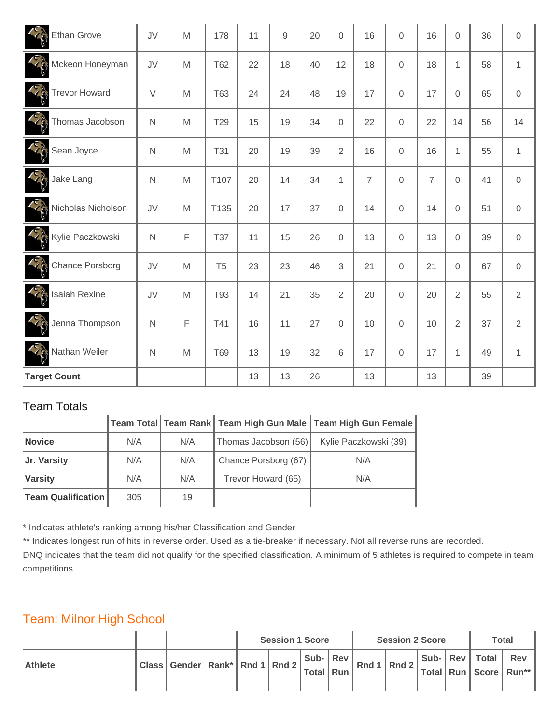| Ethan Grove                                      | JV           | M           | 178             | 11 | $\mathsf 9$ | 20 | $\mathbf 0$    | 16             | $\overline{0}$ | 16             | 0              | 36 | $\overline{0}$ |
|--------------------------------------------------|--------------|-------------|-----------------|----|-------------|----|----------------|----------------|----------------|----------------|----------------|----|----------------|
| Mckeon Honeyman                                  | <b>JV</b>    | M           | <b>T62</b>      | 22 | 18          | 40 | 12             | 18             | $\overline{0}$ | 18             | $\mathbf{1}$   | 58 | $\mathbf{1}$   |
| SE<br><b>Trevor Howard</b>                       | $\vee$       | M           | T63             | 24 | 24          | 48 | 19             | 17             | $\mathbf 0$    | 17             | $\Omega$       | 65 | $\mathbf 0$    |
| SE<br>Thomas Jacobson                            | $\mathsf{N}$ | M           | T <sub>29</sub> | 15 | 19          | 34 | $\overline{0}$ | 22             | $\Omega$       | 22             | 14             | 56 | 14             |
| <b>CANADA</b><br>Sean Joyce                      | $\mathsf{N}$ | M           | <b>T31</b>      | 20 | 19          | 39 | $\overline{2}$ | 16             | $\mathbf 0$    | 16             | $\mathbf{1}$   | 55 | $\mathbf{1}$   |
| <b>CENTER</b><br>Jake Lang                       | $\mathsf{N}$ | M           | T107            | 20 | 14          | 34 | $\mathbf{1}$   | $\overline{7}$ | $\mathbf 0$    | $\overline{7}$ | 0              | 41 | $\mathbf 0$    |
| <b>CENT</b><br>Nicholas Nicholson                | JV           | M           | T135            | 20 | 17          | 37 | $\overline{0}$ | 14             | $\mathbf 0$    | 14             | $\Omega$       | 51 | $\mathbf 0$    |
| <b>CRANK</b><br>Kylie Paczkowski                 | $\mathsf{N}$ | $\mathsf F$ | <b>T37</b>      | 11 | 15          | 26 | $\overline{0}$ | 13             | $\mathbf 0$    | 13             | 0              | 39 | $\mathbf 0$    |
| <b>CARDINAL REPAIR</b><br><b>Chance Porsborg</b> | JV           | M           | T <sub>5</sub>  | 23 | 23          | 46 | $\mathsf 3$    | 21             | $\mathbf 0$    | 21             | $\Omega$       | 67 | $\mathbf 0$    |
| <b>CERTIFICATE</b><br><b>Isaiah Rexine</b>       | JV           | M           | T93             | 14 | 21          | 35 | $\overline{2}$ | 20             | $\mathbf 0$    | 20             | $\overline{2}$ | 55 | $\overline{2}$ |
| <b>CERTIFICATE</b><br>Jenna Thompson             | $\mathsf{N}$ | $\mathsf F$ | T41             | 16 | 11          | 27 | $\mathbf 0$    | 10             | $\mathbf 0$    | 10             | $\overline{2}$ | 37 | 2              |
| S<br>Nathan Weiler                               | $\mathsf{N}$ | M           | <b>T69</b>      | 13 | 19          | 32 | 6              | 17             | $\mathbf 0$    | 17             | $\mathbf{1}$   | 49 | $\mathbf{1}$   |
| <b>Target Count</b>                              |              |             |                 | 13 | 13          | 26 |                | 13             |                | 13             |                | 39 |                |

|                           |     |     |                      | Team Total   Team Rank   Team High Gun Male   Team High Gun Female |
|---------------------------|-----|-----|----------------------|--------------------------------------------------------------------|
| <b>Novice</b>             | N/A | N/A | Thomas Jacobson (56) | Kylie Paczkowski (39)                                              |
| Jr. Varsity               | N/A | N/A | Chance Porsborg (67) | N/A                                                                |
| <b>Varsity</b>            | N/A | N/A | Trevor Howard (65)   | N/A                                                                |
| <b>Team Qualification</b> | 305 | 19  |                      |                                                                    |

\* Indicates athlete's ranking among his/her Classification and Gender

\*\* Indicates longest run of hits in reverse order. Used as a tie-breaker if necessary. Not all reverse runs are recorded.

DNQ indicates that the team did not qualify for the specified classification. A minimum of 5 athletes is required to compete in team competitions.

#### Team: Milnor High School

|                |                                                        |  | <b>Session 1 Score</b> |                             |  | <b>Session 2 Score</b>                     | Total |  |                    |                                    |
|----------------|--------------------------------------------------------|--|------------------------|-----------------------------|--|--------------------------------------------|-------|--|--------------------|------------------------------------|
| <b>Athlete</b> | $ $ Class $ $ Gender $ $ Rank* $ $ Rnd 1 $ $ Rnd 2 $ $ |  |                        | Sub-   Rev  <br>Total   Run |  | $\vert$ Rnd 1 $\vert$ Rnd 2 $\vert$ $\sup$ |       |  | Sub-   Rev   Total | Rev<br>Total   Run   Score   Run** |
|                |                                                        |  |                        |                             |  |                                            |       |  |                    |                                    |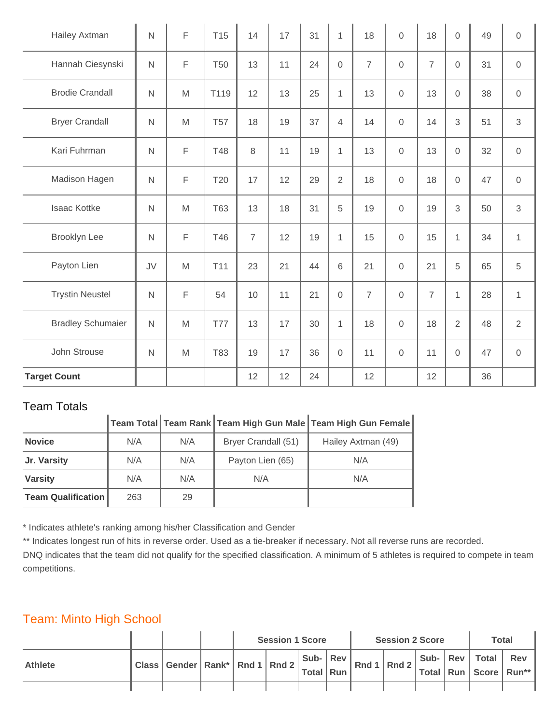| Hailey Axtman            | $\mathsf{N}$ | F           | T <sub>15</sub> | 14             | 17 | 31 | $\mathbf{1}$    | 18             | $\overline{0}$      | 18             | $\overline{0}$ | 49 | $\mathsf{O}\xspace$ |
|--------------------------|--------------|-------------|-----------------|----------------|----|----|-----------------|----------------|---------------------|----------------|----------------|----|---------------------|
| Hannah Ciesynski         | $\mathsf{N}$ | F           | <b>T50</b>      | 13             | 11 | 24 | $\overline{0}$  | $\overline{7}$ | $\overline{0}$      | $\overline{7}$ | $\Omega$       | 31 | $\mathbf 0$         |
| <b>Brodie Crandall</b>   | $\mathsf{N}$ | M           | T119            | 12             | 13 | 25 | $\mathbf{1}$    | 13             | $\mathbf 0$         | 13             | $\overline{0}$ | 38 | $\mathbf 0$         |
| <b>Bryer Crandall</b>    | $\mathsf{N}$ | M           | <b>T57</b>      | 18             | 19 | 37 | $\overline{4}$  | 14             | $\mathbf 0$         | 14             | 3              | 51 | $\mathfrak{S}$      |
| Kari Fuhrman             | $\mathsf{N}$ | F           | <b>T48</b>      | $\,8\,$        | 11 | 19 | $\mathbf{1}$    | 13             | $\mathbf 0$         | 13             | 0              | 32 | $\mathsf{O}\xspace$ |
| Madison Hagen            | $\mathsf{N}$ | F           | T <sub>20</sub> | 17             | 12 | 29 | $\overline{2}$  | 18             | $\mathbf 0$         | 18             | 0              | 47 | $\mathbf 0$         |
| <b>Isaac Kottke</b>      | $\mathsf{N}$ | M           | <b>T63</b>      | 13             | 18 | 31 | 5               | 19             | $\mathbf 0$         | 19             | 3              | 50 | $\mathfrak{S}$      |
| <b>Brooklyn Lee</b>      | $\mathsf{N}$ | $\mathsf F$ | T46             | $\overline{7}$ | 12 | 19 | $\mathbf{1}$    | 15             | $\mathbf 0$         | 15             | $\mathbf{1}$   | 34 | $\mathbf{1}$        |
| Payton Lien              | JV           | M           | T11             | 23             | 21 | 44 | $6\phantom{1}6$ | 21             | $\overline{0}$      | 21             | 5              | 65 | 5                   |
| <b>Trystin Neustel</b>   | $\mathsf{N}$ | $\mathsf F$ | 54              | 10             | 11 | 21 | $\mathbf 0$     | $\overline{7}$ | $\mathbf 0$         | $\overline{7}$ | $\mathbf{1}$   | 28 | $\mathbf{1}$        |
| <b>Bradley Schumaier</b> | $\mathsf{N}$ | M           | <b>T77</b>      | 13             | 17 | 30 | $\mathbf{1}$    | 18             | $\mathbf 0$         | 18             | $\overline{2}$ | 48 | $\overline{2}$      |
| John Strouse             | $\mathsf{N}$ | M           | T83             | 19             | 17 | 36 | $\mathbf 0$     | 11             | $\mathsf{O}\xspace$ | 11             | $\mathbf 0$    | 47 | $\mathbf 0$         |
| <b>Target Count</b>      |              |             |                 | 12             | 12 | 24 |                 | 12             |                     | 12             |                | 36 |                     |

| TGAILL LULAIS             |     |     |                     |                                                                                                 |
|---------------------------|-----|-----|---------------------|-------------------------------------------------------------------------------------------------|
|                           |     |     |                     | $\mid$ Team Total $\mid$ Team Rank $\mid$ Team High Gun Male $\mid$ Team High Gun Female $\mid$ |
| <b>Novice</b>             | N/A | N/A | Bryer Crandall (51) | Hailey Axtman (49)                                                                              |
| Jr. Varsity               | N/A | N/A | Payton Lien (65)    | N/A                                                                                             |
| <b>Varsity</b>            | N/A | N/A | N/A                 | N/A                                                                                             |
| <b>Team Qualification</b> | 263 | 29  |                     |                                                                                                 |

\* Indicates athlete's ranking among his/her Classification and Gender

\*\* Indicates longest run of hits in reverse order. Used as a tie-breaker if necessary. Not all reverse runs are recorded.

DNQ indicates that the team did not qualify for the specified classification. A minimum of 5 athletes is required to compete in team competitions.

#### Team: Minto High School

|                |                                                  |  | <b>Session 1 Score</b> |  |  | <b>Session 2 Score</b>                                                                                                            | <b>Total</b> |  |                                                      |     |
|----------------|--------------------------------------------------|--|------------------------|--|--|-----------------------------------------------------------------------------------------------------------------------------------|--------------|--|------------------------------------------------------|-----|
| <b>Athlete</b> | I Class Gender Rank* Rnd 1 Rnd 2 Total Run Rnd " |  |                        |  |  | $\begin{array}{c c} \mid \textsf{Sub-} & \mid \textsf{Rev} \mid \textsf{Rnd 1} & \mid \textsf{Rnd 2} \mid \_ & \cdot \end{array}$ |              |  | Sub-   Rev   Total  <br>'Total   Run   Score   Run** | Rev |
|                |                                                  |  |                        |  |  |                                                                                                                                   |              |  |                                                      |     |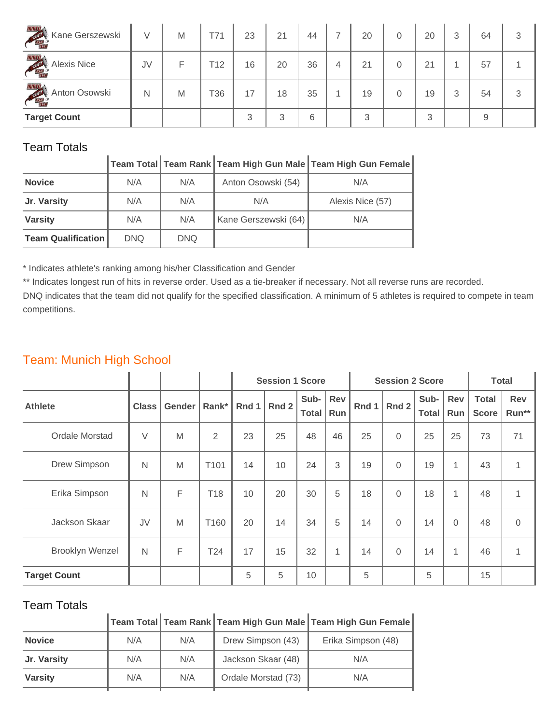| THIRD TRAP<br>Kane Gerszewski                        | V  | M | T71 | 23 | 21 | 44 | 7 | 20 | 0 | 20 | 3 | 64 | 3 |
|------------------------------------------------------|----|---|-----|----|----|----|---|----|---|----|---|----|---|
| minag.<br><b>Alexis Nice</b><br><b>STATE OF BRAN</b> | JV | F | T12 | 16 | 20 | 36 | 4 | 21 | 0 | 21 |   | 57 |   |
| <b>THIRDER</b><br>Anton Osowski                      | N  | M | T36 | 17 | 18 | 35 |   | 19 | 0 | 19 | 3 | 54 | 3 |
| <b>Target Count</b>                                  |    |   |     | 3  | 3  | 6  |   | 3  |   | 3  |   | 9  |   |

|                           |            |            |                      | Team Total Team Rank   Team High Gun Male   Team High Gun Female |
|---------------------------|------------|------------|----------------------|------------------------------------------------------------------|
| <b>Novice</b>             | N/A        | N/A        | Anton Osowski (54)   | N/A                                                              |
| Jr. Varsity               | N/A        | N/A        | N/A                  | Alexis Nice (57)                                                 |
| <b>Varsity</b>            | N/A        | N/A        | Kane Gerszewski (64) | N/A                                                              |
| <b>Team Qualification</b> | <b>DNQ</b> | <b>DNQ</b> |                      |                                                                  |

\* Indicates athlete's ranking among his/her Classification and Gender

\*\* Indicates longest run of hits in reverse order. Used as a tie-breaker if necessary. Not all reverse runs are recorded.

DNQ indicates that the team did not qualify for the specified classification. A minimum of 5 athletes is required to compete in team competitions.

## Team: Munich High School

|                        |              |        |                | <b>Session 1 Score</b> |       |               |            |       | <b>Session 2 Score</b> | <b>Total</b>         |              |                              |                     |
|------------------------|--------------|--------|----------------|------------------------|-------|---------------|------------|-------|------------------------|----------------------|--------------|------------------------------|---------------------|
| <b>Athlete</b>         | <b>Class</b> | Gender | Rank*          | Rnd 1                  | Rnd 2 | Sub-<br>Total | Rev<br>Run | Rnd 1 | Rnd 2                  | Sub-<br><b>Total</b> | Rev<br>Run   | <b>Total</b><br><b>Score</b> | <b>Rev</b><br>Run** |
| Ordale Morstad         | $\vee$       | M      | $\overline{2}$ | 23                     | 25    | 48            | 46         | 25    | $\Omega$               | 25                   | 25           | 73                           | 71                  |
| Drew Simpson           | N            | M      | T101           | 14                     | 10    | 24            | 3          | 19    | $\Omega$               | 19                   | 1            | 43                           | $\mathbf{1}$        |
| Erika Simpson          | $\mathsf{N}$ | F      | T18            | 10                     | 20    | 30            | 5          | 18    | $\Omega$               | 18                   | 1            | 48                           | 1                   |
| Jackson Skaar          | JV           | M      | T160           | 20                     | 14    | 34            | 5          | 14    | $\Omega$               | 14                   | 0            | 48                           | $\mathbf 0$         |
| <b>Brooklyn Wenzel</b> | $\mathsf{N}$ | F      | T24            | 17                     | 15    | 32            | 1          | 14    | $\Omega$               | 14                   | $\mathbf{1}$ | 46                           | 1                   |
| <b>Target Count</b>    |              |        |                | 5                      | 5     | 10            |            | 5     |                        | 5                    |              | 15                           |                     |

#### Team Totals

|                |     |     |                     | Team Total Team Rank Team High Gun Male Team High Gun Female |
|----------------|-----|-----|---------------------|--------------------------------------------------------------|
| <b>Novice</b>  | N/A | N/A | Drew Simpson (43)   | Erika Simpson (48)                                           |
| Jr. Varsity    | N/A | N/A | Jackson Skaar (48)  | N/A                                                          |
| <b>Varsity</b> | N/A | N/A | Ordale Morstad (73) | N/A                                                          |
|                |     |     |                     |                                                              |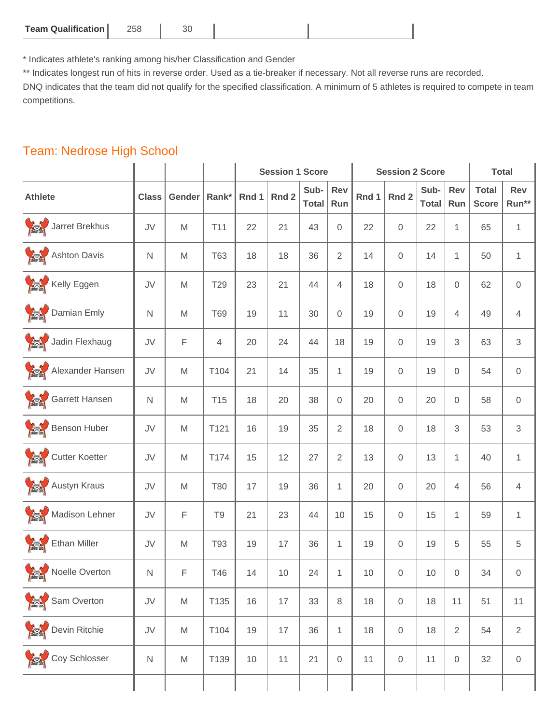| <b>Team Qualification  </b> | 258 | u. |  |  |
|-----------------------------|-----|----|--|--|
|-----------------------------|-----|----|--|--|

\* Indicates athlete's ranking among his/her Classification and Gender

\*\* Indicates longest run of hits in reverse order. Used as a tie-breaker if necessary. Not all reverse runs are recorded.

DNQ indicates that the team did not qualify for the specified classification. A minimum of 5 athletes is required to compete in team competitions.

#### Team: Nedrose High School

|                  |              |                                                                                                            |                 |       | <b>Session 1 Score</b> |                      |                   |       | <b>Session 2 Score</b> |                      | <b>Total</b>   |                              |                     |
|------------------|--------------|------------------------------------------------------------------------------------------------------------|-----------------|-------|------------------------|----------------------|-------------------|-------|------------------------|----------------------|----------------|------------------------------|---------------------|
| <b>Athlete</b>   | <b>Class</b> | Gender                                                                                                     | Rank*           | Rnd 1 | Rnd <sub>2</sub>       | Sub-<br><b>Total</b> | <b>Rev</b><br>Run | Rnd 1 | Rnd <sub>2</sub>       | Sub-<br><b>Total</b> | Rev<br>Run     | <b>Total</b><br><b>Score</b> | Rev<br>Run**        |
| Jarret Brekhus   | JV           | $\mathsf{M}% _{T}=\mathsf{M}_{T}\!\left( a,b\right) ,\ \mathsf{M}_{T}=\mathsf{M}_{T}\!\left( a,b\right) ,$ | T11             | 22    | 21                     | 43                   | 0                 | 22    | 0                      | 22                   | 1              | 65                           | $\mathbf{1}$        |
| Ashton Davis     | $\mathsf{N}$ | $\mathsf{M}% _{T}=\mathsf{M}_{T}\!\left( a,b\right) ,\ \mathsf{M}_{T}=\mathsf{M}_{T}\!\left( a,b\right) ,$ | <b>T63</b>      | 18    | 18                     | 36                   | $\overline{2}$    | 14    | 0                      | 14                   | 1              | 50                           | $\mathbf{1}$        |
| Kelly Eggen      | JV           | $\mathsf{M}% _{T}=\mathsf{M}_{T}\!\left( a,b\right) ,\ \mathsf{M}_{T}=\mathsf{M}_{T}\!\left( a,b\right) ,$ | T29             | 23    | 21                     | 44                   | 4                 | 18    | $\mathsf{O}\xspace$    | 18                   | $\mathbf 0$    | 62                           | $\mathsf{O}\xspace$ |
| Damian Emly      | $\mathsf{N}$ | $\mathsf{M}% _{T}=\mathsf{M}_{T}\!\left( a,b\right) ,\ \mathsf{M}_{T}=\mathsf{M}_{T}\!\left( a,b\right) ,$ | <b>T69</b>      | 19    | 11                     | 30                   | 0                 | 19    | $\mathbf 0$            | 19                   | 4              | 49                           | 4                   |
| Jadin Flexhaug   | JV           | F                                                                                                          | 4               | 20    | 24                     | 44                   | 18                | 19    | $\boldsymbol{0}$       | 19                   | 3              | 63                           | 3                   |
| Alexander Hansen | JV           | $\mathsf{M}% _{T}=\mathsf{M}_{T}\!\left( a,b\right) ,\ \mathsf{M}_{T}=\mathsf{M}_{T}\!\left( a,b\right) ,$ | T104            | 21    | 14                     | 35                   | $\mathbf 1$       | 19    | 0                      | 19                   | $\mathbf 0$    | 54                           | $\mathbf 0$         |
| Garrett Hansen   | $\mathsf{N}$ | $\mathsf{M}% _{T}=\mathsf{M}_{T}\!\left( a,b\right) ,\ \mathsf{M}_{T}=\mathsf{M}_{T}\!\left( a,b\right) ,$ | T <sub>15</sub> | 18    | 20                     | 38                   | 0                 | 20    | 0                      | 20                   | 0              | 58                           | $\mathbf 0$         |
| Benson Huber     | JV           | M                                                                                                          | T121            | 16    | 19                     | 35                   | $\overline{2}$    | 18    | $\mathbf 0$            | 18                   | 3              | 53                           | $\,3$               |
| Cutter Koetter   | JV           | $\mathsf{M}% _{T}=\mathsf{M}_{T}\!\left( a,b\right) ,\ \mathsf{M}_{T}=\mathsf{M}_{T}\!\left( a,b\right) ,$ | T174            | 15    | 12                     | 27                   | $\overline{2}$    | 13    | $\boldsymbol{0}$       | 13                   | $\mathbf 1$    | 40                           | 1                   |
| Austyn Kraus     | JV           | M                                                                                                          | <b>T80</b>      | 17    | 19                     | 36                   | $\mathbf{1}$      | 20    | 0                      | 20                   | $\overline{4}$ | 56                           | 4                   |
| Madison Lehner   | JV           | $\mathsf F$                                                                                                | T <sub>9</sub>  | 21    | 23                     | 44                   | 10                | 15    | 0                      | 15                   | 1              | 59                           | $\mathbf{1}$        |
| Ethan Miller     | JV           | $\mathsf{M}% _{T}=\mathsf{M}_{T}\!\left( a,b\right) ,\ \mathsf{M}_{T}=\mathsf{M}_{T}\!\left( a,b\right) ,$ | <b>T93</b>      | 19    | 17                     | 36                   | $\mathbf 1$       | 19    | 0                      | 19                   | 5              | 55                           | 5                   |
| Noelle Overton   | N            | F.                                                                                                         | T46             | 14    | 10 <sup>1</sup>        | 24                   | $\mathbf{1}$      | 10    | $\Omega$               | 10                   | $\mathbf 0$    | 34                           | $\Omega$            |
| Sam Overton      | JV           | $\mathsf{M}% _{T}=\mathsf{M}_{T}\!\left( a,b\right) ,\ \mathsf{M}_{T}=\mathsf{M}_{T}\!\left( a,b\right) ,$ | T135            | 16    | 17                     | 33                   | 8                 | 18    | $\boldsymbol{0}$       | 18                   | 11             | 51                           | 11                  |
| Devin Ritchie    | JV           | $\mathsf{M}% _{T}=\mathsf{M}_{T}\!\left( a,b\right) ,\ \mathsf{M}_{T}=\mathsf{M}_{T}\!\left( a,b\right) ,$ | T104            | 19    | 17                     | 36                   | $\mathbf 1$       | 18    | $\mathsf{O}\xspace$    | 18                   | $\overline{2}$ | 54                           | $\overline{2}$      |
| Coy Schlosser    | $\mathsf{N}$ | $\mathsf{M}% _{T}=\mathsf{M}_{T}\!\left( a,b\right) ,\ \mathsf{M}_{T}=\mathsf{M}_{T}\!\left( a,b\right) ,$ | T139            | 10    | 11                     | 21                   | 0                 | 11    | $\boldsymbol{0}$       | 11                   | $\mathbf 0$    | 32                           | $\mathbf 0$         |
|                  |              |                                                                                                            |                 |       |                        |                      |                   |       |                        |                      |                |                              |                     |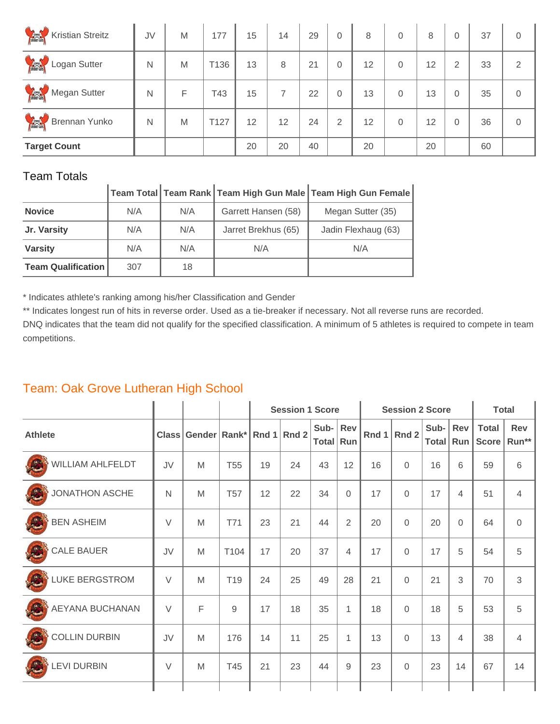| <b>Sincertains</b><br><b>Kristian Streitz</b>  | JV | M | 177  | 15 | 14 | 29 | $\overline{0}$ | 8  | 0 | 8  | 0              | 37 | 0        |
|------------------------------------------------|----|---|------|----|----|----|----------------|----|---|----|----------------|----|----------|
| <b>Comments</b><br>Logan Sutter                | N  | M | T136 | 13 | 8  | 21 | $\overline{0}$ | 12 | 0 | 12 | $\overline{2}$ | 33 | 2        |
| <b>Bank</b><br>Megan Sutter                    | N  | F | T43  | 15 | 7  | 22 | $\overline{0}$ | 13 | 0 | 13 | $\Omega$       | 35 | 0        |
| <b>Contract of the Second</b><br>Brennan Yunko | N  | M | T127 | 12 | 12 | 24 | $\overline{2}$ | 12 | 0 | 12 | $\Omega$       | 36 | $\Omega$ |
| <b>Target Count</b>                            |    |   |      | 20 | 20 | 40 |                | 20 |   | 20 |                | 60 |          |

| $\ddotsc$ |                                                              |  |  |
|-----------|--------------------------------------------------------------|--|--|
|           | Team Total Team Rank Team High Gun Male Team High Gun Female |  |  |

| <b>Novice</b>             | N/A | N/A | Garrett Hansen (58) | Megan Sutter (35)   |
|---------------------------|-----|-----|---------------------|---------------------|
| Jr. Varsity               | N/A | N/A | Jarret Brekhus (65) | Jadin Flexhaug (63) |
| <b>Varsity</b>            | N/A | N/A | N/A                 | N/A                 |
| <b>Team Qualification</b> | 307 | 18  |                     |                     |

\* Indicates athlete's ranking among his/her Classification and Gender

\*\* Indicates longest run of hits in reverse order. Used as a tie-breaker if necessary. Not all reverse runs are recorded.

DNQ indicates that the team did not qualify for the specified classification. A minimum of 5 athletes is required to compete in team competitions.

## Team: Oak Grove Lutheran High School

|                       |        |                                |                 |    | <b>Session 1 Score</b> |                       |              |    | <b>Session 2 Score</b> | <b>Total</b>         |            |                              |                     |
|-----------------------|--------|--------------------------------|-----------------|----|------------------------|-----------------------|--------------|----|------------------------|----------------------|------------|------------------------------|---------------------|
| <b>Athlete</b>        |        | Class Gender Rank* Rnd 1 Rnd 2 |                 |    |                        | Sub- Rev<br>Total Run |              |    | Rnd 1 Rnd 2            | Sub-<br><b>Total</b> | Rev<br>Run | <b>Total</b><br><b>Score</b> | <b>Rev</b><br>Run** |
| WILLIAM AHLFELDT      | JV     | M                              | <b>T55</b>      | 19 | 24                     | 43                    | 12           | 16 | $\mathbf{0}$           | 16                   | 6          | 59                           | 6                   |
| JONATHON ASCHE        | N      | M                              | <b>T57</b>      | 12 | 22                     | 34                    | $\Omega$     | 17 | $\mathbf 0$            | 17                   | 4          | 51                           | $\overline{4}$      |
| <b>BEN ASHEIM</b>     | $\vee$ | M                              | <b>T71</b>      | 23 | 21                     | 44                    | 2            | 20 | $\mathbf 0$            | 20                   | $\Omega$   | 64                           | $\overline{0}$      |
| <b>CALE BAUER</b>     | JV     | M                              | T104            | 17 | 20                     | 37                    | 4            | 17 | $\Omega$               | 17                   | 5          | 54                           | 5                   |
| <b>LUKE BERGSTROM</b> | $\vee$ | M                              | T <sub>19</sub> | 24 | 25                     | 49                    | 28           | 21 | $\mathbf{0}$           | 21                   | 3          | 70                           | 3                   |
| AEYANA BUCHANAN       | $\vee$ | F                              | 9               | 17 | 18                     | 35                    | $\mathbf{1}$ | 18 | $\mathbf 0$            | 18                   | 5          | 53                           | 5                   |
| <b>COLLIN DURBIN</b>  | JV     | M                              | 176             | 14 | 11                     | 25                    | 1            | 13 | $\mathbf 0$            | 13                   | 4          | 38                           | 4                   |
| <b>LEVI DURBIN</b>    | $\vee$ | M                              | T45             | 21 | 23                     | 44                    | 9            | 23 | $\mathbf 0$            | 23                   | 14         | 67                           | 14                  |
|                       |        |                                |                 |    |                        |                       |              |    |                        |                      |            |                              |                     |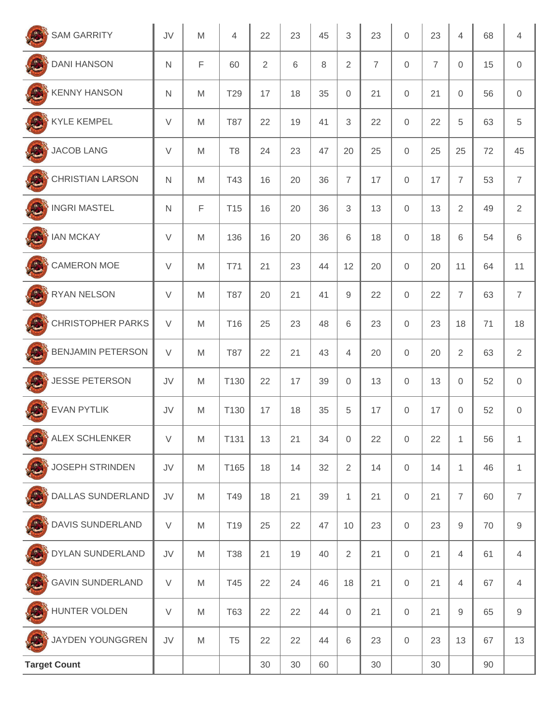| <b>SAM GARRITY</b>                         | JV               | M                                                                                                          | 4               | 22             | 23 | 45 | 3              | 23             | 0                   | 23             | 4              | 68 | 4                |
|--------------------------------------------|------------------|------------------------------------------------------------------------------------------------------------|-----------------|----------------|----|----|----------------|----------------|---------------------|----------------|----------------|----|------------------|
| $\mathbb{R}$<br><b>DANI HANSON</b>         | $\mathsf{N}$     | F                                                                                                          | 60              | $\overline{2}$ | 6  | 8  | $\overline{2}$ | $\overline{7}$ | $\mathsf{O}\xspace$ | $\overline{7}$ | $\mathbf 0$    | 15 | 0                |
| $\mathbf{C}$<br><b>KENNY HANSON</b>        | $\mathsf{N}$     | M                                                                                                          | T29             | 17             | 18 | 35 | $\Omega$       | 21             | 0                   | 21             | $\mathbf 0$    | 56 | $\mathbf 0$      |
| $x^2$<br><b>KYLE KEMPEL</b>                | $\vee$           | M                                                                                                          | <b>T87</b>      | 22             | 19 | 41 | 3              | 22             | 0                   | 22             | 5              | 63 | 5                |
| $\frac{a}{2}$<br><b>JACOB LANG</b>         | $\vee$           | M                                                                                                          | T <sub>8</sub>  | 24             | 23 | 47 | 20             | 25             | $\boldsymbol{0}$    | 25             | 25             | 72 | 45               |
| $\frac{1}{2}$<br><b>CHRISTIAN LARSON</b>   | $\mathsf{N}$     | M                                                                                                          | T43             | 16             | 20 | 36 | $\overline{7}$ | 17             | $\mathbf{0}$        | 17             | $\overline{7}$ | 53 | $\overline{7}$   |
| $\mathbf{R}$<br><b>INGRI MASTEL</b>        | $\mathsf{N}$     | F                                                                                                          | T <sub>15</sub> | 16             | 20 | 36 | 3              | 13             | 0                   | 13             | $\overline{2}$ | 49 | $\overline{2}$   |
| n<br><b>IAN MCKAY</b>                      | V                | M                                                                                                          | 136             | 16             | 20 | 36 | 6              | 18             | 0                   | 18             | 6              | 54 | 6                |
| <b>CAMERON MOE</b>                         | $\vee$           | M                                                                                                          | T71             | 21             | 23 | 44 | 12             | 20             | 0                   | 20             | 11             | 64 | 11               |
| $\mathbb{R}$<br><b>RYAN NELSON</b>         | $\vee$           | M                                                                                                          | <b>T87</b>      | 20             | 21 | 41 | 9              | 22             | $\mathsf{O}\xspace$ | 22             | $\overline{7}$ | 63 | $\overline{7}$   |
| $\frac{a}{2}$<br><b>CHRISTOPHER PARKS</b>  | $\vee$           | M                                                                                                          | T <sub>16</sub> | 25             | 23 | 48 | 6              | 23             | 0                   | 23             | 18             | 71 | 18               |
| $\mathbb{R}^2$<br><b>BENJAMIN PETERSON</b> | $\vee$           | M                                                                                                          | <b>T87</b>      | 22             | 21 | 43 | $\overline{4}$ | 20             | 0                   | 20             | $\overline{2}$ | 63 | $\overline{2}$   |
| $\mathbb{R}$<br><b>JESSE PETERSON</b>      | JV               | M                                                                                                          | T130            | 22             | 17 | 39 | $\overline{0}$ | 13             | $\boldsymbol{0}$    | 13             | $\mathbf 0$    | 52 | $\mathbf 0$      |
| $\mathbb{R}$<br><b>EVAN PYTLIK</b>         | JV               | M                                                                                                          | T130            | 17             | 18 | 35 | 5              | 17             | $\mathbf{0}$        | 17             | $\overline{0}$ | 52 | $\mathbf 0$      |
| <b>ALEX SCHLENKER</b><br>$\frac{1}{2}$     | $\vee$           | $\mathsf{M}% _{T}=\mathsf{M}_{T}\!\left( a,b\right) ,\ \mathsf{M}_{T}=\mathsf{M}_{T}\!\left( a,b\right) ,$ | T131            | 13             | 21 | 34 | $\mathbf 0$    | 22             | 0                   | 22             | 1              | 56 | $\mathbf{1}$     |
| $\frac{1}{2}$<br><b>JOSEPH STRINDEN</b>    | JV               | M                                                                                                          | T165            | 18             | 14 | 32 | $\overline{2}$ | 14             | $\boldsymbol{0}$    | 14             | 1              | 46 | $\mathbf{1}$     |
| $\int_{0}^{\infty}$<br>DALLAS SUNDERLAND   | JV               | M                                                                                                          | T49             | 18             | 21 | 39 | $\mathbf{1}$   | 21             | $\mathsf{O}\xspace$ | 21             | $\overline{7}$ | 60 | $\overline{7}$   |
| DAVIS SUNDERLAND                           | $\vee$           | M                                                                                                          | T19             | 25             | 22 | 47 | 10             | 23             | $\mathsf{O}\xspace$ | 23             | $\hbox{9}$     | 70 | $\boldsymbol{9}$ |
| $\int_{0}^{\infty}$<br>DYLAN SUNDERLAND    | JV               | M                                                                                                          | <b>T38</b>      | 21             | 19 | 40 | $\overline{2}$ | 21             | $\mathsf{O}\xspace$ | 21             | $\overline{4}$ | 61 | $\overline{4}$   |
| <b>GAVIN SUNDERLAND</b>                    | $\vee$           | M                                                                                                          | T45             | 22             | 24 | 46 | 18             | 21             | $\mathsf{O}\xspace$ | 21             | 4              | 67 | 4                |
| $\int_{0}^{\infty}$<br>HUNTER VOLDEN       | $\vee$           | M                                                                                                          | <b>T63</b>      | 22             | 22 | 44 | 0              | 21             | $\boldsymbol{0}$    | 21             | $\mathsf g$    | 65 | $\hbox{9}$       |
| JAYDEN YOUNGGREN                           | ${\sf J}{\sf V}$ | M                                                                                                          | T <sub>5</sub>  | 22             | 22 | 44 | 6              | 23             | $\mathsf{O}\xspace$ | 23             | 13             | 67 | 13               |
| <b>Target Count</b>                        |                  |                                                                                                            |                 | 30             | 30 | 60 |                | 30             |                     | 30             |                | 90 |                  |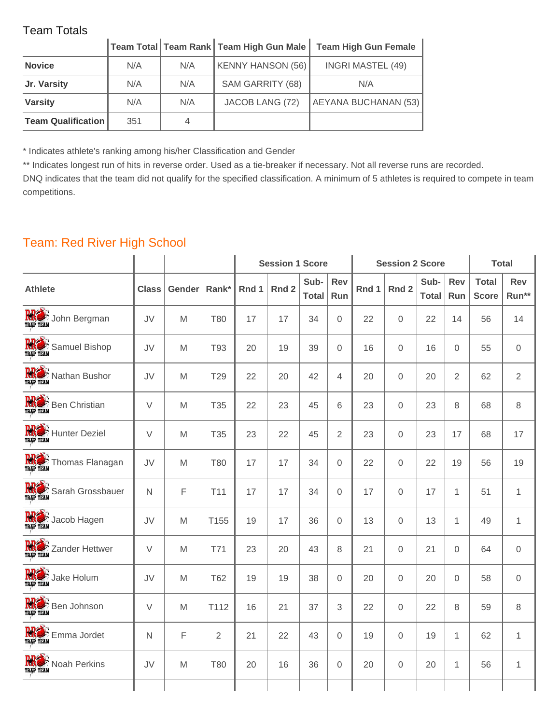|                           |     |     | Team Total   Team Rank   Team High Gun Male | <b>Team High Gun Female</b> |
|---------------------------|-----|-----|---------------------------------------------|-----------------------------|
| <b>Novice</b>             | N/A | N/A | KENNY HANSON (56)                           | <b>INGRI MASTEL (49)</b>    |
| Jr. Varsity               | N/A | N/A | SAM GARRITY (68)                            | N/A                         |
| <b>Varsity</b>            | N/A | N/A | JACOB LANG (72)                             | <b>AEYANA BUCHANAN (53)</b> |
| <b>Team Qualification</b> | 351 |     |                                             |                             |

\* Indicates athlete's ranking among his/her Classification and Gender

\*\* Indicates longest run of hits in reverse order. Used as a tie-breaker if necessary. Not all reverse runs are recorded.

DNQ indicates that the team did not qualify for the specified classification. A minimum of 5 athletes is required to compete in team competitions.

## Team: Red River High School

|              |        |                 | <b>Session 1 Score</b> |                  |                      |                |       | <b>Total</b>     |                      |                |                              |                |
|--------------|--------|-----------------|------------------------|------------------|----------------------|----------------|-------|------------------|----------------------|----------------|------------------------------|----------------|
| <b>Class</b> | Gender | Rank*           | Rnd 1                  | Rnd <sub>2</sub> | Sub-<br><b>Total</b> | Rev<br>Run     | Rnd 1 | Rnd <sub>2</sub> | Sub-<br><b>Total</b> | Rev<br>Run     | <b>Total</b><br><b>Score</b> | Rev<br>Run**   |
| JV           | M      | <b>T80</b>      | 17                     | 17               | 34                   | $\overline{0}$ | 22    | 0                | 22                   | 14             | 56                           | 14             |
| JV           | M      | <b>T93</b>      | 20                     | 19               | 39                   | $\mathbf 0$    | 16    | 0                | 16                   | $\Omega$       | 55                           | 0              |
| JV           | M      | T29             | 22                     | 20               | 42                   | $\overline{4}$ | 20    | 0                | 20                   | $\overline{2}$ | 62                           | $\overline{2}$ |
| $\vee$       | M      | T35             | 22                     | 23               | 45                   | 6              | 23    | $\Omega$         | 23                   | 8              | 68                           | 8              |
| $\vee$       | M      | T <sub>35</sub> | 23                     | 22               | 45                   | $\overline{2}$ | 23    | 0                | 23                   | 17             | 68                           | 17             |
| JV           | M      | <b>T80</b>      | 17                     | 17               | 34                   | 0              | 22    | $\overline{0}$   | 22                   | 19             | 56                           | 19             |
| $\mathsf{N}$ | F      | T11             | 17                     | 17               | 34                   | $\mathbf 0$    | 17    | 0                | 17                   | 1              | 51                           | $\mathbf{1}$   |
| JV           | M      | T155            | 19                     | 17               | 36                   | $\mathbf 0$    | 13    | $\Omega$         | 13                   | $\mathbf{1}$   | 49                           | $\mathbf{1}$   |
| $\vee$       | M      | T71             | 23                     | 20               | 43                   | 8              | 21    | 0                | 21                   | $\mathbf 0$    | 64                           | 0              |
| JV           | M      | <b>T62</b>      | 19                     | 19               | 38                   | $\mathbf 0$    | 20    | $\Omega$         | 20                   | $\Omega$       | 58                           | 0              |
| $\vee$       | M      | T112            | 16                     | 21               | 37                   | 3              | 22    | 0                | 22                   | 8              | 59                           | 8              |
| $\mathsf{N}$ | F      | $\overline{2}$  | 21                     | 22               | 43                   | 0              | 19    | $\Omega$         | 19                   | $\mathbf{1}$   | 62                           | 1              |
| JV           | M      | <b>T80</b>      | 20                     | 16               | 36                   | $\mathbf 0$    | 20    | 0                | 20                   | 1              | 56                           | $\mathbf{1}$   |
|              |        |                 |                        |                  |                      |                |       |                  |                      |                | <b>Session 2 Score</b>       |                |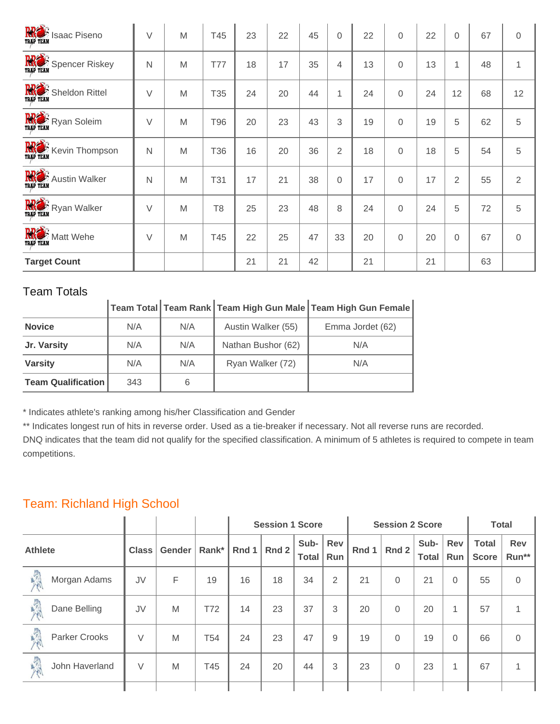| <b>RRE</b> SI Isaac Piseno  | V      | M | T45            | 23 | 22 | 45 | $\overline{0}$ | 22 | $\Omega$ | 22 | $\Omega$       | 67 | $\mathbf 0$ |
|-----------------------------|--------|---|----------------|----|----|----|----------------|----|----------|----|----------------|----|-------------|
| <b>RRE</b> S Spencer Riskey | N      | M | T77            | 18 | 17 | 35 | 4              | 13 | $\Omega$ | 13 | 1              | 48 | 1           |
| <b>RRO</b> S Sheldon Rittel | V      | M | T35            | 24 | 20 | 44 | 1              | 24 | $\Omega$ | 24 | 12             | 68 | 12          |
| <b>RRE</b> S Ryan Soleim    | $\vee$ | M | T96            | 20 | 23 | 43 | 3              | 19 | $\Omega$ | 19 | 5              | 62 | 5           |
| <b>RRE</b> Kevin Thompson   | N      | M | T36            | 16 | 20 | 36 | $\overline{2}$ | 18 | $\Omega$ | 18 | 5              | 54 | 5           |
| <b>RRE</b> Austin Walker    | N      | M | <b>T31</b>     | 17 | 21 | 38 | $\mathbf 0$    | 17 | $\Omega$ | 17 | $\overline{2}$ | 55 | 2           |
| <b>RRE</b> Ryan Walker      | $\vee$ | M | T <sub>8</sub> | 25 | 23 | 48 | 8              | 24 | $\Omega$ | 24 | 5              | 72 | 5           |
| <b>RRE</b> S Matt Wehe      | V      | M | T45            | 22 | 25 | 47 | 33             | 20 | $\Omega$ | 20 | $\Omega$       | 67 | $\Omega$    |
| <b>Target Count</b>         |        |   |                | 21 | 21 | 42 |                | 21 |          | 21 |                | 63 |             |

|                           |     |     |                    | $\vert$ Team Total $\vert$ Team Rank $\vert$ Team High Gun Male $\vert$ Team High Gun Female |
|---------------------------|-----|-----|--------------------|----------------------------------------------------------------------------------------------|
| <b>Novice</b>             | N/A | N/A | Austin Walker (55) | Emma Jordet (62)                                                                             |
| Jr. Varsity               | N/A | N/A | Nathan Bushor (62) | N/A                                                                                          |
| <b>Varsity</b>            | N/A | N/A | Ryan Walker (72)   | N/A                                                                                          |
| <b>Team Qualification</b> | 343 | 6   |                    |                                                                                              |

\* Indicates athlete's ranking among his/her Classification and Gender

\*\* Indicates longest run of hits in reverse order. Used as a tie-breaker if necessary. Not all reverse runs are recorded.

DNQ indicates that the team did not qualify for the specified classification. A minimum of 5 athletes is required to compete in team competitions.

## Team: Richland High School

|                |                      |              |               |                 | <b>Session 1 Score</b> |       |                      |                   |       | <b>Session 2 Score</b> | <b>Total</b>         |            |                              |                     |
|----------------|----------------------|--------------|---------------|-----------------|------------------------|-------|----------------------|-------------------|-------|------------------------|----------------------|------------|------------------------------|---------------------|
| <b>Athlete</b> |                      | <b>Class</b> | <b>Gender</b> | Rank*           | Rnd 1                  | Rnd 2 | Sub-<br><b>Total</b> | Rev<br><b>Run</b> | Rnd 1 | Rnd 2                  | Sub-<br><b>Total</b> | Rev<br>Run | <b>Total</b><br><b>Score</b> | <b>Rev</b><br>Run** |
| 深              | Morgan Adams         | JV           | F             | 19              | 16                     | 18    | 34                   | $\overline{2}$    | 21    | $\Omega$               | 21                   | $\Omega$   | 55                           | 0                   |
| 人民             | Dane Belling         | JV           | M             | T72             | 14                     | 23    | 37                   | 3                 | 20    | $\Omega$               | 20                   | 1          | 57                           |                     |
| 人人             | <b>Parker Crooks</b> | V            | M             | T <sub>54</sub> | 24                     | 23    | 47                   | 9                 | 19    | $\Omega$               | 19                   | $\Omega$   | 66                           | $\mathbf 0$         |
| 人人             | John Haverland       | V            | M             | T45             | 24                     | 20    | 44                   | 3                 | 23    | $\Omega$               | 23                   | 4          | 67                           |                     |
|                |                      |              |               |                 |                        |       |                      |                   |       |                        |                      |            |                              |                     |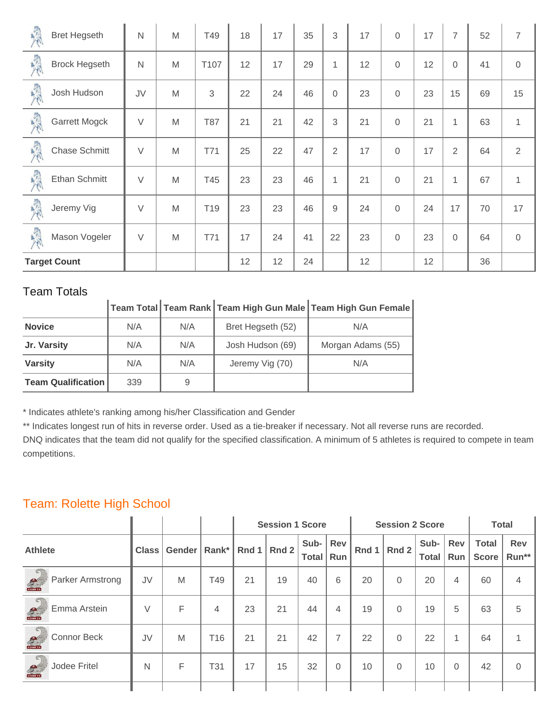| 最  | <b>Bret Hegseth</b>  | N            | M | T49             | 18 | 17 | 35 | 3              | 17 | $\Omega$ | 17 | $\overline{7}$ | 52 | $\overline{7}$ |
|----|----------------------|--------------|---|-----------------|----|----|----|----------------|----|----------|----|----------------|----|----------------|
| 最  | <b>Brock Hegseth</b> | $\mathsf{N}$ | M | T107            | 12 | 17 | 29 | 1              | 12 | 0        | 12 | $\Omega$       | 41 | $\Omega$       |
| 最  | Josh Hudson          | JV           | M | 3               | 22 | 24 | 46 | $\mathbf 0$    | 23 | 0        | 23 | 15             | 69 | 15             |
| 最大 | <b>Garrett Mogck</b> | $\vee$       | M | <b>T87</b>      | 21 | 21 | 42 | 3              | 21 | 0        | 21 | 1              | 63 | 1              |
| 最大 | <b>Chase Schmitt</b> | $\vee$       | M | T71             | 25 | 22 | 47 | $\overline{2}$ | 17 | 0        | 17 | $\overline{2}$ | 64 | $\overline{2}$ |
| 東  | Ethan Schmitt        | $\vee$       | M | T45             | 23 | 23 | 46 | 1              | 21 | 0        | 21 | 1              | 67 | 1              |
| 美  | Jeremy Vig           | $\vee$       | M | T <sub>19</sub> | 23 | 23 | 46 | 9              | 24 | $\Omega$ | 24 | 17             | 70 | 17             |
| 最  | Mason Vogeler        | $\vee$       | M | T71             | 17 | 24 | 41 | 22             | 23 | 0        | 23 | $\overline{0}$ | 64 | $\mathbf 0$    |
|    | <b>Target Count</b>  |              |   |                 | 12 | 12 | 24 |                | 12 |          | 12 |                | 36 |                |

| TUCHII TULCHO             |     |     |                   |                                                               |
|---------------------------|-----|-----|-------------------|---------------------------------------------------------------|
|                           |     |     |                   | │Team Total│Team Rank│Team High Gun Male│Team High Gun Female |
| <b>Novice</b>             | N/A | N/A | Bret Hegseth (52) | N/A                                                           |
| Jr. Varsity               | N/A | N/A | Josh Hudson (69)  | Morgan Adams (55)                                             |
| <b>Varsity</b>            | N/A | N/A | Jeremy Vig (70)   | N/A                                                           |
| <b>Team Qualification</b> | 339 | 9   |                   |                                                               |

\* Indicates athlete's ranking among his/her Classification and Gender

\*\* Indicates longest run of hits in reverse order. Used as a tie-breaker if necessary. Not all reverse runs are recorded.

DNQ indicates that the team did not qualify for the specified classification. A minimum of 5 athletes is required to compete in team competitions.

#### Team: Rolette High School

|                                                                  |              |        |                 | <b>Session 1 Score</b> |       |                      |                |       | <b>Session 2 Score</b> | <b>Total</b>         |            |                              |                     |
|------------------------------------------------------------------|--------------|--------|-----------------|------------------------|-------|----------------------|----------------|-------|------------------------|----------------------|------------|------------------------------|---------------------|
| <b>Athlete</b>                                                   | <b>Class</b> | Gender | Rank*           | Rnd 1                  | Rnd 2 | Sub-<br><b>Total</b> | Rev<br>Run     | Rnd 1 | Rnd 2                  | Sub-<br><b>Total</b> | Rev<br>Run | <b>Total</b><br><b>Score</b> | <b>Rev</b><br>Run** |
| $\in$<br><b>Parker Armstrong</b><br>$\frac{d^2y}{\text{conv10}}$ | JV           | M      | T49             | 21                     | 19    | 40                   | 6              | 20    | $\Omega$               | 20                   | 4          | 60                           | 4                   |
| Emma Arstein<br>$\frac{d^{2}}{d^{2}}$                            | $\vee$       | F      | 4               | 23                     | 21    | 44                   | 4              | 19    | $\Omega$               | 19                   | 5          | 63                           | 5                   |
| <b>Connor Beck</b><br><b>RU</b>                                  | JV           | M      | T <sub>16</sub> | 21                     | 21    | 42                   | $\overline{ }$ | 22    | $\Omega$               | 22                   | 1          | 64                           |                     |
| Jodee Fritel<br>$\mathcal{L}$                                    | N            | F      | T31             | 17                     | 15    | 32                   | 0              | 10    | $\Omega$               | 10                   | $\Omega$   | 42                           | $\Omega$            |
|                                                                  |              |        |                 |                        |       |                      |                |       |                        |                      |            |                              |                     |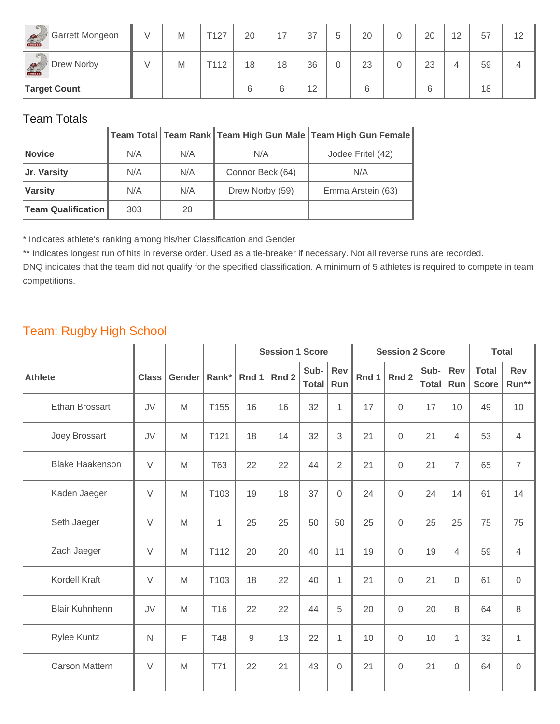| <b>CT</b><br>Garrett Mongeon<br>Courtes | V | M | T127 | 20 | 17 | 37 | 5 | 20 | 20 | 12 | 57 | 12 |
|-----------------------------------------|---|---|------|----|----|----|---|----|----|----|----|----|
| Drew Norby<br>S                         |   | M | T112 | 18 | 18 | 36 | 0 | 23 | 23 |    | 59 |    |
| <b>Target Count</b>                     |   |   |      | 6  | 6  | 12 |   | 6  | 6  |    | 18 |    |

|                           |     |     |                  | Team Total   Team Rank   Team High Gun Male   Team High Gun Female |
|---------------------------|-----|-----|------------------|--------------------------------------------------------------------|
| <b>Novice</b>             | N/A | N/A | N/A              | Jodee Fritel (42)                                                  |
| Jr. Varsity               | N/A | N/A | Connor Beck (64) | N/A                                                                |
| <b>Varsity</b>            | N/A | N/A | Drew Norby (59)  | Emma Arstein (63)                                                  |
| <b>Team Qualification</b> | 303 | 20  |                  |                                                                    |

\* Indicates athlete's ranking among his/her Classification and Gender

\*\* Indicates longest run of hits in reverse order. Used as a tie-breaker if necessary. Not all reverse runs are recorded.

DNQ indicates that the team did not qualify for the specified classification. A minimum of 5 athletes is required to compete in team competitions.

#### Team: Rugby High School

|                        |              |             |                 |       | <b>Session 1 Score</b> |                      | <b>Session 2 Score</b> |       | <b>Total</b> |                      |                   |                              |                     |
|------------------------|--------------|-------------|-----------------|-------|------------------------|----------------------|------------------------|-------|--------------|----------------------|-------------------|------------------------------|---------------------|
| <b>Athlete</b>         | <b>Class</b> | Gender      | Rank*           | Rnd 1 | Rnd 2                  | Sub-<br><b>Total</b> | <b>Rev</b><br>Run      | Rnd 1 | Rnd 2        | Sub-<br><b>Total</b> | <b>Rev</b><br>Run | <b>Total</b><br><b>Score</b> | <b>Rev</b><br>Run** |
| <b>Ethan Brossart</b>  | JV           | M           | T155            | 16    | 16                     | 32                   | $\mathbf{1}$           | 17    | 0            | 17                   | 10                | 49                           | 10                  |
| Joey Brossart          | JV           | M           | T121            | 18    | 14                     | 32                   | 3                      | 21    | $\mathbf 0$  | 21                   | $\overline{4}$    | 53                           | $\overline{4}$      |
| <b>Blake Haakenson</b> | $\vee$       | M           | <b>T63</b>      | 22    | 22                     | 44                   | $\overline{2}$         | 21    | 0            | 21                   | $\overline{7}$    | 65                           | $\overline{7}$      |
| Kaden Jaeger           | $\vee$       | M           | T103            | 19    | 18                     | 37                   | $\mathbf 0$            | 24    | 0            | 24                   | 14                | 61                           | 14                  |
| Seth Jaeger            | $\vee$       | M           | $\mathbf{1}$    | 25    | 25                     | 50                   | 50                     | 25    | $\Omega$     | 25                   | 25                | 75                           | 75                  |
| Zach Jaeger            | $\vee$       | M           | T112            | 20    | 20                     | 40                   | 11                     | 19    | $\Omega$     | 19                   | $\overline{4}$    | 59                           | $\overline{4}$      |
| Kordell Kraft          | $\vee$       | M           | T103            | 18    | 22                     | 40                   | $\mathbf{1}$           | 21    | 0            | 21                   | $\overline{0}$    | 61                           | $\mathbf 0$         |
| <b>Blair Kuhnhenn</b>  | JV           | M           | T <sub>16</sub> | 22    | 22                     | 44                   | 5                      | 20    | $\Omega$     | 20                   | 8                 | 64                           | 8                   |
| <b>Rylee Kuntz</b>     | $\mathsf{N}$ | $\mathsf F$ | <b>T48</b>      | 9     | 13                     | 22                   | $\mathbf 1$            | 10    | 0            | 10                   | 1                 | 32                           | $\mathbf{1}$        |
| <b>Carson Mattern</b>  | $\vee$       | M           | T71             | 22    | 21                     | 43                   | $\mathbf 0$            | 21    | 0            | 21                   | $\mathbf 0$       | 64                           | $\mathbf 0$         |
|                        |              |             |                 |       |                        |                      |                        |       |              |                      |                   |                              |                     |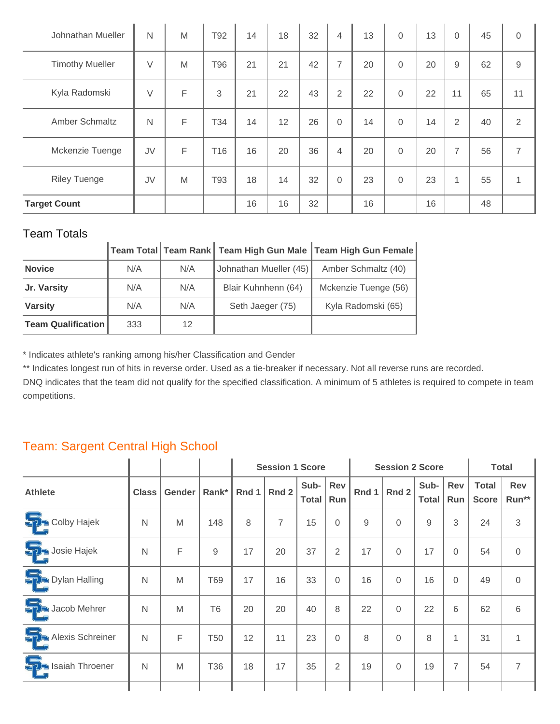| Johnathan Mueller      | N            | M | T92 | 14 | 18 | 32 | $\overline{4}$ | 13 | $\Omega$ | 13 | $\Omega$       | 45 | $\mathbf 0$    |
|------------------------|--------------|---|-----|----|----|----|----------------|----|----------|----|----------------|----|----------------|
| <b>Timothy Mueller</b> | $\vee$       | M | T96 | 21 | 21 | 42 | $\overline{7}$ | 20 | $\Omega$ | 20 | 9              | 62 | 9              |
| Kyla Radomski          | $\vee$       | F | 3   | 21 | 22 | 43 | $\overline{2}$ | 22 | 0        | 22 | 11             | 65 | 11             |
| Amber Schmaltz         | $\mathsf{N}$ | F | T34 | 14 | 12 | 26 | $\mathbf 0$    | 14 | $\Omega$ | 14 | $\overline{2}$ | 40 | 2              |
| Mckenzie Tuenge        | JV           | F | T16 | 16 | 20 | 36 | $\overline{4}$ | 20 | $\Omega$ | 20 | 7              | 56 | $\overline{7}$ |
| <b>Riley Tuenge</b>    | JV           | M | T93 | 18 | 14 | 32 | $\mathbf 0$    | 23 | 0        | 23 | 1              | 55 | 1              |
| <b>Target Count</b>    |              |   |     | 16 | 16 | 32 |                | 16 |          | 16 |                | 48 |                |

|                           |     |     |                        | Team Total   Team Rank   Team High Gun Male   Team High Gun Female |
|---------------------------|-----|-----|------------------------|--------------------------------------------------------------------|
| <b>Novice</b>             | N/A | N/A | Johnathan Mueller (45) | Amber Schmaltz (40)                                                |
| Jr. Varsity               | N/A | N/A | Blair Kuhnhenn (64)    | Mckenzie Tuenge (56)                                               |
| <b>Varsity</b>            | N/A | N/A | Seth Jaeger (75)       | Kyla Radomski (65)                                                 |
| <b>Team Qualification</b> | 333 | 12  |                        |                                                                    |

\* Indicates athlete's ranking among his/her Classification and Gender

\*\* Indicates longest run of hits in reverse order. Used as a tie-breaker if necessary. Not all reverse runs are recorded.

DNQ indicates that the team did not qualify for the specified classification. A minimum of 5 athletes is required to compete in team competitions.

#### Team: Sargent Central High School

|                              |              |        |                 | <b>Session 1 Score</b> |                |                      |                |       | <b>Session 2 Score</b> |                      | <b>Total</b>      |                              |                     |
|------------------------------|--------------|--------|-----------------|------------------------|----------------|----------------------|----------------|-------|------------------------|----------------------|-------------------|------------------------------|---------------------|
| <b>Athlete</b>               | <b>Class</b> | Gender | Rank*           | Rnd 1                  | Rnd 2          | Sub-<br><b>Total</b> | Rev<br>Run     | Rnd 1 | Rnd 2                  | Sub-<br><b>Total</b> | <b>Rev</b><br>Run | <b>Total</b><br><b>Score</b> | <b>Rev</b><br>Run** |
| <u>Ş.</u><br>Colby Hajek     | N            | M      | 148             | 8                      | $\overline{7}$ | 15                   | $\mathbf{0}$   | 9     | $\overline{0}$         | 9                    | 3                 | 24                           | 3                   |
| Sosie Hajek                  | N            | F      | 9               | 17                     | 20             | 37                   | 2              | 17    | $\Omega$               | 17                   | $\Omega$          | 54                           | 0                   |
| <b>S</b><br>Dylan Halling    | N            | M      | T69             | 17                     | 16             | 33                   | $\Omega$       | 16    | $\Omega$               | 16                   | $\Omega$          | 49                           | 0                   |
| <u>Ş.</u><br>Jacob Mehrer    | N            | M      | T <sub>6</sub>  | 20                     | 20             | 40                   | 8              | 22    | $\Omega$               | 22                   | 6                 | 62                           | 6                   |
| 유<br>Alexis Schreiner        | N            | F      | T <sub>50</sub> | 12                     | 11             | 23                   | $\Omega$       | 8     | $\mathbf{0}$           | 8                    | $\mathbf{1}$      | 31                           | 1                   |
| <u>Ş.</u><br>Isaiah Throener | $\mathsf{N}$ | M      | T36             | 18                     | 17             | 35                   | $\overline{2}$ | 19    | $\mathbf 0$            | 19                   | $\overline{7}$    | 54                           | $\overline{7}$      |
|                              |              |        |                 |                        |                |                      |                |       |                        |                      |                   |                              |                     |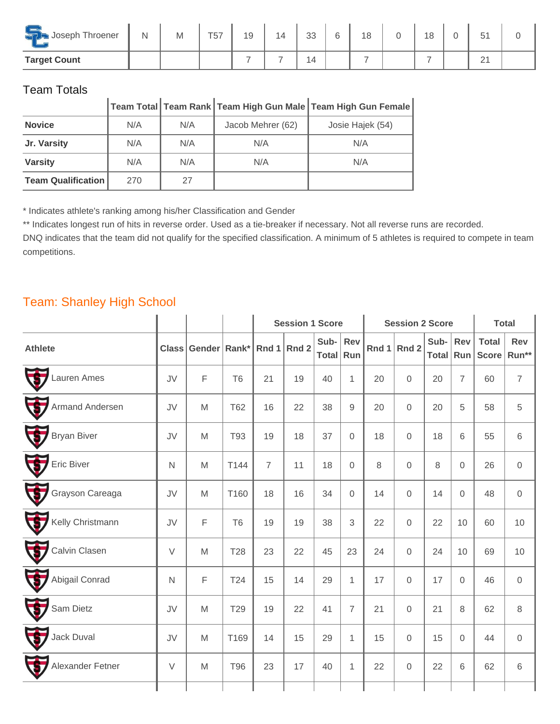| <u>ramma</u><br>Joseph Throener<br>$\overline{\phantom{a}}$ | N | M | T <sub>57</sub> | 19 | 14 | <b>SS</b><br>-၁၁ | ନ<br>ັ | 18 | 18 | 51<br>◡        |  |
|-------------------------------------------------------------|---|---|-----------------|----|----|------------------|--------|----|----|----------------|--|
| <b>Target Count</b>                                         |   |   |                 |    | -  | i 4              |        |    | -  | $\bigcap$<br>∠ |  |

|                           |     |     |                   | $\vert$ Team Total $\vert$ Team Rank $\vert$ Team High Gun Male $\vert$ Team High Gun Female $\vert$ |
|---------------------------|-----|-----|-------------------|------------------------------------------------------------------------------------------------------|
| <b>Novice</b>             | N/A | N/A | Jacob Mehrer (62) | Josie Hajek (54)                                                                                     |
| Jr. Varsity               | N/A | N/A | N/A               | N/A                                                                                                  |
| <b>Varsity</b>            | N/A | N/A | N/A               | N/A                                                                                                  |
| <b>Team Qualification</b> | 270 | 27  |                   |                                                                                                      |

\* Indicates athlete's ranking among his/her Classification and Gender

\*\* Indicates longest run of hits in reverse order. Used as a tie-breaker if necessary. Not all reverse runs are recorded.

DNQ indicates that the team did not qualify for the specified classification. A minimum of 5 athletes is required to compete in team competitions.

#### Team: Shanley High School

|                                          |              |                                |                |                | <b>Session 1 Score</b> |                   |                     |               | <b>Session 2 Score</b> |               |                     | <b>Total</b>                 |                     |
|------------------------------------------|--------------|--------------------------------|----------------|----------------|------------------------|-------------------|---------------------|---------------|------------------------|---------------|---------------------|------------------------------|---------------------|
| <b>Athlete</b>                           |              | Class Gender Rank* Rnd 1 Rnd 2 |                |                |                        | Sub-<br>Total Run | <b>Rev</b>          | Rnd $1$ Rnd 2 |                        | Sub-<br>Total | Rev<br>Run          | <b>Total</b><br><b>Score</b> | <b>Rev</b><br>Run** |
| U<br>Lauren Ames                         | JV           | $\mathsf F$                    | T <sub>6</sub> | 21             | 19                     | 40                | $\mathbf{1}$        | 20            | $\mathbf 0$            | 20            | $\overline{7}$      | 60                           | $\overline{7}$      |
| 5<br>Armand Andersen                     | JV           | M                              | <b>T62</b>     | 16             | 22                     | 38                | $\mathsf g$         | 20            | $\mathsf{O}\xspace$    | 20            | 5                   | 58                           | $\sqrt{5}$          |
| $\bigtriangledown$<br><b>Bryan Biver</b> | JV           | M                              | T93            | 19             | 18                     | 37                | $\mathbf 0$         | 18            | $\mathsf{O}\xspace$    | 18            | 6                   | 55                           | $6\,$               |
| U<br><b>Eric Biver</b>                   | $\mathsf{N}$ | M                              | T144           | $\overline{7}$ | 11                     | 18                | $\mathbf 0$         | 8             | $\mathsf{O}\xspace$    | 8             | $\mathbf 0$         | 26                           | $\mathbf 0$         |
| U<br>Grayson Careaga                     | JV           | M                              | T160           | 18             | 16                     | 34                | $\mathsf{O}\xspace$ | 14            | $\mathsf{O}\xspace$    | 14            | $\mathsf{O}\xspace$ | 48                           | $\mathbf 0$         |
| U<br>Kelly Christmann                    | JV           | F                              | T <sub>6</sub> | 19             | 19                     | 38                | 3                   | 22            | $\,0\,$                | 22            | 10                  | 60                           | 10                  |
| E<br>Calvin Clasen                       | $\vee$       | M                              | <b>T28</b>     | 23             | 22                     | 45                | 23                  | 24            | $\mathbf 0$            | 24            | 10                  | 69                           | 10                  |
| U<br>Abigail Conrad                      | $\mathsf{N}$ | F                              | T24            | 15             | 14                     | 29                | $\mathbf{1}$        | 17            | $\mathsf{O}\xspace$    | 17            | $\mathbf 0$         | 46                           | $\mathbf 0$         |
| 5<br>Sam Dietz                           | JV           | M                              | T29            | 19             | 22                     | 41                | $\overline{7}$      | 21            | $\mathsf{O}\xspace$    | 21            | 8                   | 62                           | $\,8\,$             |
| $\bigtriangledown$<br>Jack Duval         | JV           | M                              | T169           | 14             | 15                     | 29                | $\mathbf{1}$        | 15            | $\mathsf{O}\xspace$    | 15            | $\mathbf 0$         | 44                           | $\overline{0}$      |
| U<br>Alexander Fetner                    | $\vee$       | M                              | <b>T96</b>     | 23             | 17                     | 40                | $\mathbf{1}$        | 22            | $\mathbf 0$            | 22            | 6                   | 62                           | 6                   |
|                                          |              |                                |                |                |                        |                   |                     |               |                        |               |                     |                              |                     |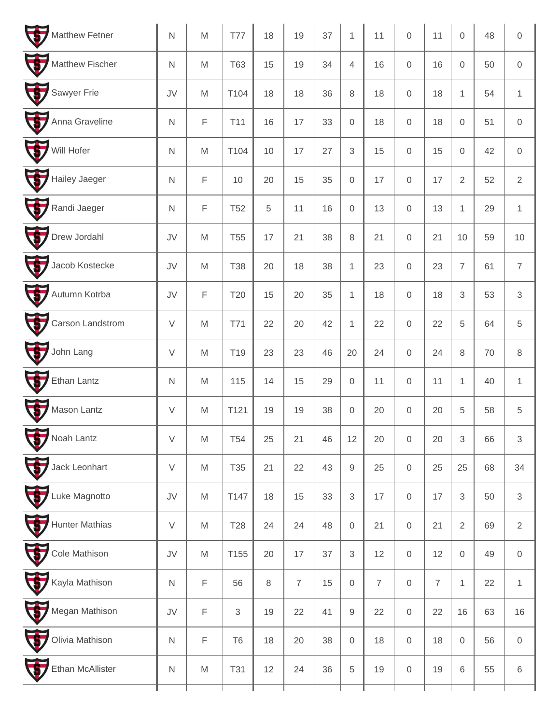| U<br>Matthew Fetner                | $\mathsf{N}$     | M                                                                                                          | <b>T77</b>      | 18      | 19             | 37 | $\mathbf{1}$        | 11             | $\mathbf 0$         | 11             | 0                   | 48 | $\mathbf 0$         |
|------------------------------------|------------------|------------------------------------------------------------------------------------------------------------|-----------------|---------|----------------|----|---------------------|----------------|---------------------|----------------|---------------------|----|---------------------|
| F<br>Matthew Fischer               | $\mathsf{N}$     | M                                                                                                          | <b>T63</b>      | 15      | 19             | 34 | $\overline{4}$      | 16             | $\mathsf{O}\xspace$ | 16             | $\mathsf{O}\xspace$ | 50 | $\mathbf 0$         |
| F<br>Sawyer Frie                   | JV               | M                                                                                                          | T104            | 18      | 18             | 36 | 8                   | 18             | $\mathbf 0$         | 18             | $\mathbf{1}$        | 54 | $\mathbf{1}$        |
| $\blacklozenge$<br>Anna Graveline  | $\mathsf{N}$     | F                                                                                                          | T11             | 16      | 17             | 33 | $\mathsf{O}\xspace$ | 18             | $\mathbf 0$         | 18             | $\mathsf{O}\xspace$ | 51 | $\mathbf 0$         |
| Will Hofer                         | $\mathsf N$      | M                                                                                                          | T104            | 10      | 17             | 27 | 3                   | 15             | $\mathbf 0$         | 15             | $\mathsf{O}\xspace$ | 42 | $\mathbf 0$         |
| U<br>Hailey Jaeger                 | $\mathsf{N}$     | $\mathsf F$                                                                                                | 10              | 20      | 15             | 35 | $\mathsf{O}\xspace$ | 17             | $\mathbf 0$         | 17             | $\sqrt{2}$          | 52 | $\sqrt{2}$          |
| $\blacklozenge$<br>Randi Jaeger    | $\mathsf N$      | F                                                                                                          | <b>T52</b>      | 5       | 11             | 16 | 0                   | 13             | $\mathbf 0$         | 13             | $\mathbf{1}$        | 29 | $\mathbf{1}$        |
| F<br>Drew Jordahl                  | JV               | M                                                                                                          | <b>T55</b>      | 17      | 21             | 38 | $\,8\,$             | 21             | $\mathbf 0$         | 21             | 10                  | 59 | 10                  |
| $\blacklozenge$<br>Jacob Kostecke  | JV               | M                                                                                                          | <b>T38</b>      | 20      | 18             | 38 | $\mathbf{1}$        | 23             | $\mathbf 0$         | 23             | $\overline{7}$      | 61 | $\overline{7}$      |
| F<br>Autumn Kotrba                 | JV               | F                                                                                                          | T20             | 15      | 20             | 35 | $\mathbf{1}$        | 18             | $\mathsf{O}\xspace$ | 18             | 3                   | 53 | $\mathfrak{S}$      |
| 5<br>Carson Landstrom              | $\vee$           | M                                                                                                          | <b>T71</b>      | 22      | 20             | 42 | $\mathbf{1}$        | 22             | $\mathbf 0$         | 22             | 5                   | 64 | 5                   |
| $\blacklozenge$<br>John Lang       | $\vee$           | M                                                                                                          | T <sub>19</sub> | 23      | 23             | 46 | 20                  | 24             | $\mathbf 0$         | 24             | 8                   | 70 | $\,8\,$             |
| F<br>Ethan Lantz                   | $\mathsf N$      | M                                                                                                          | 115             | 14      | 15             | 29 | $\mathsf{O}\xspace$ | 11             | $\mathbf 0$         | 11             | $\mathbf{1}$        | 40 | $\mathbf{1}$        |
| F<br>Mason Lantz                   | $\vee$           | M                                                                                                          | T121            | 19      | 19             | 38 | $\mathsf{O}\xspace$ | 20             | $\mathsf{O}\xspace$ | 20             | 5                   | 58 | $\sqrt{5}$          |
| U<br>Noah Lantz                    | $\vee$           | M                                                                                                          | <b>T54</b>      | 25      | 21             | 46 | 12                  | 20             | $\mathbf 0$         | 20             | 3                   | 66 | 3                   |
| U<br>Jack Leonhart                 | $\vee$           | M                                                                                                          | T35             | 21      | 22             | 43 | $\hbox{9}$          | 25             | $\mathbf 0$         | 25             | 25                  | 68 | 34                  |
| $\overline{\Phi}$<br>Luke Magnotto | ${\sf J}{\sf V}$ | M                                                                                                          | T147            | 18      | 15             | 33 | 3                   | 17             | $\mathbf 0$         | 17             | $\,3$               | 50 | $\sqrt{3}$          |
| 5<br><b>Hunter Mathias</b>         | $\vee$           | $\mathsf{M}% _{T}=\mathsf{M}_{T}\!\left( a,b\right) ,\ \mathsf{M}_{T}=\mathsf{M}_{T}\!\left( a,b\right) ,$ | <b>T28</b>      | 24      | 24             | 48 | $\mathbf 0$         | 21             | $\mathbf 0$         | 21             | $\sqrt{2}$          | 69 | $\overline{2}$      |
| F<br>Cole Mathison                 | JV               | M                                                                                                          | T155            | 20      | 17             | 37 | 3                   | 12             | $\mathbf 0$         | 12             | $\mathsf{O}\xspace$ | 49 | $\mathsf{O}\xspace$ |
| F<br>Kayla Mathison                | $\mathsf N$      | F                                                                                                          | 56              | $\,8\,$ | $\overline{7}$ | 15 | $\mathsf{O}\xspace$ | $\overline{I}$ | $\mathbf 0$         | $\overline{7}$ | $\mathbf{1}$        | 22 | $\mathbf{1}$        |
| U<br>Megan Mathison                | JV               | F                                                                                                          | $\sqrt{3}$      | 19      | 22             | 41 | $\hbox{9}$          | 22             | $\mathbf 0$         | 22             | 16                  | 63 | 16                  |
| F<br>Olivia Mathison               | ${\sf N}$        | F                                                                                                          | T <sub>6</sub>  | 18      | 20             | 38 | $\mathbf 0$         | 18             | $\mathbf 0$         | 18             | $\mathsf{O}\xspace$ | 56 | $\mathsf{O}$        |
| U<br><b>Ethan McAllister</b>       | ${\sf N}$        | M                                                                                                          | <b>T31</b>      | 12      | 24             | 36 | 5                   | 19             | $\mathbf 0$         | 19             | 6                   | 55 | 6                   |
|                                    |                  |                                                                                                            |                 |         |                |    |                     |                |                     |                |                     |    |                     |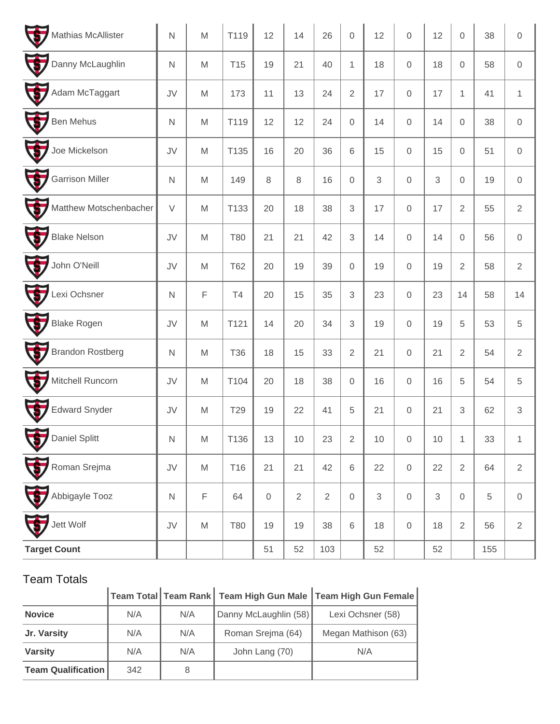| F<br>Mathias McAllister                    | $\mathsf{N}$     | M                                                                                                          | T119            | 12          | 14             | 26         | $\mathbf 0$         | 12             | $\mathsf{O}\xspace$ | 12 | $\mathbf 0$         | 38  | $\mathbf 0$    |
|--------------------------------------------|------------------|------------------------------------------------------------------------------------------------------------|-----------------|-------------|----------------|------------|---------------------|----------------|---------------------|----|---------------------|-----|----------------|
| F<br>Danny McLaughlin                      | $\mathsf N$      | M                                                                                                          | T <sub>15</sub> | 19          | 21             | 40         | 1                   | 18             | $\mathbf 0$         | 18 | $\mathsf{O}\xspace$ | 58  | $\mathbf 0$    |
| F<br>Adam McTaggart                        | JV               | M                                                                                                          | 173             | 11          | 13             | 24         | $\overline{2}$      | 17             | $\mathbf 0$         | 17 | 1                   | 41  | $\mathbf{1}$   |
| 5<br><b>Ben Mehus</b>                      | $\mathsf N$      | M                                                                                                          | T119            | 12          | 12             | 24         | $\mathsf{O}\xspace$ | 14             | $\mathbf 0$         | 14 | $\mathsf{O}\xspace$ | 38  | $\mathbf 0$    |
| Ŧ<br>Joe Mickelson                         | JV               | M                                                                                                          | T135            | 16          | 20             | 36         | 6                   | 15             | $\mathbf 0$         | 15 | $\mathsf{O}\xspace$ | 51  | $\,0\,$        |
| 5<br><b>Garrison Miller</b>                | $\mathsf N$      | M                                                                                                          | 149             | 8           | 8              | 16         | $\mathsf{O}\xspace$ | $\mathfrak{S}$ | $\mathbf 0$         | 3  | $\mathbf 0$         | 19  | $\mathbf 0$    |
| F<br>Matthew Motschenbacher                | $\vee$           | M                                                                                                          | T133            | 20          | 18             | 38         | 3                   | 17             | $\mathbf 0$         | 17 | $\sqrt{2}$          | 55  | $\sqrt{2}$     |
| $\overline{\bm{G}}$<br><b>Blake Nelson</b> | JV               | ${\sf M}$                                                                                                  | <b>T80</b>      | 21          | 21             | 42         | 3                   | 14             | $\mathbf 0$         | 14 | $\mathbf 0$         | 56  | $\,0\,$        |
| F<br>John O'Neill                          | JV               | M                                                                                                          | <b>T62</b>      | 20          | 19             | 39         | $\mathsf{O}\xspace$ | 19             | $\mathbf 0$         | 19 | $\overline{2}$      | 58  | $\overline{2}$ |
| 5<br>Lexi Ochsner                          | $\mathsf N$      | F                                                                                                          | T4              | 20          | 15             | 35         | 3                   | 23             | $\mathbf 0$         | 23 | 14                  | 58  | 14             |
| 6<br><b>Blake Rogen</b>                    | JV               | M                                                                                                          | T121            | 14          | 20             | 34         | $\mathfrak{S}$      | 19             | $\mathbf 0$         | 19 | 5                   | 53  | $\sqrt{5}$     |
| 5<br><b>Brandon Rostberg</b>               | $\mathsf{N}$     | M                                                                                                          | <b>T36</b>      | 18          | 15             | 33         | $\overline{2}$      | 21             | $\mathbf 0$         | 21 | $\overline{2}$      | 54  | $\sqrt{2}$     |
| Ŧ<br>Mitchell Runcorn                      | JV               | M                                                                                                          | T104            | 20          | 18             | 38         | $\mathsf{O}\xspace$ | 16             | $\mathbf 0$         | 16 | $\,$ 5 $\,$         | 54  | $\sqrt{5}$     |
| F<br><b>Edward Snyder</b>                  | JV               | M                                                                                                          | T29             | 19          | 22             | 41         | 5                   | 21             | $\mathbf 0$         | 21 | 3                   | 62  | $\,3$          |
| U<br>Daniel Splitt                         | $\mathsf{N}$     | $\mathsf{M}% _{T}=\mathsf{M}_{T}\!\left( a,b\right) ,\ \mathsf{M}_{T}=\mathsf{M}_{T}\!\left( a,b\right) ,$ | T136            | 13          | 10             | 23         | $\overline{2}$      | $10$           | $\mathbf 0$         | 10 | $\mathbf{1}$        | 33  | $\mathbf{1}$   |
| $\mathbf{G}$<br>Roman Srejma               | JV               | M                                                                                                          | T16             | 21          | 21             | 42         | 6                   | 22             | $\mathbf 0$         | 22 | $\overline{2}$      | 64  | $\sqrt{2}$     |
| Abbigayle Tooz                             | ${\sf N}$        | $\mathsf F$                                                                                                | 64              | $\mathbf 0$ | $\overline{2}$ | $\sqrt{2}$ | $\mathsf{O}\xspace$ | 3              | $\mathbf 0$         | 3  | $\mathsf{O}\xspace$ | 5   | $\mathbf 0$    |
| Jett Wolf                                  | ${\sf J}{\sf V}$ | $\mathsf{M}% _{T}=\mathsf{M}_{T}\!\left( a,b\right) ,\ \mathsf{M}_{T}=\mathsf{M}_{T}\!\left( a,b\right) ,$ | <b>T80</b>      | 19          | 19             | 38         | 6                   | 18             | $\mathbf 0$         | 18 | $\overline{2}$      | 56  | $\sqrt{2}$     |
| <b>Target Count</b>                        |                  |                                                                                                            |                 | 51          | 52             | 103        |                     | 52             |                     | 52 |                     | 155 |                |

|                           |     |     |                       | Team Total   Team Rank   Team High Gun Male   Team High Gun Female |
|---------------------------|-----|-----|-----------------------|--------------------------------------------------------------------|
| <b>Novice</b>             | N/A | N/A | Danny McLaughlin (58) | Lexi Ochsner (58)                                                  |
| Jr. Varsity               | N/A | N/A | Roman Srejma (64)     | Megan Mathison (63)                                                |
| <b>Varsity</b>            | N/A | N/A | John Lang (70)        | N/A                                                                |
| <b>Team Qualification</b> | 342 |     |                       |                                                                    |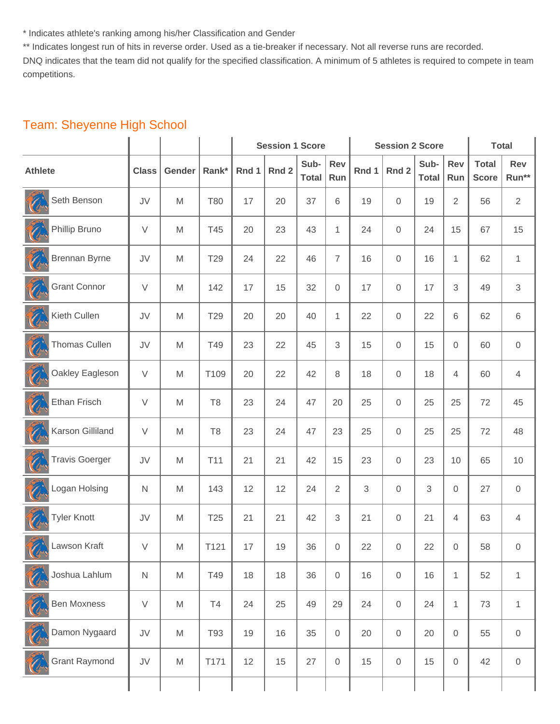\* Indicates athlete's ranking among his/her Classification and Gender

\*\* Indicates longest run of hits in reverse order. Used as a tie-breaker if necessary. Not all reverse runs are recorded.

DNQ indicates that the team did not qualify for the specified classification. A minimum of 5 athletes is required to compete in team competitions.

|                       |              |                                                                                                            |                |       | <b>Session 1 Score</b> |                      |                |       | <b>Session 2 Score</b> |                      |                | <b>Total</b>                 |                  |
|-----------------------|--------------|------------------------------------------------------------------------------------------------------------|----------------|-------|------------------------|----------------------|----------------|-------|------------------------|----------------------|----------------|------------------------------|------------------|
| <b>Athlete</b>        | <b>Class</b> | Gender                                                                                                     | Rank*          | Rnd 1 | Rnd 2                  | Sub-<br><b>Total</b> | Rev<br>Run     | Rnd 1 | Rnd <sub>2</sub>       | Sub-<br><b>Total</b> | Rev<br>Run     | <b>Total</b><br><b>Score</b> | Rev<br>Run**     |
| Seth Benson           | JV           | M                                                                                                          | <b>T80</b>     | 17    | 20                     | 37                   | 6              | 19    | $\mathbf 0$            | 19                   | $\overline{2}$ | 56                           | $\overline{2}$   |
| Phillip Bruno         | $\vee$       | M                                                                                                          | T45            | 20    | 23                     | 43                   | 1              | 24    | $\mathbf 0$            | 24                   | 15             | 67                           | 15               |
| <b>Brennan Byrne</b>  | JV           | M                                                                                                          | T29            | 24    | 22                     | 46                   | $\overline{7}$ | 16    | $\mathbf 0$            | 16                   | 1              | 62                           | 1                |
| <b>Grant Connor</b>   | $\vee$       | M                                                                                                          | 142            | 17    | 15                     | 32                   | 0              | 17    | $\mathbf 0$            | 17                   | 3              | 49                           | $\sqrt{3}$       |
| Kieth Cullen          | JV           | M                                                                                                          | T29            | 20    | 20                     | 40                   | 1              | 22    | $\mathbf 0$            | 22                   | 6              | 62                           | 6                |
| <b>Thomas Cullen</b>  | JV           | M                                                                                                          | T49            | 23    | 22                     | 45                   | 3              | 15    | $\mathbf 0$            | 15                   | 0              | 60                           | $\mathbf 0$      |
| Oakley Eagleson       | $\vee$       | M                                                                                                          | T109           | 20    | 22                     | 42                   | 8              | 18    | $\mathbf 0$            | 18                   | 4              | 60                           | 4                |
| Ethan Frisch          | $\vee$       | M                                                                                                          | T <sub>8</sub> | 23    | 24                     | 47                   | 20             | 25    | $\mathbf 0$            | 25                   | 25             | 72                           | 45               |
| Karson Gilliland      | $\vee$       | M                                                                                                          | T <sub>8</sub> | 23    | 24                     | 47                   | 23             | 25    | $\mathbf 0$            | 25                   | 25             | 72                           | 48               |
| <b>Travis Goerger</b> | JV           | M                                                                                                          | T11            | 21    | 21                     | 42                   | 15             | 23    | $\mathbf 0$            | 23                   | 10             | 65                           | 10               |
| Logan Holsing         | N            | M                                                                                                          | 143            | 12    | 12                     | 24                   | 2              | 3     | $\mathbf 0$            | $\sqrt{3}$           | 0              | 27                           | $\mathbf 0$      |
| <b>Tyler Knott</b>    | JV           | M                                                                                                          | T25            | 21    | 21                     | 42                   | 3              | 21    | $\mathbf 0$            | 21                   | 4              | 63                           | 4                |
| Lawson Kraft          | V            | M                                                                                                          | T121           | 17    | $19$                   | 36                   | $\overline{0}$ | 22    | $\overline{0}$         | 22                   | 0              | 58                           | $\boldsymbol{0}$ |
| Joshua Lahlum         | ${\sf N}$    | $\mathsf{M}% _{T}=\mathsf{M}_{T}\!\left( a,b\right) ,\ \mathsf{M}_{T}=\mathsf{M}_{T}\!\left( a,b\right) ,$ | T49            | 18    | 18                     | 36                   | 0              | 16    | $\mathsf{O}\xspace$    | 16                   | $\mathbf{1}$   | 52                           | $\mathbf{1}$     |
| <b>Ben Moxness</b>    | $\vee$       | M                                                                                                          | T <sub>4</sub> | 24    | 25                     | 49                   | 29             | 24    | $\mathsf{O}\xspace$    | 24                   | $\mathbf{1}$   | 73                           | $\mathbf{1}$     |
| Damon Nygaard         | JV           | M                                                                                                          | T93            | 19    | 16                     | 35                   | 0              | 20    | $\mathsf{O}\xspace$    | 20                   | 0              | 55                           | $\,0\,$          |
| <b>Grant Raymond</b>  | JV           | M                                                                                                          | T171           | 12    | 15                     | 27                   | 0              | 15    | $\mathbf 0$            | 15                   | 0              | 42                           | $\,0\,$          |
|                       |              |                                                                                                            |                |       |                        |                      |                |       |                        |                      |                |                              |                  |

## Team: Sheyenne High School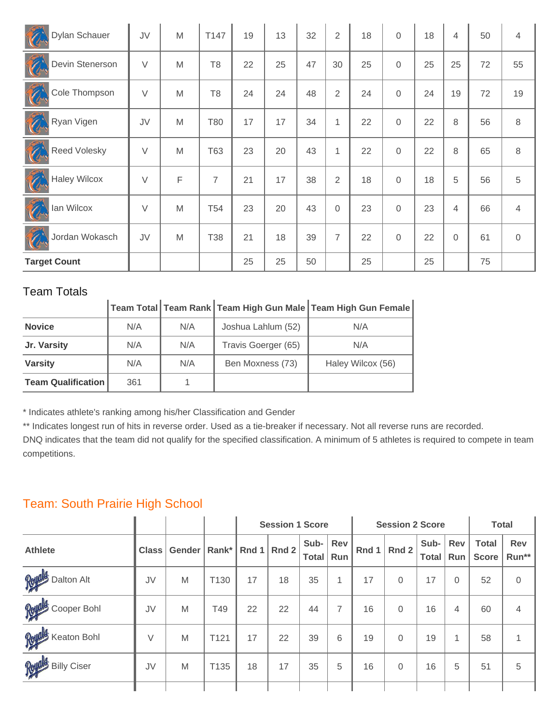| Dylan Schauer            | JV     | M | T147            | 19 | 13 | 32 | 2              | 18 | $\overline{0}$ | 18 | $\overline{4}$ | 50 | $\overline{4}$ |
|--------------------------|--------|---|-----------------|----|----|----|----------------|----|----------------|----|----------------|----|----------------|
| Devin Stenerson          | $\vee$ | M | T <sub>8</sub>  | 22 | 25 | 47 | 30             | 25 | $\Omega$       | 25 | 25             | 72 | 55             |
| Cole Thompson            | $\vee$ | M | T <sub>8</sub>  | 24 | 24 | 48 | $\overline{2}$ | 24 | $\Omega$       | 24 | 19             | 72 | 19             |
| Ros<br>Ryan Vigen        | JV     | M | T80             | 17 | 17 | 34 | 1              | 22 | $\overline{0}$ | 22 | 8              | 56 | $\,8\,$        |
| Ó<br><b>Reed Volesky</b> | $\vee$ | M | T63             | 23 | 20 | 43 | 1              | 22 | $\overline{0}$ | 22 | 8              | 65 | 8              |
| <b>Haley Wilcox</b>      | $\vee$ | F | 7               | 21 | 17 | 38 | $\overline{2}$ | 18 | $\Omega$       | 18 | 5              | 56 | 5              |
| A<br>lan Wilcox          | $\vee$ | M | T <sub>54</sub> | 23 | 20 | 43 | 0              | 23 | $\overline{0}$ | 23 | 4              | 66 | $\overline{4}$ |
| Jordan Wokasch           | JV     | M | T38             | 21 | 18 | 39 | 7              | 22 | $\overline{0}$ | 22 | 0              | 61 | $\mathbf 0$    |
| <b>Target Count</b>      |        |   |                 | 25 | 25 | 50 |                | 25 |                | 25 |                | 75 |                |

| טשטט ווושטו               |     |     |                     |                                                               |
|---------------------------|-----|-----|---------------------|---------------------------------------------------------------|
|                           |     |     |                     | │Team Total│Team Rank│Team High Gun Male│Team High Gun Female |
| <b>Novice</b>             | N/A | N/A | Joshua Lahlum (52)  | N/A                                                           |
| Jr. Varsity               | N/A | N/A | Travis Goerger (65) | N/A                                                           |
| <b>Varsity</b>            | N/A | N/A | Ben Moxness (73)    | Haley Wilcox (56)                                             |
| <b>Team Qualification</b> | 361 |     |                     |                                                               |

\* Indicates athlete's ranking among his/her Classification and Gender

\*\* Indicates longest run of hits in reverse order. Used as a tie-breaker if necessary. Not all reverse runs are recorded.

DNQ indicates that the team did not qualify for the specified classification. A minimum of 5 athletes is required to compete in team competitions.

## Team: South Prairie High School

|                    |              |        |                  |       | <b>Session 1 Score</b> |                      |              |       | <b>Session 2 Score</b> |                      |            | <b>Total</b>                 |              |
|--------------------|--------------|--------|------------------|-------|------------------------|----------------------|--------------|-------|------------------------|----------------------|------------|------------------------------|--------------|
| <b>Athlete</b>     | <b>Class</b> | Gender | Rank $*$         | Rnd 1 | Rnd 2                  | Sub-<br><b>Total</b> | Rev<br>Run   | Rnd 1 | Rnd 2                  | Sub-<br><b>Total</b> | Rev<br>Run | <b>Total</b><br><b>Score</b> | Rev<br>Run** |
| Royald Dalton Alt  | JV           | M      | T <sub>130</sub> | 17    | 18                     | 35                   | $\mathbf{1}$ | 17    | $\Omega$               | 17                   | $\Omega$   | 52                           | $\Omega$     |
| Royald Cooper Bohl | JV           | M      | T49              | 22    | 22                     | 44                   | 7            | 16    | $\Omega$               | 16                   | 4          | 60                           | 4            |
| Royald Keaton Bohl | V            | M      | T121             | 17    | 22                     | 39                   | 6            | 19    | $\Omega$               | 19                   | 1          | 58                           |              |
| Royals Billy Ciser | JV           | M      | T <sub>135</sub> | 18    | 17                     | 35                   | 5            | 16    | $\Omega$               | 16                   | 5          | 51                           | 5            |
|                    |              |        |                  |       |                        |                      |              |       |                        |                      |            |                              |              |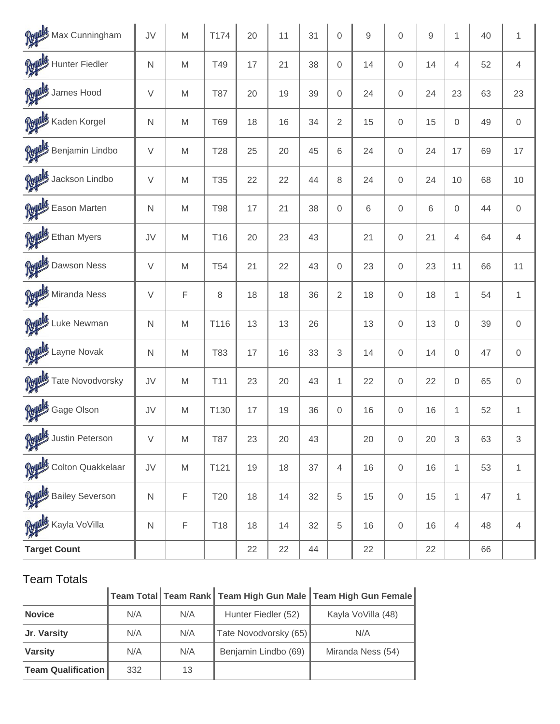| Royals Max Cunningham           | JV           | M           | T174       | 20 | 11 | 31 | $\mathbf 0$    | 9  | $\mathbf 0$         | 9  | 1            | 40 | $\mathbf{1}$        |
|---------------------------------|--------------|-------------|------------|----|----|----|----------------|----|---------------------|----|--------------|----|---------------------|
| Royals Hunter Fiedler           | $\mathsf{N}$ | M           | T49        | 17 | 21 | 38 | $\mathbf 0$    | 14 | $\mathbf 0$         | 14 | 4            | 52 | $\overline{4}$      |
| Royals James Hood               | $\vee$       | M           | <b>T87</b> | 20 | 19 | 39 | $\mathbf 0$    | 24 | $\overline{0}$      | 24 | 23           | 63 | 23                  |
| Royals Kaden Korgel             | $\mathsf{N}$ | M           | <b>T69</b> | 18 | 16 | 34 | $\overline{2}$ | 15 | $\overline{0}$      | 15 | $\mathbf 0$  | 49 | $\mathsf{O}\xspace$ |
| Royals Benjamin Lindbo          | $\vee$       | M           | <b>T28</b> | 25 | 20 | 45 | 6              | 24 | $\overline{0}$      | 24 | 17           | 69 | 17                  |
| Royals Jackson Lindbo           | $\vee$       | M           | T35        | 22 | 22 | 44 | 8              | 24 | $\mathbf 0$         | 24 | 10           | 68 | 10                  |
| Royals Eason Marten             | $\mathsf{N}$ | M           | <b>T98</b> | 17 | 21 | 38 | $\mathbf 0$    | 6  | $\overline{0}$      | 6  | $\mathbf 0$  | 44 | $\mathbf 0$         |
| Royald Ethan Myers              | JV           | M           | T16        | 20 | 23 | 43 |                | 21 | $\overline{0}$      | 21 | 4            | 64 | $\overline{4}$      |
| Royalds Dawson Ness             | $\vee$       | M           | <b>T54</b> | 21 | 22 | 43 | $\mathbf 0$    | 23 | $\overline{0}$      | 23 | 11           | 66 | 11                  |
| Royald Miranda Ness             | $\vee$       | $\mathsf F$ | 8          | 18 | 18 | 36 | $\overline{2}$ | 18 | $\mathbf 0$         | 18 | 1            | 54 | $\mathbf{1}$        |
| Royals Luke Newman              | $\mathsf{N}$ | M           | T116       | 13 | 13 | 26 |                | 13 | $\overline{0}$      | 13 | $\mathbf 0$  | 39 | $\overline{0}$      |
| Royald Layne Novak              | $\mathsf{N}$ | M           | T83        | 17 | 16 | 33 | 3              | 14 | $\overline{0}$      | 14 | $\mathbf 0$  | 47 | $\mathbf 0$         |
| Royald Tate Novodvorsky         | JV           | M           | T11        | 23 | 20 | 43 | 1              | 22 | $\mathbf 0$         | 22 | $\mathbf 0$  | 65 | $\mathsf{O}\xspace$ |
| Royalds Gage Olson              | JV           | M           | T130       | 17 | 19 | 36 | $\mathbf 0$    | 16 | $\mathbf 0$         | 16 | 1            | 52 | $\mathbf{1}$        |
| <b>Reyald</b> : Justin Peterson | $\vee$       | M           | <b>T87</b> | 23 | 20 | 43 |                | 20 | $\mathbf 0$         | 20 | 3            | 63 | $\mathfrak{S}$      |
| Royals Colton Quakkelaar        | JV           | M           | T121       | 19 | 18 | 37 | $\overline{4}$ | 16 | $\mathbf 0$         | 16 | $\mathbf{1}$ | 53 | $\mathbf{1}$        |
| Royals Bailey Severson          | $\mathsf{N}$ | $\mathsf F$ | T20        | 18 | 14 | 32 | 5              | 15 | $\mathbf 0$         | 15 | $\mathbf{1}$ | 47 | $\mathbf{1}$        |
| Reyals Kayla VoVilla            | $\mathsf{N}$ | $\mathsf F$ | T18        | 18 | 14 | 32 | 5              | 16 | $\mathsf{O}\xspace$ | 16 | 4            | 48 | $\overline{4}$      |
| <b>Target Count</b>             |              |             |            | 22 | 22 | 44 |                | 22 |                     | 22 |              | 66 |                     |

| <b>Team Totals</b>        |     |     |                       |                                                                |
|---------------------------|-----|-----|-----------------------|----------------------------------------------------------------|
|                           |     |     |                       | │Team Total│Team Rank│Team High Gun Male│Team High Gun Female│ |
| <b>Novice</b>             | N/A | N/A | Hunter Fiedler (52)   | Kayla VoVilla (48)                                             |
| Jr. Varsity               | N/A | N/A | Tate Novodvorsky (65) | N/A                                                            |
| <b>Varsity</b>            | N/A | N/A | Benjamin Lindbo (69)  | Miranda Ness (54)                                              |
| <b>Team Qualification</b> | 332 | 13  |                       |                                                                |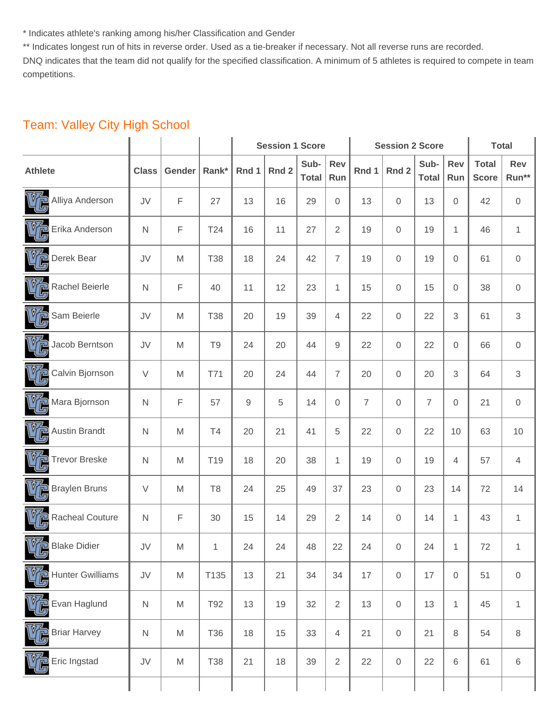\* Indicates athlete's ranking among his/her Classification and Gender

\*\* Indicates longest run of hits in reverse order. Used as a tie-breaker if necessary. Not all reverse runs are recorded.

DNQ indicates that the team did not qualify for the specified classification. A minimum of 5 athletes is required to compete in team competitions.

|                                      |              |        |                | <b>Session 1 Score</b> |                  |                      |                | <b>Session 2 Score</b> | <b>Total</b>        |                      |              |                              |                  |
|--------------------------------------|--------------|--------|----------------|------------------------|------------------|----------------------|----------------|------------------------|---------------------|----------------------|--------------|------------------------------|------------------|
| <b>Athlete</b>                       | <b>Class</b> | Gender | Rank*          | Rnd 1                  | Rnd <sub>2</sub> | Sub-<br><b>Total</b> | Rev<br>Run     | Rnd 1                  | Rnd 2               | Sub-<br><b>Total</b> | Rev<br>Run   | <b>Total</b><br><b>Score</b> | Rev<br>Run**     |
| VG<br>Alliya Anderson                | JV           | F      | 27             | 13                     | 16               | 29                   | 0              | 13                     | $\mathbf 0$         | 13                   | 0            | 42                           | $\,0\,$          |
| Erika Anderson                       | $\mathsf{N}$ | F      | T24            | 16                     | 11               | 27                   | $\overline{2}$ | 19                     | $\mathbf 0$         | 19                   | $\mathbf{1}$ | 46                           | $\mathbf{1}$     |
| 嗨<br>Derek Bear                      | JV           | M      | <b>T38</b>     | 18                     | 24               | 42                   | $\overline{7}$ | 19                     | $\mathbf 0$         | 19                   | 0            | 61                           | $\mathbf 0$      |
| <b>VG</b><br>Rachel Beierle          | $\mathsf{N}$ | F      | 40             | 11                     | 12               | 23                   | $\mathbf{1}$   | 15                     | $\mathbf 0$         | 15                   | 0            | 38                           | $\boldsymbol{0}$ |
| VG.<br>Sam Beierle                   | JV           | M      | <b>T38</b>     | 20                     | 19               | 39                   | 4              | 22                     | $\mathbf 0$         | 22                   | 3            | 61                           | $\mathfrak{S}$   |
| Jacob Berntson                       | JV           | M      | T <sub>9</sub> | 24                     | 20               | 44                   | 9              | 22                     | $\mathbf 0$         | 22                   | 0            | 66                           | $\,0\,$          |
| VP.<br>Calvin Bjornson               | $\vee$       | M      | T71            | 20                     | 24               | 44                   | $\overline{7}$ | 20                     | $\mathbf 0$         | 20                   | 3            | 64                           | $\sqrt{3}$       |
| <b>VG</b><br>Mara Bjornson           | N            | F      | 57             | $\mathsf 9$            | 5                | 14                   | 0              | $\overline{7}$         | $\mathbf 0$         | $\overline{7}$       | 0            | 21                           | $\boldsymbol{0}$ |
| 哘<br><b>Austin Brandt</b>            | $\mathsf N$  | M      | <b>T4</b>      | 20                     | 21               | 41                   | 5              | 22                     | $\mathbf 0$         | 22                   | 10           | 63                           | $10$             |
| <b>Trevor Breske</b>                 | $\mathsf{N}$ | M      | T19            | 18                     | 20               | 38                   | 1              | 19                     | $\mathbf 0$         | 19                   | 4            | 57                           | $\overline{4}$   |
| VG<br><b>Braylen Bruns</b>           | $\vee$       | M      | T <sub>8</sub> | 24                     | 25               | 49                   | 37             | 23                     | $\mathbf 0$         | 23                   | 14           | 72                           | 14               |
| <b>VG</b><br><b>Racheal Couture</b>  | $\mathsf{N}$ | F      | 30             | 15                     | 14               | 29                   | $\mathbf{2}$   | 14                     | $\mathsf{O}\xspace$ | 14                   | 1            | 43                           | $\mathbf{1}$     |
| $\sqrt{\sqrt{2}}$ Blake Didier<br>45 | JV           | M      | $\mathbf{1}$   | 24                     | 24               | 48                   | 22             | 24                     | $\overline{0}$      | 24                   | $\mathbf{1}$ | $72\,$                       | 1                |
| <b>Hunter Gwilliams</b>              | JV           | M      | T135           | 13                     | 21               | 34                   | 34             | 17                     | $\mathbf 0$         | 17                   | 0            | 51                           | $\,0\,$          |
| Evan Haglund                         | ${\sf N}$    | M      | T92            | 13                     | 19               | 32                   | $\overline{2}$ | 13                     | $\mathsf{O}\xspace$ | 13                   | $\mathbf{1}$ | 45                           | $\mathbf{1}$     |
| <b>Briar Harvey</b>                  | ${\sf N}$    | M      | T36            | 18                     | 15               | 33                   | $\overline{4}$ | 21                     | $\mathsf{O}\xspace$ | 21                   | 8            | 54                           | 8                |
| Eric Ingstad                         | JV           | M      | <b>T38</b>     | 21                     | 18               | 39                   | 2              | 22                     | $\mathsf{O}\xspace$ | 22                   | 6            | 61                           | $\,6\,$          |
|                                      |              |        |                |                        |                  |                      |                |                        |                     |                      |              |                              |                  |

#### Team: Valley City High School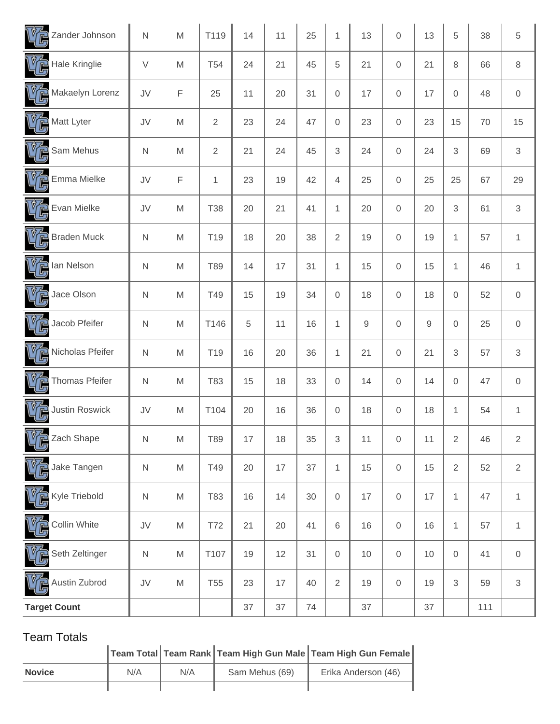| $\sqrt{\widehat{U}}$ Zander Johnson   | N            | M                                                                                                          | T119            | 14 | 11 | 25 | $\mathbf{1}$        | 13          | $\mathbf 0$         | 13 | 5              | 38  | 5                   |
|---------------------------------------|--------------|------------------------------------------------------------------------------------------------------------|-----------------|----|----|----|---------------------|-------------|---------------------|----|----------------|-----|---------------------|
| $V_{\mathbb{C}}$ Hale Kringlie        | $\vee$       | M                                                                                                          | <b>T54</b>      | 24 | 21 | 45 | 5                   | 21          | $\mathsf{O}\xspace$ | 21 | 8              | 66  | 8                   |
| $\sqrt{\overline{C}}$ Makaelyn Lorenz | JV           | F                                                                                                          | 25              | 11 | 20 | 31 | $\mathbf 0$         | 17          | 0                   | 17 | 0              | 48  | $\mathsf{O}\xspace$ |
| Matt Lyter                            | JV           | M                                                                                                          | $\sqrt{2}$      | 23 | 24 | 47 | $\mathsf{O}\xspace$ | 23          | $\mathbf 0$         | 23 | 15             | 70  | 15                  |
| $V_{\mathbb{G}}$ Sam Mehus            | $\mathsf{N}$ | M                                                                                                          | $\overline{2}$  | 21 | 24 | 45 | 3                   | 24          | $\mathbf 0$         | 24 | 3              | 69  | $\sqrt{3}$          |
| VG<br>Emma Mielke                     | JV           | F                                                                                                          | $\mathbf{1}$    | 23 | 19 | 42 | 4                   | 25          | $\mathbf 0$         | 25 | 25             | 67  | 29                  |
| $V_{\mathbb{G}}$ Evan Mielke          | JV           | M                                                                                                          | <b>T38</b>      | 20 | 21 | 41 | $\mathbf{1}$        | 20          | 0                   | 20 | 3              | 61  | $\mathfrak{S}$      |
| $V_{\text{C}}$ Braden Muck            | $\mathsf{N}$ | M                                                                                                          | T <sub>19</sub> | 18 | 20 | 38 | $\overline{2}$      | 19          | $\mathsf{O}\xspace$ | 19 | $\mathbf{1}$   | 57  | $\mathbf{1}$        |
| $V_{\mathbb{G}}$ lan Nelson           | $\mathsf{N}$ | M                                                                                                          | T89             | 14 | 17 | 31 | 1                   | 15          | 0                   | 15 | $\mathbf{1}$   | 46  | $\mathbf{1}$        |
| $V_{\mathbb{C}}$ Jace Olson           | $\mathsf{N}$ | M                                                                                                          | T49             | 15 | 19 | 34 | $\mathbf 0$         | 18          | $\mathbf 0$         | 18 | 0              | 52  | $\,0\,$             |
| $\mathbb{V}$ Jacob Pfeifer            | $\mathsf{N}$ | M                                                                                                          | T146            | 5  | 11 | 16 | $\mathbf{1}$        | $\mathsf 9$ | 0                   | 9  | 0              | 25  | $\mathbf 0$         |
| Nicholas Pfeifer                      | N            | M                                                                                                          | T <sub>19</sub> | 16 | 20 | 36 | 1                   | 21          | $\mathsf{O}\xspace$ | 21 | 3              | 57  | $\sqrt{3}$          |
| $V_{\mathbb{C}}$ Thomas Pfeifer       | $\mathsf{N}$ | M                                                                                                          | T83             | 15 | 18 | 33 | $\mathsf{O}\xspace$ | 14          | $\mathbf 0$         | 14 | 0              | 47  | $\,0\,$             |
| <b>Justin Roswick</b>                 | JV           | M                                                                                                          | T104            | 20 | 16 | 36 | $\mathsf{O}\xspace$ | 18          | $\mathsf{O}\xspace$ | 18 | $\mathbf{1}$   | 54  | $\mathbf{1}$        |
| $-1$<br>Zach Shape                    | $\hbox{N}$   | $\mathsf{M}% _{T}=\mathsf{M}_{T}\!\left( a,b\right) ,\ \mathsf{M}_{T}=\mathsf{M}_{T}\!\left( a,b\right) ,$ | T89             | 17 | 18 | 35 | 3                   | 11          | $\mathbf 0$         | 11 | $\overline{2}$ | 46  | $\overline{2}$      |
| Jake Tangen                           | ${\sf N}$    | M                                                                                                          | T49             | 20 | 17 | 37 | $\mathbf{1}$        | 15          | $\mathsf{O}\xspace$ | 15 | 2              | 52  | $\overline{2}$      |
| $V_{\mathbb{C}}$ Kyle Triebold        | ${\sf N}$    | M                                                                                                          | T83             | 16 | 14 | 30 | $\mathbf 0$         | 17          | $\mathbf 0$         | 17 | $\mathbf{1}$   | 47  | $\mathbf{1}$        |
| Collin White                          | JV           | M                                                                                                          | T72             | 21 | 20 | 41 | $\,6$               | 16          | $\mathbf 0$         | 16 | $\mathbf{1}$   | 57  | $\mathbf{1}$        |
| Seth Zeltinger                        | $\mathsf N$  | M                                                                                                          | T107            | 19 | 12 | 31 | $\mathbf 0$         | 10          | $\mathbf 0$         | 10 | $\mathbf 0$    | 41  | $\,0\,$             |
| <b>V<sub>C</sub></b> Austin Zubrod    | JV           | M                                                                                                          | <b>T55</b>      | 23 | 17 | 40 | $\sqrt{2}$          | 19          | $\mathsf{O}\xspace$ | 19 | 3              | 59  | $\sqrt{3}$          |
| <b>Target Count</b>                   |              |                                                                                                            |                 | 37 | 37 | 74 |                     | 37          |                     | 37 |                | 111 |                     |

|               |     |     |                | Team Total Team Rank Team High Gun Male Team High Gun Female |
|---------------|-----|-----|----------------|--------------------------------------------------------------|
| <b>Novice</b> | N/A | N/A | Sam Mehus (69) | Erika Anderson (46)                                          |
|               |     |     |                |                                                              |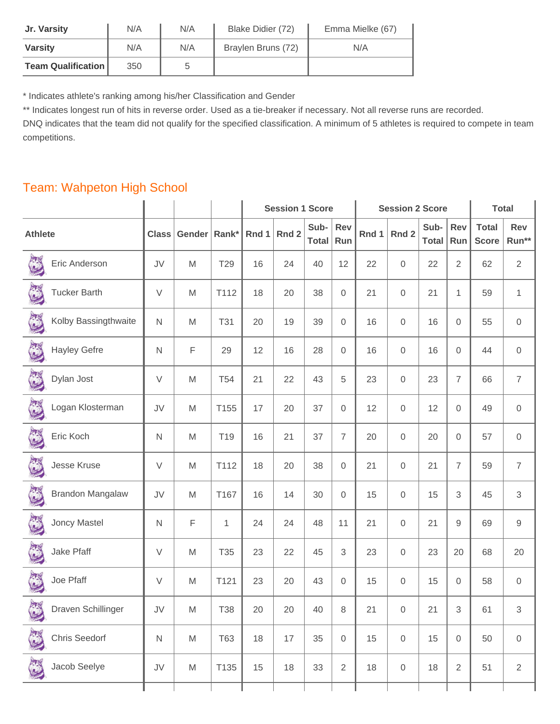| Jr. Varsity               | N/A | N/A | Blake Didier (72)  | Emma Mielke (67) |
|---------------------------|-----|-----|--------------------|------------------|
| <b>Varsity</b>            | N/A | N/A | Braylen Bruns (72) | N/A              |
| <b>Team Qualification</b> | 350 | b   |                    |                  |

\* Indicates athlete's ranking among his/her Classification and Gender

\*\* Indicates longest run of hits in reverse order. Used as a tie-breaker if necessary. Not all reverse runs are recorded.

DNQ indicates that the team did not qualify for the specified classification. A minimum of 5 athletes is required to compete in team competitions.

## Team: Wahpeton High School

|                                |                  |                                                                                                            |                 | <b>Session 1 Score</b> |       |                      |                | <b>Session 2 Score</b> | <b>Total</b>        |                      |                |                              |                           |
|--------------------------------|------------------|------------------------------------------------------------------------------------------------------------|-----------------|------------------------|-------|----------------------|----------------|------------------------|---------------------|----------------------|----------------|------------------------------|---------------------------|
| <b>Athlete</b>                 | <b>Class</b>     | Gender                                                                                                     | Rank*           | Rnd 1                  | Rnd 2 | Sub-<br><b>Total</b> | Rev<br>Run     | Rnd 1                  | Rnd 2               | Sub-<br><b>Total</b> | Rev<br>Run     | <b>Total</b><br><b>Score</b> | Rev<br>Run**              |
| Eric Anderson                  | JV               | M                                                                                                          | T29             | 16                     | 24    | 40                   | 12             | 22                     | 0                   | 22                   | 2              | 62                           | $\sqrt{2}$                |
| <b>Tucker Barth</b>            | $\vee$           | M                                                                                                          | T112            | 18                     | 20    | 38                   | $\mathbf 0$    | 21                     | $\mathsf{O}\xspace$ | 21                   | $\mathbf{1}$   | 59                           | 1                         |
| E<br>Kolby Bassingthwaite      | N                | M                                                                                                          | <b>T31</b>      | 20                     | 19    | 39                   | 0              | 16                     | 0                   | 16                   | 0              | 55                           | $\mathsf{O}\xspace$       |
| <b>Hayley Gefre</b>            | $\mathsf{N}$     | F                                                                                                          | 29              | 12                     | 16    | 28                   | 0              | 16                     | 0                   | 16                   | $\overline{0}$ | 44                           | $\mathsf{O}\xspace$       |
| 3<br>Dylan Jost                | $\vee$           | M                                                                                                          | T <sub>54</sub> | 21                     | 22    | 43                   | 5              | 23                     | $\mathsf{O}\xspace$ | 23                   | $\overline{7}$ | 66                           | $\overline{7}$            |
| Logan Klosterman               | JV               | M                                                                                                          | T155            | 17                     | 20    | 37                   | $\mathbf 0$    | 12                     | $\mathsf{O}\xspace$ | 12                   | $\overline{0}$ | 49                           | $\boldsymbol{0}$          |
| 3<br>Eric Koch                 | $\mathsf{N}$     | M                                                                                                          | T19             | 16                     | 21    | 37                   | $\overline{7}$ | 20                     | 0                   | 20                   | $\overline{0}$ | 57                           | $\mathbf 0$               |
| Jesse Kruse                    | V                | M                                                                                                          | T112            | 18                     | 20    | 38                   | 0              | 21                     | 0                   | 21                   | $\overline{7}$ | 59                           | $\overline{7}$            |
| C<br><b>Brandon Mangalaw</b>   | JV               | M                                                                                                          | T167            | 16                     | 14    | 30                   | 0              | 15                     | 0                   | 15                   | 3              | 45                           | $\ensuremath{\mathsf{3}}$ |
| Joncy Mastel                   | $\mathsf{N}$     | F                                                                                                          | $\mathbf{1}$    | 24                     | 24    | 48                   | 11             | 21                     | $\mathsf{O}\xspace$ | 21                   | 9              | 69                           | $\boldsymbol{9}$          |
| L<br>Jake Pfaff                | $\vee$           | M                                                                                                          | T35             | 23                     | 22    | 45                   | 3              | 23                     | 0                   | 23                   | 20             | 68                           | 20                        |
| Joe Pfaff                      | V                | M                                                                                                          | T121            | 23                     | 20    | 43                   | 0              | 15                     | 0                   | 15                   | 0              | 58                           | $\mathsf 0$               |
| 海<br>Draven Schillinger<br>V   | JV               | M                                                                                                          | <b>T38</b>      | 20                     | 20    | 40                   | 8              | 21                     | $\overline{0}$      | 21                   | 3              | 61                           | 3                         |
| $\frac{1}{2}$<br>Chris Seedorf | $\mathsf N$      | $\mathsf{M}% _{T}=\mathsf{M}_{T}\!\left( a,b\right) ,\ \mathsf{M}_{T}=\mathsf{M}_{T}\!\left( a,b\right) ,$ | <b>T63</b>      | 18                     | 17    | 35                   | $\mathbf 0$    | 15                     | $\mathbf 0$         | 15                   | 0              | 50                           | $\,0\,$                   |
| 高<br>Jacob Seelye              | ${\sf J}{\sf V}$ | M                                                                                                          | T135            | 15                     | 18    | 33                   | $\sqrt{2}$     | 18                     | $\boldsymbol{0}$    | 18                   | $\sqrt{2}$     | 51                           | $\sqrt{2}$                |
|                                |                  |                                                                                                            |                 |                        |       |                      |                |                        |                     |                      |                |                              |                           |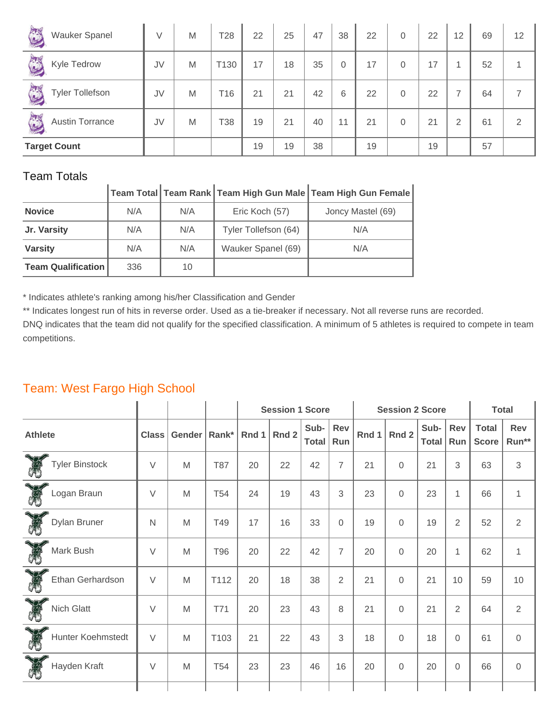| J<br><b>Wauker Spanel</b>   | V  | M | T <sub>28</sub> | 22 | 25 | 47 | 38             | 22 | $\overline{0}$ | 22 | 12             | 69 | 12 |
|-----------------------------|----|---|-----------------|----|----|----|----------------|----|----------------|----|----------------|----|----|
| E<br>Kyle Tedrow            | JV | M | T130            | 17 | 18 | 35 | $\overline{0}$ | 17 | 0              | 17 |                | 52 |    |
| E<br><b>Tyler Tollefson</b> | JV | M | T16             | 21 | 21 | 42 | 6              | 22 | 0              | 22 | ⇁              | 64 |    |
| S<br><b>Austin Torrance</b> | JV | M | T38             | 19 | 21 | 40 | 11             | 21 | 0              | 21 | $\overline{2}$ | 61 | っ  |
| <b>Target Count</b>         |    |   |                 | 19 | 19 | 38 |                | 19 |                | 19 |                | 57 |    |

#### **Team Total Team Rank Team High Gun Male Team High Gun Female**

| <b>Novice</b>             | N/A | N/A | Eric Koch (57)       | Joncy Mastel (69) |
|---------------------------|-----|-----|----------------------|-------------------|
| Jr. Varsity               | N/A | N/A | Tyler Tollefson (64) | N/A               |
| <b>Varsity</b>            | N/A | N/A | Wauker Spanel (69)   | N/A               |
| <b>Team Qualification</b> | 336 | 10  |                      |                   |

\* Indicates athlete's ranking among his/her Classification and Gender

\*\* Indicates longest run of hits in reverse order. Used as a tie-breaker if necessary. Not all reverse runs are recorded.

DNQ indicates that the team did not qualify for the specified classification. A minimum of 5 athletes is required to compete in team competitions.

#### **Session 1 Score Session 2 Score Total Athlete Class Gender Rank\* Rnd 1 Rnd 2 Sub-Total Rev Run Rnd 1 Rnd 2 Sub-Total Rev Run Total Score Rev Run\*\*** Tyler Binstock V M T87 20 22 42 7 21 0 21 3 63 3 Logan Braun V M T54 24 19 43 3 23 0 23 1 66 1 Dylan Bruner N M T49 17 16 33 0 19 0 19 2 52 2 Mark Bush V M T96 20 22 42 7 20 0 20 1 62 1 Ethan Gerhardson V M T112 20 18 38 2 21 0 21 10 59 10 Nich Glatt V M T71 20 23 43 8 21 0 21 2 64 2 Hunter Koehmstedt |  $V$  | M | T103 | 21 | 22 | 43 | 3 | 18 | 0 | 18 | 0 | 61 | 0 Hayden Kraft || V | M | T54 | 23 | 23 | 46 | 16 | 20 | 0 | 20 | 0 | 66 | 0

## Team: West Fargo High School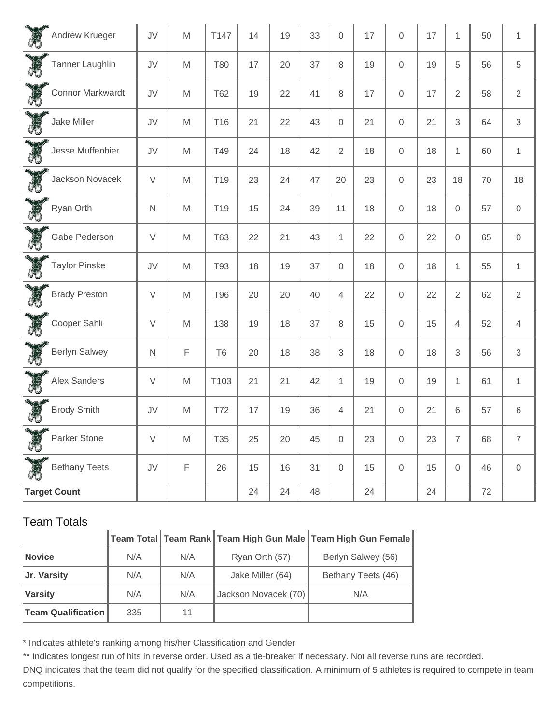| Andrew Krueger                | JV           | M                                                                                                          | T147            | 14 | 19 | 33 | $\mathbf 0$    | 17 | $\overline{0}$      | 17 | $\mathbf{1}$        | 50 | $\mathbf{1}$              |
|-------------------------------|--------------|------------------------------------------------------------------------------------------------------------|-----------------|----|----|----|----------------|----|---------------------|----|---------------------|----|---------------------------|
| E<br>Tanner Laughlin          | JV           | M                                                                                                          | <b>T80</b>      | 17 | 20 | 37 | 8              | 19 | $\mathsf{O}\xspace$ | 19 | 5                   | 56 | $\sqrt{5}$                |
| E<br>Connor Markwardt         | JV           | M                                                                                                          | <b>T62</b>      | 19 | 22 | 41 | 8              | 17 | $\mathsf{O}\xspace$ | 17 | $\overline{2}$      | 58 | $\sqrt{2}$                |
| E<br>Jake Miller              | JV           | M                                                                                                          | T <sub>16</sub> | 21 | 22 | 43 | $\mathbf 0$    | 21 | 0                   | 21 | 3                   | 64 | $\ensuremath{\mathsf{3}}$ |
| E<br>Jesse Muffenbier         | JV           | M                                                                                                          | T49             | 24 | 18 | 42 | $\overline{2}$ | 18 | $\mathsf{O}\xspace$ | 18 | 1                   | 60 | $\mathbf{1}$              |
| <b>CAS</b><br>Jackson Novacek | $\vee$       | M                                                                                                          | T <sub>19</sub> | 23 | 24 | 47 | 20             | 23 | $\mathsf{O}\xspace$ | 23 | 18                  | 70 | 18                        |
| Ryan Orth                     | $\mathsf{N}$ | M                                                                                                          | T <sub>19</sub> | 15 | 24 | 39 | 11             | 18 | 0                   | 18 | $\mathbf 0$         | 57 | $\mathbf 0$               |
| <b>CARD</b><br>Gabe Pederson  | $\vee$       | M                                                                                                          | <b>T63</b>      | 22 | 21 | 43 | 1              | 22 | $\mathsf{O}\xspace$ | 22 | $\mathsf{O}\xspace$ | 65 | $\mathbf 0$               |
| E<br>Taylor Pinske            | JV           | M                                                                                                          | T93             | 18 | 19 | 37 | $\mathbf 0$    | 18 | $\mathsf{O}\xspace$ | 18 | 1                   | 55 | $\mathbf{1}$              |
| CHO<br><b>Brady Preston</b>   | $\vee$       | M                                                                                                          | <b>T96</b>      | 20 | 20 | 40 | $\overline{4}$ | 22 | $\mathsf{O}\xspace$ | 22 | $\overline{2}$      | 62 | $\sqrt{2}$                |
| <b>CARD</b><br>Cooper Sahli   | $\vee$       | M                                                                                                          | 138             | 19 | 18 | 37 | 8              | 15 | $\mathsf{O}\xspace$ | 15 | 4                   | 52 | $\overline{4}$            |
| E<br>Berlyn Salwey            | $\mathsf{N}$ | $\mathsf F$                                                                                                | T <sub>6</sub>  | 20 | 18 | 38 | 3              | 18 | $\mathsf{O}\xspace$ | 18 | 3                   | 56 | $\ensuremath{\mathsf{3}}$ |
| <b>CAS</b><br>Alex Sanders    | $\vee$       | M                                                                                                          | T103            | 21 | 21 | 42 | $\mathbf{1}$   | 19 | $\mathsf{O}\xspace$ | 19 | $\mathbf{1}$        | 61 | $\mathbf{1}$              |
| Brody Smith                   | JV           | M                                                                                                          | <b>T72</b>      | 17 | 19 | 36 | 4              | 21 | $\mathsf{O}\xspace$ | 21 | 6                   | 57 | $\,6$                     |
| J.<br>Parker Stone            | $\vee$       | $\mathsf{M}% _{T}=\mathsf{M}_{T}\!\left( a,b\right) ,\ \mathsf{M}_{T}=\mathsf{M}_{T}\!\left( a,b\right) ,$ | T35             | 25 | 20 | 45 | $\mathbf 0$    | 23 | $\mathsf{O}\xspace$ | 23 | $\overline{7}$      | 68 | $\overline{7}$            |
| <b>Bethany Teets</b>          | JV           | $\mathsf F$                                                                                                | 26              | 15 | 16 | 31 | $\mathbf 0$    | 15 | $\mathsf{O}\xspace$ | 15 | $\mathbf 0$         | 46 | $\,0\,$                   |
| <b>Target Count</b>           |              |                                                                                                            |                 | 24 | 24 | 48 |                | 24 |                     | 24 |                     | 72 |                           |

## **Team Total Team Rank Team High Gun Male Team High Gun Female**

| <b>Novice</b>             | N/A | N/A | Ryan Orth (57)       | Berlyn Salwey (56) |
|---------------------------|-----|-----|----------------------|--------------------|
| Jr. Varsity               | N/A | N/A | Jake Miller (64)     | Bethany Teets (46) |
| <b>Varsity</b>            | N/A | N/A | Jackson Novacek (70) | N/A                |
| <b>Team Qualification</b> | 335 | 11  |                      |                    |

\* Indicates athlete's ranking among his/her Classification and Gender

\*\* Indicates longest run of hits in reverse order. Used as a tie-breaker if necessary. Not all reverse runs are recorded.

DNQ indicates that the team did not qualify for the specified classification. A minimum of 5 athletes is required to compete in team competitions.